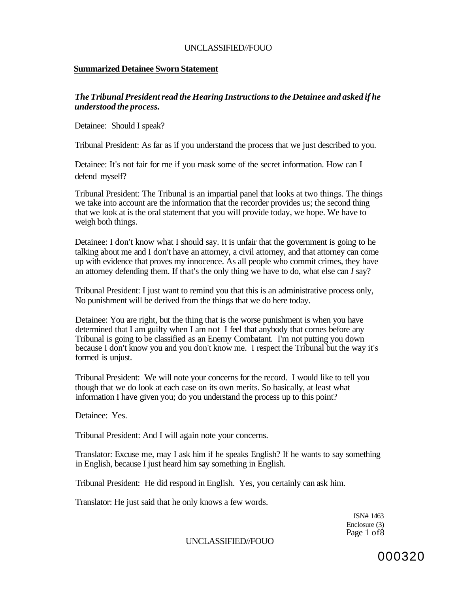### **Summarized Detainee Sworn Statement**

# *The Tribunal President read the Hearing Instructions to the Detainee and asked if he understood the process.*

Detainee: Should I speak?

Tribunal President: As far as if you understand the process that we just described to you.

Detainee: It's not fair for me if you mask some of the secret information. How can I defend myself?

Tribunal President: The Tribunal is an impartial panel that looks at two things. The things we take into account are the information that the recorder provides us; the second thing that we look at is the oral statement that you will provide today, we hope. We have to weigh both things.

Detainee: I don't know what I should say. It is unfair that the government is going to he talking about me and I don't have an attorney, a civil attorney, and that attorney can come up with evidence that proves my innocence. As all people who commit crimes, they have an attorney defending them. If that's the only thing we have to do, what else can *I* say?

Tribunal President: I just want to remind you that this is an administrative process only, No punishment will be derived from the things that we do here today.

Detainee: You are right, but the thing that is the worse punishment is when you have determined that I am guilty when I am not I feel that anybody that comes before any Tribunal is going to be classified as an Enemy Combatant. I'm not putting you down because I don't know you and you don't know me. I respect the Tribunal but the way it's formed is unjust.

Tribunal President: We will note your concerns for the record. I would like to tell you though that we do look at each case on its own merits. So basically, at least what information I have given you; do you understand the process up to this point?

Detainee: Yes.

Tribunal President: And I will again note your concerns.

Translator: Excuse me, may I ask him if he speaks English? If he wants to say something in English, because I just heard him say something in English.

Tribunal President: He did respond in English. Yes, you certainly can ask him.

Translator: He just said that he only knows a few words.

ISN# 1463 Enclosure (3) Page 1 of8

UNCLASSIFIED//FOUO

000320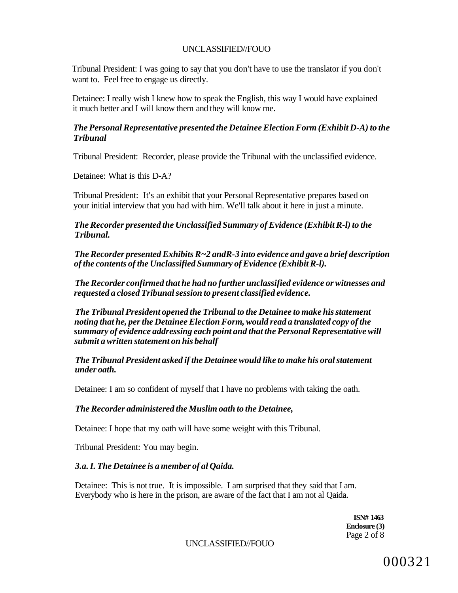Tribunal President: I was going to say that you don't have to use the translator if you don't want to. Feel free to engage us directly.

Detainee: I really wish I knew how to speak the English, this way I would have explained it much better and I will know them and they will know me.

# *The Personal Representative presented the Detainee Election Form (Exhibit D-A) to the Tribunal*

Tribunal President: Recorder, please provide the Tribunal with the unclassified evidence.

Detainee: What is this D-A?

Tribunal President: It's an exhibit that your Personal Representative prepares based on your initial interview that you had with him. We'll talk about it here in just a minute.

*The Recorder presented the Unclassified Summary of Evidence (Exhibit R-l) to the Tribunal.* 

*The Recorder presented Exhibits R~2 andR-3 into evidence and gave a brief description of the contents of the Unclassified Summary of Evidence (Exhibit R-l).* 

*The Recorder confirmed that he had no further unclassified evidence or witnesses and requested a closed Tribunal session to present classified evidence.* 

*The Tribunal President opened the Tribunal to the Detainee to make his statement noting that he, per the Detainee Election Form, would read a translated copy of the summary of evidence addressing each point and that the Personal Representative will submit a written statement on his behalf* 

*The Tribunal President asked if the Detainee would like to make his oral statement under oath.* 

Detainee: I am so confident of myself that I have no problems with taking the oath.

# *The Recorder administered the Muslim oath to the Detainee,*

Detainee: I hope that my oath will have some weight with this Tribunal.

Tribunal President: You may begin.

# *3.a. I. The Detainee is a member of al Qaida.*

Detainee: This is not true. It is impossible. I am surprised that they said that I am. Everybody who is here in the prison, are aware of the fact that I am not al Qaida.

> **ISN# 1463 Enclosure (3)**  Page 2 of 8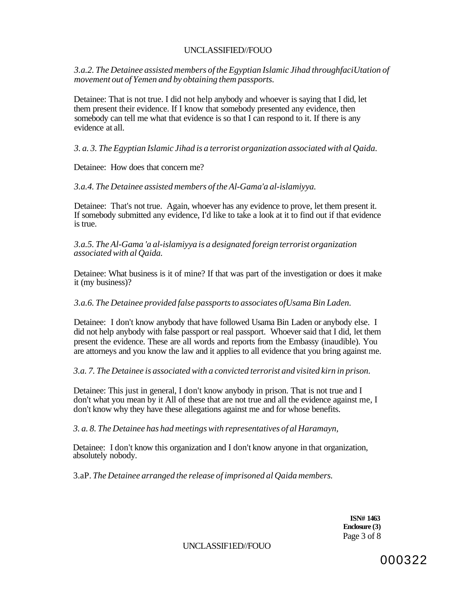*3.a.2. The Detainee assisted members of the Egyptian Islamic Jihad throughfaciUtation of movement out of Yemen and by obtaining them passports.* 

Detainee: That is not true. I did not help anybody and whoever is saying that I did, let them present their evidence. If I know that somebody presented any evidence, then somebody can tell me what that evidence is so that I can respond to it. If there is any evidence at all.

*3. a. 3. The Egyptian Islamic Jihad is a terrorist organization associated with al Qaida.* 

Detainee: How does that concern me?

#### *3.a.4. The Detainee assisted members of the Al-Gama'a al-islamiyya.*

Detainee: That's not true. Again, whoever has any evidence to prove, let them present it. If somebody submitted any evidence, I'd like to take a look at it to find out if that evidence is true.

*3.a.5. The Al-Gama 'a al-islamiyya is a designated foreign terrorist organization associated with al Qaida.* 

Detainee: What business is it of mine? If that was part of the investigation or does it make it (my business)?

#### *3.a.6. The Detainee provided false passports to associates ofUsama Bin Laden.*

Detainee: I don't know anybody that have followed Usama Bin Laden or anybody else. I did not help anybody with false passport or real passport. Whoever said that I did, let them present the evidence. These are all words and reports from the Embassy (inaudible). You are attorneys and you know the law and it applies to all evidence that you bring against me.

*3.a. 7. The Detainee is associated with a convicted terrorist and visited kirn in prison.* 

Detainee: This just in general, I don't know anybody in prison. That is not true and I don't what you mean by it All of these that are not true and all the evidence against me, I don't know why they have these allegations against me and for whose benefits.

*3. a. 8. The Detainee has had meetings with representatives of al Haramayn,* 

Detainee: I don't know this organization and I don't know anyone in that organization, absolutely nobody.

3.aP. *The Detainee arranged the release of imprisoned al Qaida members.* 

**ISN# 1463 Enclosure (3)**  Page 3 of 8

UNCLASSIF1ED//FOUO

000322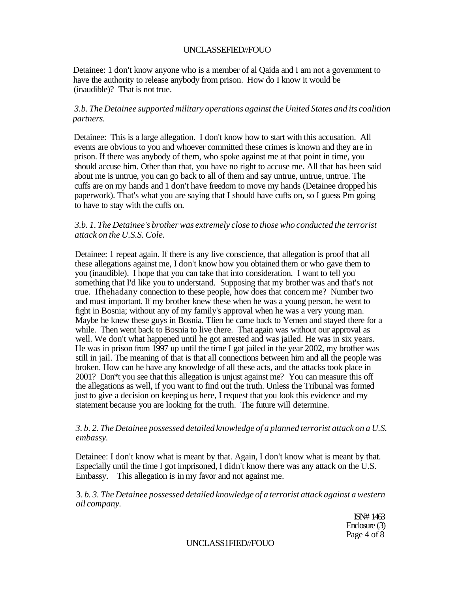Detainee: 1 don't know anyone who is a member of al Qaida and I am not a government to have the authority to release anybody from prison. How do I know it would be (inaudible)? That is not true.

# *3.b. The Detainee supported military operations against the United States and its coalition partners.*

Detainee: This is a large allegation. I don't know how to start with this accusation. All events are obvious to you and whoever committed these crimes is known and they are in prison. If there was anybody of them, who spoke against me at that point in time, you should accuse him. Other than that, you have no right to accuse me. All that has been said about me is untrue, you can go back to all of them and say untrue, untrue, untrue. The cuffs are on my hands and 1 don't have freedom to move my hands (Detainee dropped his paperwork). That's what you are saying that I should have cuffs on, so I guess Pm going to have to stay with the cuffs on.

### *3.b. 1. The Detainee's brother was extremely close to those who conducted the terrorist attack on the U.S.S. Cole.*

Detainee: 1 repeat again. If there is any live conscience, that allegation is proof that all these allegations against me, I don't know how you obtained them or who gave them to you (inaudible). I hope that you can take that into consideration. I want to tell you something that I'd like you to understand. Supposing that my brother was and that's not true. Ifhehadany connection to these people, how does that concern me? Number two and must important. If my brother knew these when he was a young person, he went to fight in Bosnia; without any of my family's approval when he was a very young man. Maybe he knew these guys in Bosnia. Tlien he came back to Yemen and stayed there for a while. Then went back to Bosnia to live there. That again was without our approval as well. We don't what happened until he got arrested and was jailed. He was in six years. He was in prison from 1997 up until the time I got jailed in the year 2002, my brother was still in jail. The meaning of that is that all connections between him and all the people was broken. How can he have any knowledge of all these acts, and the attacks took place in 2001? Don\*t you see that this allegation is unjust against me? You can measure this off the allegations as well, if you want to find out the truth. Unless the Tribunal was formed just to give a decision on keeping us here, I request that you look this evidence and my statement because you are looking for the truth. The future will determine.

### *3. b. 2. The Detainee possessed detailed knowledge of a planned terrorist attack on a U.S. embassy.*

Detainee: I don't know what is meant by that. Again, I don't know what is meant by that. Especially until the time I got imprisoned, I didn't know there was any attack on the U.S. Embassy. This allegation is in my favor and not against me.

3. *b. 3. The Detainee possessed detailed knowledge of a terrorist attack against a western oil company.* 

> ISN# 1463 Enclosure (3) Page 4 of 8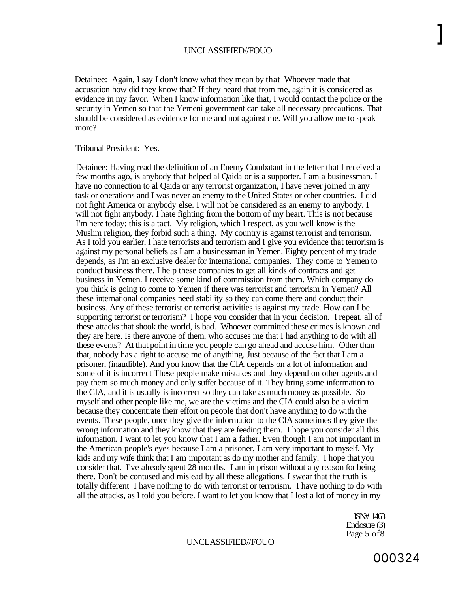Detainee: Again, I say I don't know what they mean by that Whoever made that accusation how did they know that? If they heard that from me, again it is considered as evidence in my favor. When I know information like that, I would contact the police or the security in Yemen so that the Yemeni government can take all necessary precautions. That should be considered as evidence for me and not against me. Will you allow me to speak more?

#### Tribunal President: Yes.

Detainee: Having read the definition of an Enemy Combatant in the letter that I received a few months ago, is anybody that helped al Qaida or is a supporter. I am a businessman. I have no connection to al Qaida or any terrorist organization, I have never joined in any task or operations and I was never an enemy to the United States or other countries. I did not fight America or anybody else. I will not be considered as an enemy to anybody. I will not fight anybody. I hate fighting from the bottom of my heart. This is not because I'm here today; this is a tact. My religion, which I respect, as you well know is the Muslim religion, they forbid such a thing. My country is against terrorist and terrorism. As I told you earlier, I hate terrorists and terrorism and I give you evidence that terrorism is against my personal beliefs as I am a businessman in Yemen. Eighty percent of my trade depends, as I'm an exclusive dealer for international companies. They come to Yemen to conduct business there. I help these companies to get all kinds of contracts and get business in Yemen. I receive some kind of commission from them. Which company do you think is going to come to Yemen if there was terrorist and terrorism in Yemen? All these international companies need stability so they can come there and conduct their business. Any of these terrorist or terrorist activities is against my trade. How can I be supporting terrorist or terrorism? I hope you consider that in your decision. I repeat, all of these attacks that shook the world, is bad. Whoever committed these crimes is known and they are here. Is there anyone of them, who accuses me that I had anything to do with all these events? At that point in time you people can go ahead and accuse him. Other than that, nobody has a right to accuse me of anything. Just because of the fact that I am a prisoner, (inaudible). And you know that the CIA depends on a lot of information and some of it is incorrect These people make mistakes and they depend on other agents and pay them so much money and only suffer because of it. They bring some information to the CIA, and it is usually is incorrect so they can take as much money as possible. So myself and other people like me, we are the victims and the CIA could also be a victim because they concentrate their effort on people that don't have anything to do with the events. These people, once they give the information to the CIA sometimes they give the wrong information and they know that they are feeding them. I hope you consider all this information. I want to let you know that I am a father. Even though I am not important in the American people's eyes because I am a prisoner, I am very important to myself. My kids and my wife think that I am important as do my mother and family. I hope that you consider that. I've already spent 28 months. I am in prison without any reason for being there. Don't be contused and mislead by all these allegations. I swear that the truth is totally different I have nothing to do with terrorist or terrorism. I have nothing to do with all the attacks, as I told you before. I want to let you know that I lost a lot of money in my

> ISN# 1463 Enclosure (3) Page 5 of 8

# UNCLASSIFIED//FOUO

**]**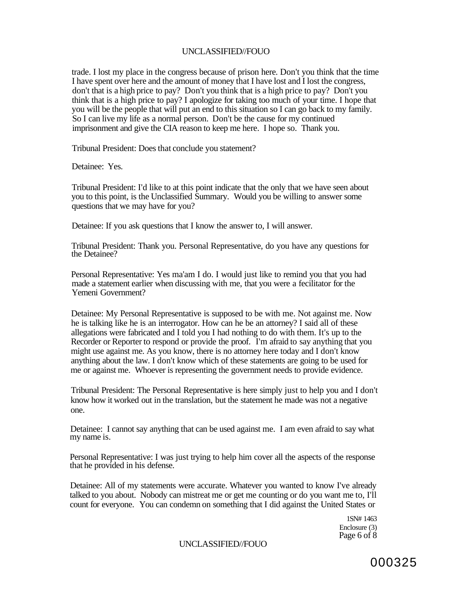trade. I lost my place in the congress because of prison here. Don't you think that the time I have spent over here and the amount of money that I have lost and I lost the congress, don't that is a high price to pay? Don't you think that is a high price to pay? Don't you think that is a high price to pay? I apologize for taking too much of your time. I hope that you will be the people that will put an end to this situation so I can go back to my family. So I can live my life as a normal person. Don't be the cause for my continued imprisonment and give the CIA reason to keep me here. I hope so. Thank you.

Tribunal President: Does that conclude you statement?

Detainee: Yes.

Tribunal President: I'd like to at this point indicate that the only that we have seen about you to this point, is the Unclassified Summary. Would you be willing to answer some questions that we may have for you?

Detainee: If you ask questions that I know the answer to, I will answer.

Tribunal President: Thank you. Personal Representative, do you have any questions for the Detainee?

Personal Representative: Yes ma'am I do. I would just like to remind you that you had made a statement earlier when discussing with me, that you were a fecilitator for the Yemeni Government?

Detainee: My Personal Representative is supposed to be with me. Not against me. Now he is talking like he is an interrogator. How can he be an attorney? I said all of these allegations were fabricated and I told you I had nothing to do with them. It's up to the Recorder or Reporter to respond or provide the proof. I'm afraid to say anything that you might use against me. As you know, there is no attorney here today and I don't know anything about the law. I don't know which of these statements are going to be used for me or against me. Whoever is representing the government needs to provide evidence.

Tribunal President: The Personal Representative is here simply just to help you and I don't know how it worked out in the translation, but the statement he made was not a negative one.

Detainee: I cannot say anything that can be used against me. I am even afraid to say what my name is.

Personal Representative: I was just trying to help him cover all the aspects of the response that he provided in his defense.

Detainee: All of my statements were accurate. Whatever you wanted to know I've already talked to you about. Nobody can mistreat me or get me counting or do you want me to, I'll count for everyone. You can condemn on something that I did against the United States or

> 1SN# 1463 Enclosure (3) Page 6 of 8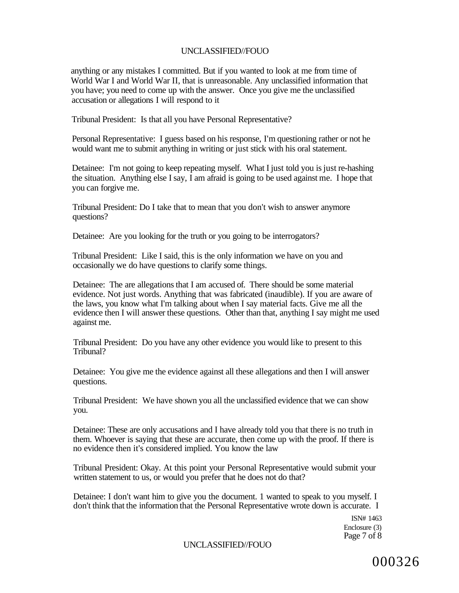anything or any mistakes I committed. But if you wanted to look at me from time of World War I and World War II, that is unreasonable. Any unclassified information that you have; you need to come up with the answer. Once you give me the unclassified accusation or allegations I will respond to it

Tribunal President: Is that all you have Personal Representative?

Personal Representative: I guess based on his response, I'm questioning rather or not he would want me to submit anything in writing or just stick with his oral statement.

Detainee: I'm not going to keep repeating myself. What I just told you is just re-hashing the situation. Anything else I say, I am afraid is going to be used against me. I hope that you can forgive me.

Tribunal President: Do I take that to mean that you don't wish to answer anymore questions?

Detainee: Are you looking for the truth or you going to be interrogators?

Tribunal President: Like I said, this is the only information we have on you and occasionally we do have questions to clarify some things.

Detainee: The are allegations that I am accused of. There should be some material evidence. Not just words. Anything that was fabricated (inaudible). If you are aware of the laws, you know what I'm talking about when I say material facts. Give me all the evidence then I will answer these questions. Other than that, anything I say might me used against me.

Tribunal President: Do you have any other evidence you would like to present to this Tribunal?

Detainee: You give me the evidence against all these allegations and then I will answer questions.

Tribunal President: We have shown you all the unclassified evidence that we can show you.

Detainee: These are only accusations and I have already told you that there is no truth in them. Whoever is saying that these are accurate, then come up with the proof. If there is no evidence then it's considered implied. You know the law

Tribunal President: Okay. At this point your Personal Representative would submit your written statement to us, or would you prefer that he does not do that?

Detainee: I don't want him to give you the document. 1 wanted to speak to you myself. I don't think that the information that the Personal Representative wrote down is accurate. I

> ISN# 1463 Enclosure (3) Page 7 of 8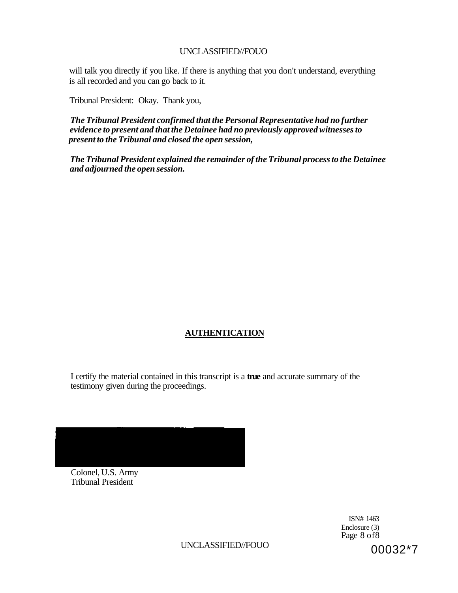will talk you directly if you like. If there is anything that you don't understand, everything is all recorded and you can go back to it.

Tribunal President: Okay. Thank you,

*The Tribunal President confirmed that the Personal Representative had no further evidence to present and that the Detainee had no previously approved witnesses to present to the Tribunal and closed the open session,* 

*The Tribunal President explained the remainder of the Tribunal process to the Detainee and adjourned the open session.* 

# **AUTHENTICATION**

I certify the material contained in this transcript is a **true** and accurate summary of the testimony given during the proceedings.

Colonel, U.S. Army Tribunal President

> ISN# 1463 Enclosure (3) Page 8 of8 00032\*7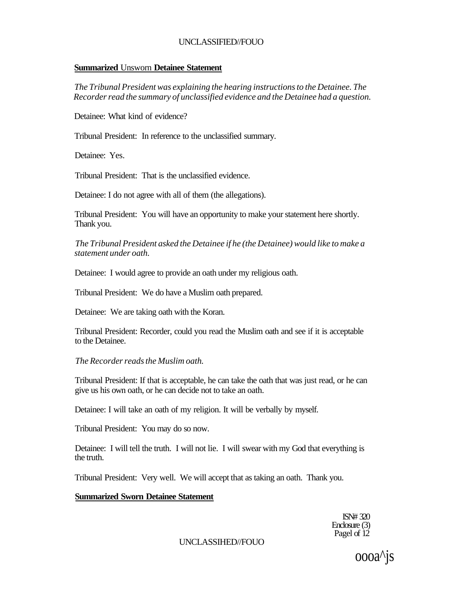#### **Summarized** Unsworn **Detainee Statement**

*The Tribunal President was explaining the hearing instructions to the Detainee. The Recorder read the summary of unclassified evidence and the Detainee had a question.* 

Detainee: What kind of evidence?

Tribunal President: In reference to the unclassified summary.

Detainee: Yes.

Tribunal President: That is the unclassified evidence.

Detainee: I do not agree with all of them (the allegations).

Tribunal President: You will have an opportunity to make your statement here shortly. Thank you.

*The Tribunal President asked the Detainee if he (the Detainee) would like to make a statement under oath.* 

Detainee: I would agree to provide an oath under my religious oath.

Tribunal President: We do have a Muslim oath prepared.

Detainee: We are taking oath with the Koran.

Tribunal President: Recorder, could you read the Muslim oath and see if it is acceptable to the Detainee.

# *The Recorder reads the Muslim oath.*

Tribunal President: If that is acceptable, he can take the oath that was just read, or he can give us his own oath, or he can decide not to take an oath.

Detainee: I will take an oath of my religion. It will be verbally by myself.

Tribunal President: You may do so now.

Detainee: I will tell the truth. I will not lie. I will swear with my God that everything is the truth.

Tribunal President: Very well. We will accept that as taking an oath. Thank you.

# **Summarized Sworn Detainee Statement**

ISN# 320 Enclosure (3) Pagel of 12

# UNCLASSIHED//FOUO

 $000a^{\prime\prime}$ <sub>1</sub>s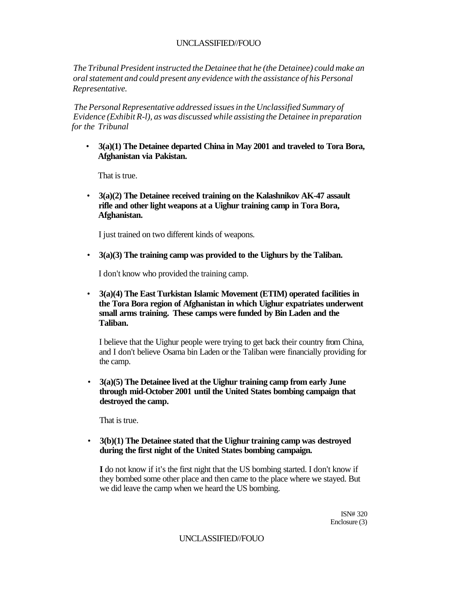*The Tribunal President instructed the Detainee that he (the Detainee) could make an oral statement and could present any evidence with the assistance of his Personal Representative.* 

*The Personal Representative addressed issues in the Unclassified Summary of Evidence (Exhibit R-l), as was discussed while assisting the Detainee in preparation for the Tribunal* 

• **3(a)(1) The Detainee departed China in May 2001 and traveled to Tora Bora, Afghanistan via Pakistan.** 

That is true.

• **3(a)(2) The Detainee received training on the Kalashnikov AK-47 assault rifle and other light weapons at a Uighur training camp in Tora Bora, Afghanistan.** 

I just trained on two different kinds of weapons.

• **3(a)(3) The training camp was provided to the Uighurs by the Taliban.** 

I don't know who provided the training camp.

• **3(a)(4) The East Turkistan Islamic Movement (ETIM) operated facilities in the Tora Bora region of Afghanistan in which Uighur expatriates underwent small arms training. These camps were funded by Bin Laden and the Taliban.** 

I believe that the Uighur people were trying to get back their country from China, and I don't believe Osama bin Laden or the Taliban were financially providing for the camp.

• **3(a)(5) The Detainee lived at the Uighur training camp from early June through mid-October 2001 until the United States bombing campaign that destroyed the camp.** 

That is true.

• **3(b)(1) The Detainee stated that the Uighur training camp was destroyed during the first night of the United States bombing campaign.** 

**I** do not know if it's the first night that the US bombing started. I don't know if they bombed some other place and then came to the place where we stayed. But we did leave the camp when we heard the US bombing.

> ISN# 320 Enclosure (3)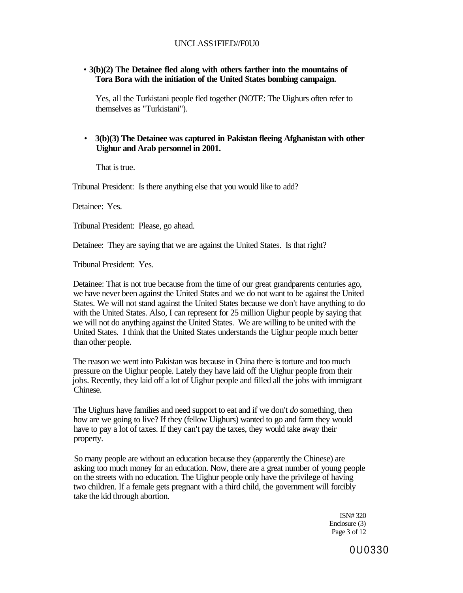## UNCLASS1FIED//F0U0

# • **3(b)(2) The Detainee fled along with others farther into the mountains of Tora Bora with the initiation of the United States bombing campaign.**

Yes, all the Turkistani people fled together (NOTE: The Uighurs often refer to themselves as "Turkistani").

# • **3(b)(3) The Detainee was captured in Pakistan fleeing Afghanistan with other Uighur and Arab personnel in 2001.**

That is true.

Tribunal President: Is there anything else that you would like to add?

Detainee: Yes.

Tribunal President: Please, go ahead.

Detainee: They are saying that we are against the United States. Is that right?

Tribunal President: Yes.

Detainee: That is not true because from the time of our great grandparents centuries ago, we have never been against the United States and we do not want to be against the United States. We will not stand against the United States because we don't have anything to do with the United States. Also, I can represent for 25 million Uighur people by saying that we will not do anything against the United States. We are willing to be united with the United States. I think that the United States understands the Uighur people much better than other people.

The reason we went into Pakistan was because in China there is torture and too much pressure on the Uighur people. Lately they have laid off the Uighur people from their jobs. Recently, they laid off a lot of Uighur people and filled all the jobs with immigrant Chinese.

The Uighurs have families and need support to eat and if we don't *do* something, then how are we going to live? If they (fellow Uighurs) wanted to go and farm they would have to pay a lot of taxes. If they can't pay the taxes, they would take away their property.

So many people are without an education because they (apparently the Chinese) are asking too much money for an education. Now, there are a great number of young people on the streets with no education. The Uighur people only have the privilege of having two children. If a female gets pregnant with a third child, the government will forcibly take the kid through abortion.

> ISN# 320 Enclosure (3) Page 3 of 12

> > 0U0330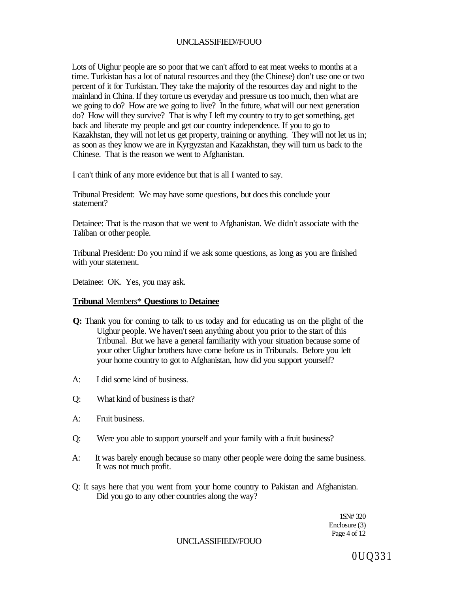Lots of Uighur people are so poor that we can't afford to eat meat weeks to months at a time. Turkistan has a lot of natural resources and they (the Chinese) don't use one or two percent of it for Turkistan. They take the majority of the resources day and night to the mainland in China. If they torture us everyday and pressure us too much, then what are we going to do? How are we going to live? In the future, what will our next generation do? How will they survive? That is why I left my country to try to get something, get back and liberate my people and get our country independence. If you to go to Kazakhstan, they will not let us get property, training or anything. They will not let us in; as soon as they know we are in Kyrgyzstan and Kazakhstan, they will turn us back to the Chinese. That is the reason we went to Afghanistan.

I can't think of any more evidence but that is all I wanted to say.

Tribunal President: We may have some questions, but does this conclude your statement?

Detainee: That is the reason that we went to Afghanistan. We didn't associate with the Taliban or other people.

Tribunal President: Do you mind if we ask some questions, as long as you are finished with your statement.

Detainee: OK. Yes, you may ask.

# **Tribunal** Members\* **Questions** to **Detainee**

- **Q:** Thank you for coming to talk to us today and for educating us on the plight of the Uighur people. We haven't seen anything about you prior to the start of this Tribunal. But we have a general familiarity with your situation because some of your other Uighur brothers have come before us in Tribunals. Before you left your home country to got to Afghanistan, how did you support yourself?
- A: I did some kind of business.
- Q: What kind of business is that?
- A: Fruit business.
- Q: Were you able to support yourself and your family with a fruit business?
- A: It was barely enough because so many other people were doing the same business. It was not much profit.
- Q: It says here that you went from your home country to Pakistan and Afghanistan. Did you go to any other countries along the way?

1SN# 320 Enclosure (3) Page 4 of 12

UNCLASSIFIED//FOUO

0UQ331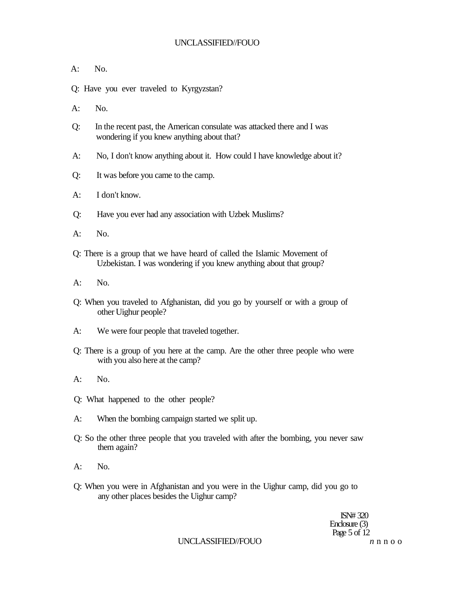A: No.

Q: Have you ever traveled to Kyrgyzstan?

- A: No.
- Q: In the recent past, the American consulate was attacked there and I was wondering if you knew anything about that?
- A: No, I don't know anything about it. How could I have knowledge about it?
- Q: It was before you came to the camp.
- A: I don't know.
- Q: Have you ever had any association with Uzbek Muslims?
- A: No.
- Q: There is a group that we have heard of called the Islamic Movement of Uzbekistan. I was wondering if you knew anything about that group?
- A: No.
- Q: When you traveled to Afghanistan, did you go by yourself or with a group of other Uighur people?
- A: We were four people that traveled together.
- Q: There is a group of you here at the camp. Are the other three people who were with you also here at the camp?
- A: No.
- Q: What happened to the other people?
- A: When the bombing campaign started we split up.
- Q: So the other three people that you traveled with after the bombing, you never saw them again?
- A: No.
- Q: When you were in Afghanistan and you were in the Uighur camp, did you go to any other places besides the Uighur camp?

ISN# 320 Enclosure (3) Page 5 of 12

UNCLASSIFIED//FOUO *n* n n o o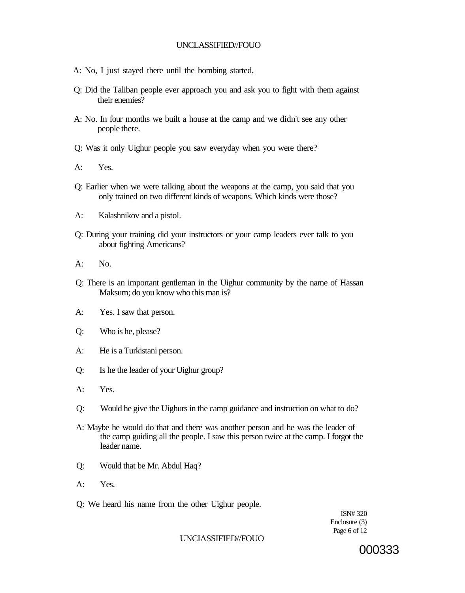- A: No, I just stayed there until the bombing started.
- Q: Did the Taliban people ever approach you and ask you to fight with them against their enemies?
- A: No. In four months we built a house at the camp and we didn't see any other people there.
- Q: Was it only Uighur people you saw everyday when you were there?
- A: Yes.
- Q: Earlier when we were talking about the weapons at the camp, you said that you only trained on two different kinds of weapons. Which kinds were those?
- A: Kalashnikov and a pistol.
- Q: During your training did your instructors or your camp leaders ever talk to you about fighting Americans?
- A: No.
- Q: There is an important gentleman in the Uighur community by the name of Hassan Maksum; do you know who this man is?
- A: Yes. I saw that person.
- Q: Who is he, please?
- A: He is a Turkistani person.
- Q: Is he the leader of your Uighur group?
- A: Yes.
- Q: Would he give the Uighurs in the camp guidance and instruction on what to do?
- A: Maybe he would do that and there was another person and he was the leader of the camp guiding all the people. I saw this person twice at the camp. I forgot the leader name.
- Q: Would that be Mr. Abdul Haq?
- A: Yes.
- Q: We heard his name from the other Uighur people.

ISN# 320 Enclosure (3) Page 6 of 12

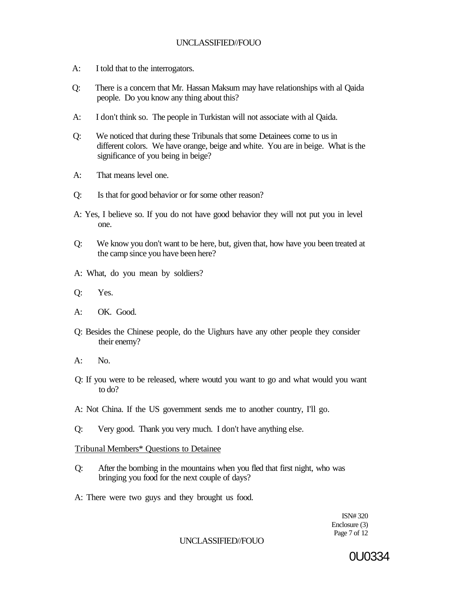- A: I told that to the interrogators.
- Q: There is a concern that Mr. Hassan Maksum may have relationships with al Qaida people. Do you know any thing about this?
- A: I don't think so. The people in Turkistan will not associate with al Qaida.
- Q: We noticed that during these Tribunals that some Detainees come to us in different colors. We have orange, beige and white. You are in beige. What is the significance of you being in beige?
- A: That means level one.
- Q: Is that for good behavior or for some other reason?
- A: Yes, I believe so. If you do not have good behavior they will not put you in level one.
- Q: We know you don't want to be here, but, given that, how have you been treated at the camp since you have been here?
- A: What, do you mean by soldiers?
- Q: Yes.
- A: OK. Good.
- Q: Besides the Chinese people, do the Uighurs have any other people they consider their enemy?
- A: No.
- Q: If you were to be released, where woutd you want to go and what would you want to do?
- A: Not China. If the US government sends me to another country, I'll go.
- Q: Very good. Thank you very much. I don't have anything else.

#### Tribunal Members\* Questions to Detainee

- Q: After the bombing in the mountains when you fled that first night, who was bringing you food for the next couple of days?
- A: There were two guys and they brought us food.

ISN# 320 Enclosure (3) Page 7 of 12

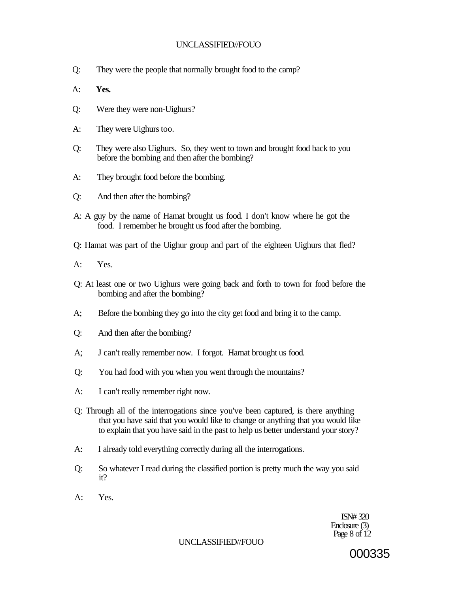- Q: They were the people that normally brought food to the camp?
- A: **Yes.**
- Q: Were they were non-Uighurs?
- A: They were Uighurs too.
- Q: They were also Uighurs. So, they went to town and brought food back to you before the bombing and then after the bombing?
- A: They brought food before the bombing.
- Q: And then after the bombing?
- A: A guy by the name of Hamat brought us food. I don't know where he got the food. I remember he brought us food after the bombing.
- Q: Hamat was part of the Uighur group and part of the eighteen Uighurs that fled?
- A: Yes.
- Q: At least one or two Uighurs were going back and forth to town for food before the bombing and after the bombing?
- A; Before the bombing they go into the city get food and bring it to the camp.
- Q: And then after the bombing?
- A; J can't really remember now. I forgot. Hamat brought us food.
- Q: You had food with you when you went through the mountains?
- A: I can't really remember right now.
- Q: Through all of the interrogations since you've been captured, is there anything that you have said that you would like to change or anything that you would like to explain that you have said in the past to help us better understand your story?
- A: I already told everything correctly during all the interrogations.
- Q: So whatever I read during the classified portion is pretty much the way you said it?
- A: Yes.

ISN# 320 Enclosure (3) Page 8 of 12

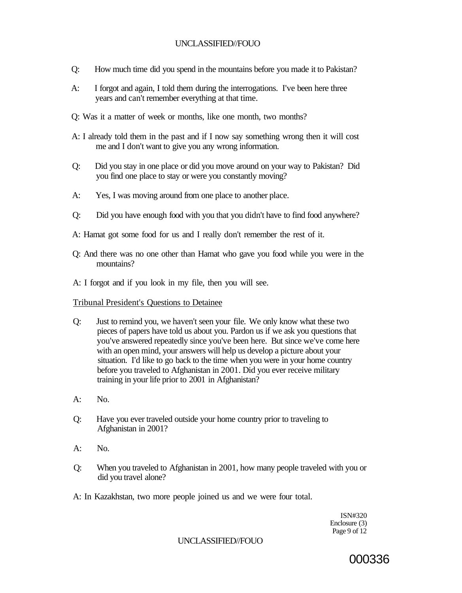- Q: How much time did you spend in the mountains before you made it to Pakistan?
- A: I forgot and again, I told them during the interrogations. I've been here three years and can't remember everything at that time.
- Q: Was it a matter of week or months, like one month, two months?
- A: I already told them in the past and if I now say something wrong then it will cost me and I don't want to give you any wrong information.
- Q: Did you stay in one place or did you move around on your way to Pakistan? Did you find one place to stay or were you constantly moving?
- A: Yes, I was moving around from one place to another place.
- Q: Did you have enough food with you that you didn't have to find food anywhere?
- A: Hamat got some food for us and I really don't remember the rest of it.
- Q: And there was no one other than Hamat who gave you food while you were in the mountains?
- A: I forgot and if you look in my file, then you will see.

#### Tribunal President's Questions to Detainee

- Q: Just to remind you, we haven't seen your file. We only know what these two pieces of papers have told us about you. Pardon us if we ask you questions that you've answered repeatedly since you've been here. But since we've come here with an open mind, your answers will help us develop a picture about your situation. I'd like to go back to the time when you were in your home country before you traveled to Afghanistan in 2001. Did you ever receive military training in your life prior to 2001 in Afghanistan?
- A: No.
- Q: Have you ever traveled outside your home country prior to traveling to Afghanistan in 2001?
- A: No.
- Q: When you traveled to Afghanistan in 2001, how many people traveled with you or did you travel alone?
- A: In Kazakhstan, two more people joined us and we were four total.

ISN#320 Enclosure (3) Page 9 of 12

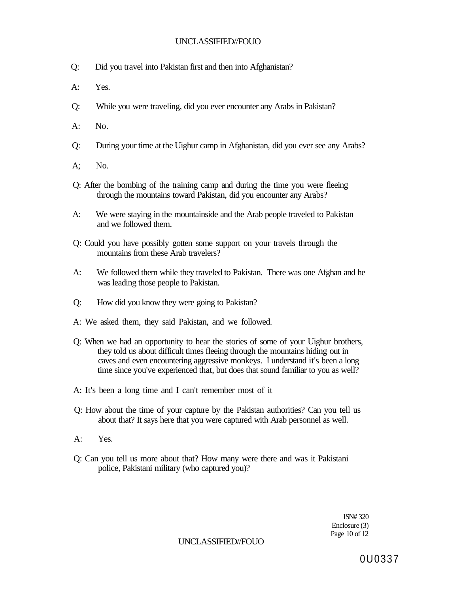- Q: Did you travel into Pakistan first and then into Afghanistan?
- A: Yes.
- Q: While you were traveling, did you ever encounter any Arabs in Pakistan?
- A: No.
- Q: During your time at the Uighur camp in Afghanistan, did you ever see any Arabs?
- A; No.
- Q: After the bombing of the training camp and during the time you were fleeing through the mountains toward Pakistan, did you encounter any Arabs?
- A: We were staying in the mountainside and the Arab people traveled to Pakistan and we followed them.
- Q: Could you have possibly gotten some support on your travels through the mountains from these Arab travelers?
- A: We followed them while they traveled to Pakistan. There was one Afghan and he was leading those people to Pakistan.
- Q: How did you know they were going to Pakistan?
- A: We asked them, they said Pakistan, and we followed.
- Q: When we had an opportunity to hear the stories of some of your Uighur brothers, they told us about difficult times fleeing through the mountains hiding out in caves and even encountering aggressive monkeys. I understand it's been a long time since you've experienced that, but does that sound familiar to you as well?
- A: It's been a long time and I can't remember most of it
- Q: How about the time of your capture by the Pakistan authorities? Can you tell us about that? It says here that you were captured with Arab personnel as well.
- A: Yes.
- Q: Can you tell us more about that? How many were there and was it Pakistani police, Pakistani military (who captured you)?

1SN# 320 Enclosure (3) Page 10 of 12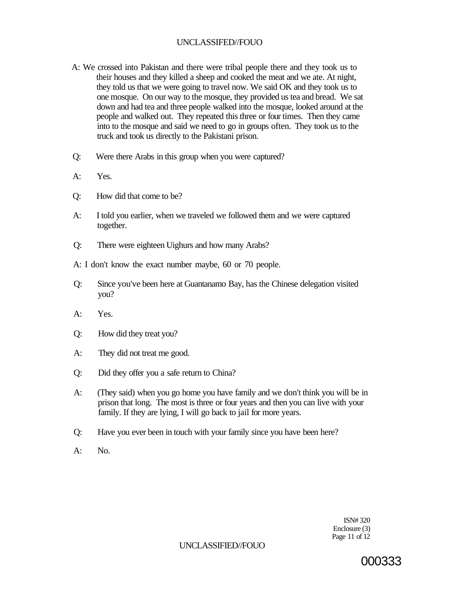- A: We crossed into Pakistan and there were tribal people there and they took us to their houses and they killed a sheep and cooked the meat and we ate. At night, they told us that we were going to travel now. We said OK and they took us to one mosque. On our way to the mosque, they provided us tea and bread. We sat down and had tea and three people walked into the mosque, looked around at the people and walked out. They repeated this three or four times. Then they came into to the mosque and said we need to go in groups often. They took us to the truck and took us directly to the Pakistani prison.
- Q: Were there Arabs in this group when you were captured?
- A: Yes.
- Q: How did that come to be?
- A: I told you earlier, when we traveled we followed them and we were captured together.
- Q: There were eighteen Uighurs and how many Arabs?
- A: I don't know the exact number maybe, 60 or 70 people.
- Q: Since you've been here at Guantanamo Bay, has the Chinese delegation visited you?
- A: Yes.
- Q: How did they treat you?
- A: They did not treat me good.
- Q: Did they offer you a safe return to China?
- A: (They said) when you go home you have family and we don't think you will be in prison that long. The most is three or four years and then you can live with your family. If they are lying, I will go back to jail for more years.
- Q: Have you ever been in touch with your family since you have been here?
- A: No.

ISN# 320 Enclosure (3) Page 11 of 12

UNCLASSIFIED//FOUO

000333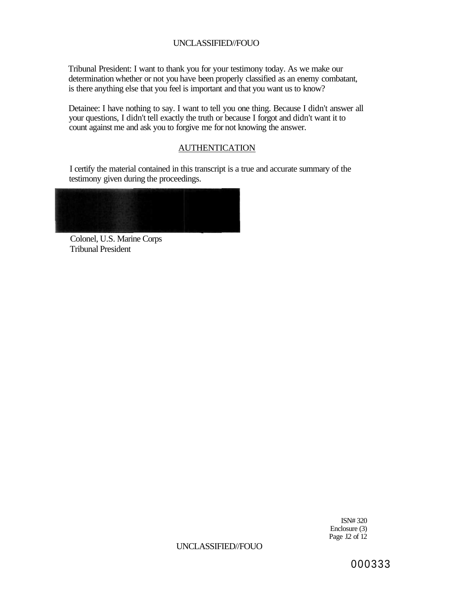Tribunal President: I want to thank you for your testimony today. As we make our determination whether or not you have been properly classified as an enemy combatant, is there anything else that you feel is important and that you want us to know?

Detainee: I have nothing to say. I want to tell you one thing. Because I didn't answer all your questions, I didn't tell exactly the truth or because I forgot and didn't want it to count against me and ask you to forgive me for not knowing the answer.

# AUTHENTICATION

I certify the material contained in this transcript is a true and accurate summary of the testimony given during the proceedings.

Colonel, U.S. Marine Corps Tribunal President

ISN# 320 Enclosure (3) Page J2 of  $12$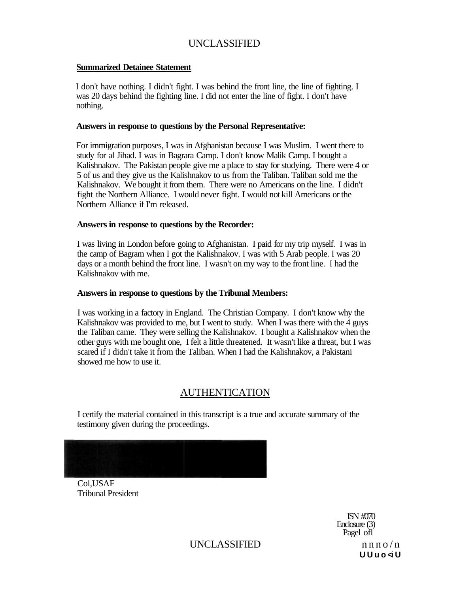# UNCLASSIFIED

### **Summarized Detainee Statement**

I don't have nothing. I didn't fight. I was behind the front line, the line of fighting. I was 20 days behind the fighting line. I did not enter the line of fight. I don't have nothing.

#### **Answers in response to questions by the Personal Representative:**

For immigration purposes, I was in Afghanistan because I was Muslim. I went there to study for al Jihad. I was in Bagrara Camp. I don't know Malik Camp. I bought a Kalishnakov. The Pakistan people give me a place to stay for studying. There were 4 or 5 of us and they give us the Kalishnakov to us from the Taliban. Taliban sold me the Kalishnakov. We bought it from them. There were no Americans on the line. I didn't fight the Northern Alliance. I would never fight. I would not kill Americans or the Northern Alliance if I'm released.

#### **Answers in response to questions by the Recorder:**

I was living in London before going to Afghanistan. I paid for my trip myself. I was in the camp of Bagram when I got the Kalishnakov. I was with 5 Arab people. I was 20 days or a month behind the front line. I wasn't on my way to the front line. I had the Kalishnakov with me.

#### **Answers in response to questions by the Tribunal Members:**

I was working in a factory in England. The Christian Company. I don't know why the Kalishnakov was provided to me, but I went to study. When I was there with the 4 guys the Taliban came. They were selling the Kalishnakov. I bought a Kalishnakov when the other guys with me bought one, I felt a little threatened. It wasn't like a threat, but I was scared if I didn't take it from the Taliban. When I had the Kalishnakov, a Pakistani showed me how to use it.

# AUTHENTICATION

I certify the material contained in this transcript is a true and accurate summary of the testimony given during the proceedings.

Col,USAF Tribunal President

> ISN #070 Enclosure (3) Pagel of<sup>1</sup> **U U u o <i U**

UNCLASSIFIED nnno/n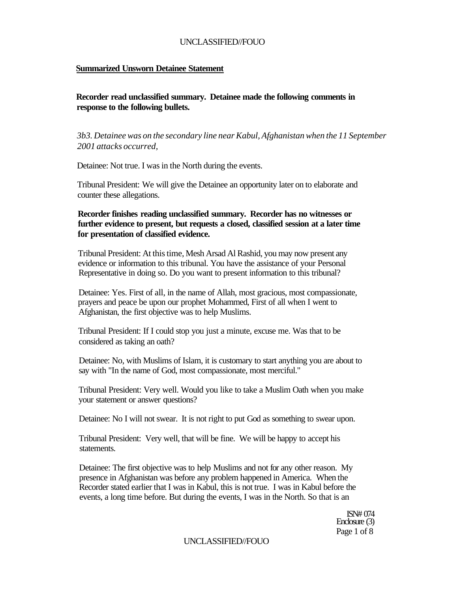### **Summarized Unsworn Detainee Statement**

# **Recorder read unclassified summary. Detainee made the following comments in response to the following bullets.**

*3b3. Detainee was on the secondary line near Kabul, Afghanistan when the 11 September 2001 attacks occurred,* 

Detainee: Not true. I was in the North during the events.

Tribunal President: We will give the Detainee an opportunity later on to elaborate and counter these allegations.

**Recorder finishes reading unclassified summary. Recorder has no witnesses or further evidence to present, but requests a closed, classified session at a later time for presentation of classified evidence.** 

Tribunal President: At this time, Mesh Arsad Al Rashid, you may now present any evidence or information to this tribunal. You have the assistance of your Personal Representative in doing so. Do you want to present information to this tribunal?

Detainee: Yes. First of all, in the name of Allah, most gracious, most compassionate, prayers and peace be upon our prophet Mohammed, First of all when I went to Afghanistan, the first objective was to help Muslims.

Tribunal President: If I could stop you just a minute, excuse me. Was that to be considered as taking an oath?

Detainee: No, with Muslims of Islam, it is customary to start anything you are about to say with "In the name of God, most compassionate, most merciful."

Tribunal President: Very well. Would you like to take a Muslim Oath when you make your statement or answer questions?

Detainee: No I will not swear. It is not right to put God as something to swear upon.

Tribunal President: Very well, that will be fine. We will be happy to accept his statements.

Detainee: The first objective was to help Muslims and not for any other reason. My presence in Afghanistan was before any problem happened in America. When the Recorder stated earlier that I was in Kabul, this is not true. I was in Kabul before the events, a long time before. But during the events, I was in the North. So that is an

> ISN# 074 Enclosure (3) Page 1 of 8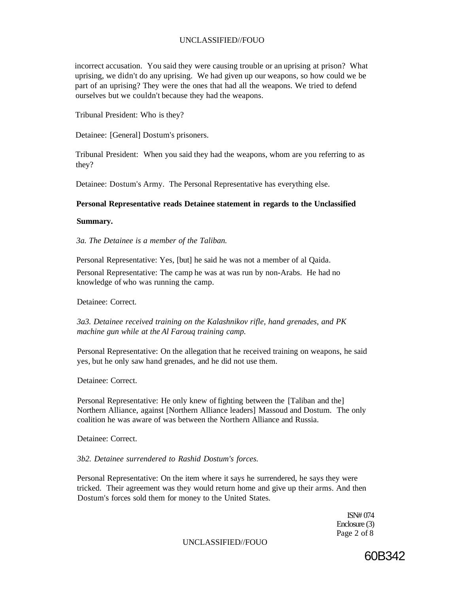incorrect accusation. You said they were causing trouble or an uprising at prison? What uprising, we didn't do any uprising. We had given up our weapons, so how could we be part of an uprising? They were the ones that had all the weapons. We tried to defend ourselves but we couldn't because they had the weapons.

Tribunal President: Who is they?

Detainee: [General] Dostum's prisoners.

Tribunal President: When you said they had the weapons, whom are you referring to as they?

Detainee: Dostum's Army. The Personal Representative has everything else.

#### **Personal Representative reads Detainee statement in regards to the Unclassified**

#### **Summary.**

*3a. The Detainee is a member of the Taliban.* 

Personal Representative: Yes, [but] he said he was not a member of al Qaida.

Personal Representative: The camp he was at was run by non-Arabs. He had no knowledge of who was running the camp.

Detainee: Correct.

*3a3. Detainee received training on the Kalashnikov rifle, hand grenades, and PK machine gun while at the Al Farouq training camp.* 

Personal Representative: On the allegation that he received training on weapons, he said yes, but he only saw hand grenades, and he did not use them.

Detainee: Correct.

Personal Representative: He only knew of fighting between the [Taliban and the] Northern Alliance, against [Northern Alliance leaders] Massoud and Dostum. The only coalition he was aware of was between the Northern Alliance and Russia.

Detainee: Correct.

*3b2. Detainee surrendered to Rashid Dostum's forces.* 

Personal Representative: On the item where it says he surrendered, he says they were tricked. Their agreement was they would return home and give up their arms. And then Dostum's forces sold them for money to the United States.

> ISN# 074 Enclosure (3) Page 2 of 8

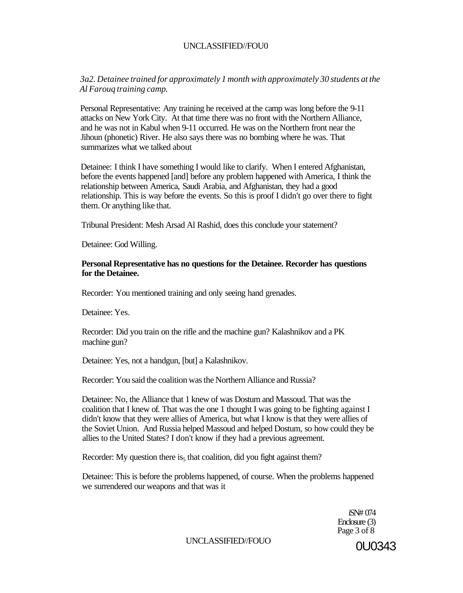*3a2. Detainee trained for approximately 1 month with approximately 30 students at the Al Farouq training camp.* 

Personal Representative: Any training he received at the camp was long before the 9-11 attacks on New York City. At that time there was no front with the Northern Alliance, and he was not in Kabul when 9-11 occurred. He was on the Northern front near the Jihoun (phonetic) River. He also says there was no bombing where he was. That summarizes what we talked about

Detainee: I think I have something I would like to clarify. When I entered Afghanistan, before the events happened [and] before any problem happened with America, I think the relationship between America, Saudi Arabia, and Afghanistan, they had a good relationship. This is way before the events. So this is proof I didn't go over there to fight them. Or anything like that.

Tribunal President: Mesh Arsad Al Rashid, does this conclude your statement?

Detainee: God Willing.

#### **Personal Representative has no questions for the Detainee. Recorder has questions for the Detainee.**

Recorder: You mentioned training and only seeing hand grenades.

Detainee: Yes.

Recorder: Did you train on the rifle and the machine gun? Kalashnikov and a PK machine gun?

Detainee: Yes, not a handgun, [but] a Kalashnikov.

Recorder: You said the coalition was the Northern Alliance and Russia?

Detainee: No, the Alliance that 1 knew of was Dostum and Massoud. That was the coalition that I knew of. That was the one 1 thought I was going to be fighting against I didn't know that they were allies of America, but what I know is that they were allies of the Soviet Union. And Russia helped Massoud and helped Dostum, so how could they be allies to the United States? I don't know if they had a previous agreement.

Recorder: My question there is<sub>5</sub> that coalition, did you fight against them?

Detainee: This is before the problems happened, of course. When the problems happened we surrendered our weapons and that was it

> iSN# 074 Enclosure (3) Page 3 of 8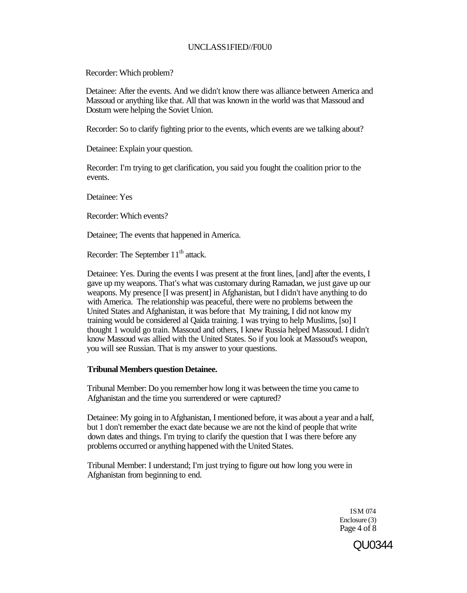#### UNCLASS1FIED//F0U0

Recorder: Which problem?

Detainee: After the events. And we didn't know there was alliance between America and Massoud or anything like that. All that was known in the world was that Massoud and Dostum were helping the Soviet Union.

Recorder: So to clarify fighting prior to the events, which events are we talking about?

Detainee: Explain your question.

Recorder: I'm trying to get clarification, you said you fought the coalition prior to the events.

Detainee: Yes

Recorder: Which events?

Detainee; The events that happened in America.

Recorder: The September 11<sup>th</sup> attack.

Detainee: Yes. During the events I was present at the front lines, [and] after the events, I gave up my weapons. That's what was customary during Ramadan, we just gave up our weapons. My presence [I was present] in Afghanistan, but I didn't have anything to do with America. The relationship was peaceful, there were no problems between the United States and Afghanistan, it was before that My training, I did not know my training would be considered al Qaida training. I was trying to help Muslims, [so] I thought 1 would go train. Massoud and others, I knew Russia helped Massoud. I didn't know Massoud was allied with the United States. So if you look at Massoud's weapon, you will see Russian. That is my answer to your questions.

#### **Tribunal Members question Detainee.**

Tribunal Member: Do you remember how long it was between the time you came to Afghanistan and the time you surrendered or were captured?

Detainee: My going in to Afghanistan, I mentioned before, it was about a year and a half, but 1 don't remember the exact date because we are not the kind of people that write down dates and things. I'm trying to clarify the question that I was there before any problems occurred or anything happened with the United States.

Tribunal Member: I understand; I'm just trying to figure out how long you were in Afghanistan from beginning to end.

> ISM 074 Enclosure (3) Page 4 of 8

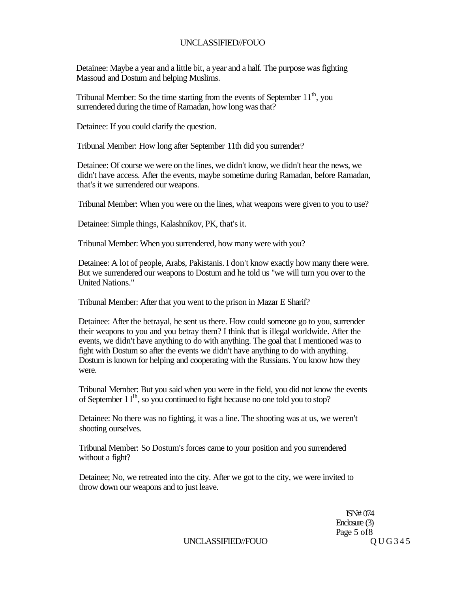Detainee: Maybe a year and a little bit, a year and a half. The purpose was fighting Massoud and Dostum and helping Muslims.

Tribunal Member: So the time starting from the events of September  $11<sup>th</sup>$ , you surrendered during the time of Ramadan, how long was that?

Detainee: If you could clarify the question.

Tribunal Member: How long after September 11th did you surrender?

Detainee: Of course we were on the lines, we didn't know, we didn't hear the news, we didn't have access. After the events, maybe sometime during Ramadan, before Ramadan, that's it we surrendered our weapons.

Tribunal Member: When you were on the lines, what weapons were given to you to use?

Detainee: Simple things, Kalashnikov, PK, that's it.

Tribunal Member: When you surrendered, how many were with you?

Detainee: A lot of people, Arabs, Pakistanis. I don't know exactly how many there were. But we surrendered our weapons to Dostum and he told us "we will turn you over to the United Nations."

Tribunal Member: After that you went to the prison in Mazar E Sharif?

Detainee: After the betrayal, he sent us there. How could someone go to you, surrender their weapons to you and you betray them? I think that is illegal worldwide. After the events, we didn't have anything to do with anything. The goal that I mentioned was to fight with Dostum so after the events we didn't have anything to do with anything. Dostum is known for helping and cooperating with the Russians. You know how they were.

Tribunal Member: But you said when you were in the field, you did not know the events of September 1 l<sup>lh</sup>, so you continued to fight because no one told you to stop?

Detainee: No there was no fighting, it was a line. The shooting was at us, we weren't shooting ourselves.

Tribunal Member: So Dostum's forces came to your position and you surrendered without a fight?

Detainee; No, we retreated into the city. After we got to the city, we were invited to throw down our weapons and to just leave.

> ISN# 074 Enclosure (3) Page 5 of 8<br>O U G 3 4 5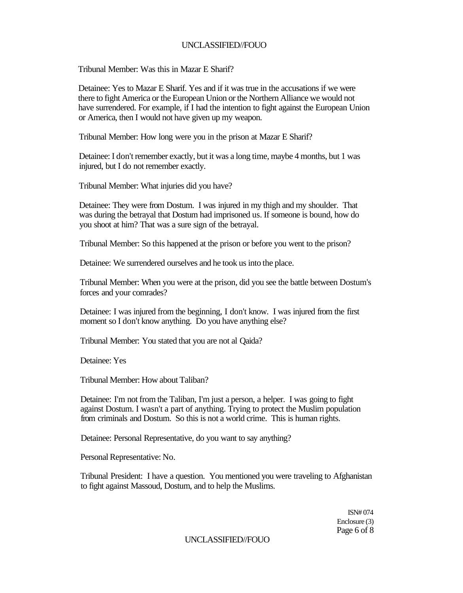Tribunal Member: Was this in Mazar E Sharif?

Detainee: Yes to Mazar E Sharif. Yes and if it was true in the accusations if we were there to fight America or the European Union or the Northern Alliance we would not have surrendered. For example, if I had the intention to fight against the European Union or America, then I would not have given up my weapon.

Tribunal Member: How long were you in the prison at Mazar E Sharif?

Detainee: I don't remember exactly, but it was a long time, maybe 4 months, but 1 was injured, but I do not remember exactly.

Tribunal Member: What injuries did you have?

Detainee: They were from Dostum. I was injured in my thigh and my shoulder. That was during the betrayal that Dostum had imprisoned us. If someone is bound, how do you shoot at him? That was a sure sign of the betrayal.

Tribunal Member: So this happened at the prison or before you went to the prison?

Detainee: We surrendered ourselves and he took us into the place.

Tribunal Member: When you were at the prison, did you see the battle between Dostum's forces and your comrades?

Detainee: I was injured from the beginning, I don't know. I was injured from the first moment so I don't know anything. Do you have anything else?

Tribunal Member: You stated that you are not al Qaida?

Detainee: Yes

Tribunal Member: How about Taliban?

Detainee: I'm not from the Taliban, I'm just a person, a helper. I was going to fight against Dostum. I wasn't a part of anything. Trying to protect the Muslim population from criminals and Dostum. So this is not a world crime. This is human rights.

Detainee: Personal Representative, do you want to say anything?

Personal Representative: No.

Tribunal President: I have a question. You mentioned you were traveling to Afghanistan to fight against Massoud, Dostum, and to help the Muslims.

> ISN# 074 Enclosure (3) Page 6 of 8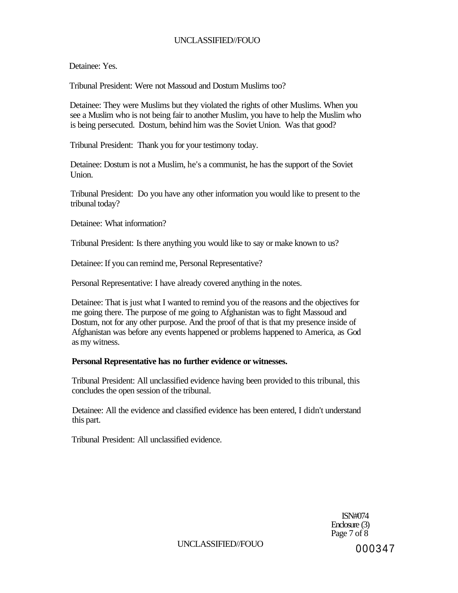# Detainee: Yes.

Tribunal President: Were not Massoud and Dostum Muslims too?

Detainee: They were Muslims but they violated the rights of other Muslims. When you see a Muslim who is not being fair to another Muslim, you have to help the Muslim who is being persecuted. Dostum, behind him was the Soviet Union. Was that good?

Tribunal President: Thank you for your testimony today.

Detainee: Dostum is not a Muslim, he's a communist, he has the support of the Soviet Union.

Tribunal President: Do you have any other information you would like to present to the tribunal today?

Detainee: What information?

Tribunal President: Is there anything you would like to say or make known to us?

Detainee: If you can remind me, Personal Representative?

Personal Representative: I have already covered anything in the notes.

Detainee: That is just what I wanted to remind you of the reasons and the objectives for me going there. The purpose of me going to Afghanistan was to fight Massoud and Dostum, not for any other purpose. And the proof of that is that my presence inside of Afghanistan was before any events happened or problems happened to America, as God as my witness.

# **Personal Representative has no further evidence or witnesses.**

Tribunal President: All unclassified evidence having been provided to this tribunal, this concludes the open session of the tribunal.

Detainee: All the evidence and classified evidence has been entered, I didn't understand this part.

Tribunal President: All unclassified evidence.

ISN#074 Enclosure (3) Page 7 of 8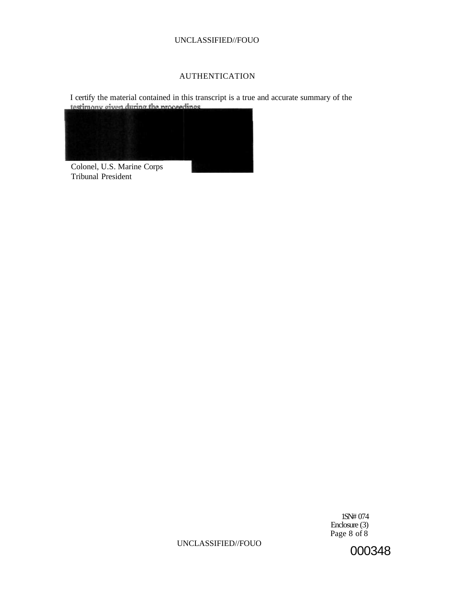# AUTHENTICATION

I certify the material contained in this transcript is a true and accurate summary of the testimony given during the proceedings



Colonel, U.S. Marine Corps Tribunal President

1SN# 074 Enclosure (3) Page 8 of 8

UNCLASSIFIED//FOUO

000348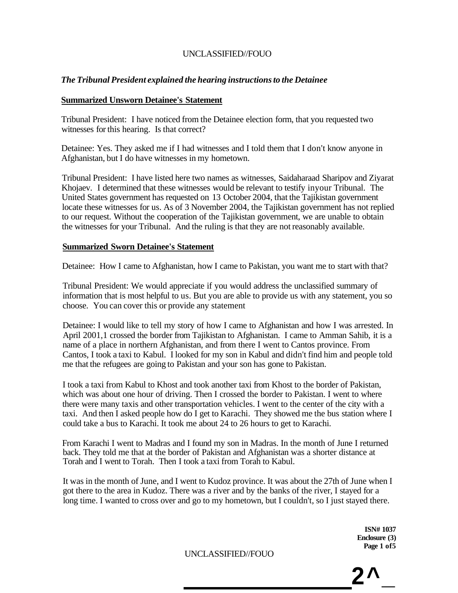# *The Tribunal President explained the hearing instructions to the Detainee*

#### **Summarized Unsworn Detainee's Statement**

Tribunal President: I have noticed from the Detainee election form, that you requested two witnesses for this hearing. Is that correct?

Detainee: Yes. They asked me if I had witnesses and I told them that I don't know anyone in Afghanistan, but I do have witnesses in my hometown.

Tribunal President: I have listed here two names as witnesses, Saidaharaad Sharipov and Ziyarat Khojaev. I determined that these witnesses would be relevant to testify inyour Tribunal. The United States government has requested on 13 October 2004, that the Tajikistan government locate these witnesses for us. As of 3 November 2004, the Tajikistan government has not replied to our request. Without the cooperation of the Tajikistan government, we are unable to obtain the witnesses for your Tribunal. And the ruling is that they are not reasonably available.

### **Summarized Sworn Detainee's Statement**

Detainee: How I came to Afghanistan, how I came to Pakistan, you want me to start with that?

Tribunal President: We would appreciate if you would address the unclassified summary of information that is most helpful to us. But you are able to provide us with any statement, you so choose. You can cover this or provide any statement

Detainee: I would like to tell my story of how I came to Afghanistan and how I was arrested. In April 2001,1 crossed the border from Tajikistan to Afghanistan. I came to Amman Sahib, it is a name of a place in northern Afghanistan, and from there I went to Cantos province. From Cantos, I took a taxi to Kabul. I looked for my son in Kabul and didn't find him and people told me that the refugees are going to Pakistan and your son has gone to Pakistan.

I took a taxi from Kabul to Khost and took another taxi from Khost to the border of Pakistan, which was about one hour of driving. Then I crossed the border to Pakistan. I went to where there were many taxis and other transportation vehicles. I went to the center of the city with a taxi. And then I asked people how do I get to Karachi. They showed me the bus station where I could take a bus to Karachi. It took me about 24 to 26 hours to get to Karachi.

From Karachi I went to Madras and I found my son in Madras. In the month of June I returned back. They told me that at the border of Pakistan and Afghanistan was a shorter distance at Torah and I went to Torah. Then I took a taxi from Torah to Kabul.

It was in the month of June, and I went to Kudoz province. It was about the 27th of June when I got there to the area in Kudoz. There was a river and by the banks of the river, I stayed for a long time. I wanted to cross over and go to my hometown, but I couldn't, so I just stayed there.

> **ISN# 1037 Enclosure (3) Page 1 of5**

UNCLASSIFIED//FOUO

 $2^{\lambda}$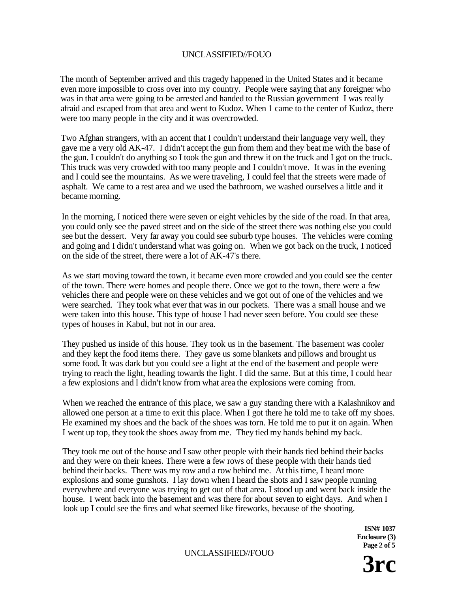The month of September arrived and this tragedy happened in the United States and it became even more impossible to cross over into my country. People were saying that any foreigner who was in that area were going to be arrested and handed to the Russian government I was really afraid and escaped from that area and went to Kudoz. When 1 came to the center of Kudoz, there were too many people in the city and it was overcrowded.

Two Afghan strangers, with an accent that I couldn't understand their language very well, they gave me a very old AK-47. I didn't accept the gun from them and they beat me with the base of the gun. I couldn't do anything so I took the gun and threw it on the truck and I got on the truck. This truck was very crowded with too many people and I couldn't move. It was in the evening and I could see the mountains. As we were traveling, I could feel that the streets were made of asphalt. We came to a rest area and we used the bathroom, we washed ourselves a little and it became morning.

In the morning, I noticed there were seven or eight vehicles by the side of the road. In that area, you could only see the paved street and on the side of the street there was nothing else you could see but the dessert. Very far away you could see suburb type houses. The vehicles were coming and going and I didn't understand what was going on. When we got back on the truck, I noticed on the side of the street, there were a lot of AK-47's there.

As we start moving toward the town, it became even more crowded and you could see the center of the town. There were homes and people there. Once we got to the town, there were a few vehicles there and people were on these vehicles and we got out of one of the vehicles and we were searched. They took what ever that was in our pockets. There was a small house and we were taken into this house. This type of house I had never seen before. You could see these types of houses in Kabul, but not in our area.

They pushed us inside of this house. They took us in the basement. The basement was cooler and they kept the food items there. They gave us some blankets and pillows and brought us some food. It was dark but you could see a light at the end of the basement and people were trying to reach the light, heading towards the light. I did the same. But at this time, I could hear a few explosions and I didn't know from what area the explosions were coming from.

When we reached the entrance of this place, we saw a guy standing there with a Kalashnikov and allowed one person at a time to exit this place. When I got there he told me to take off my shoes. He examined my shoes and the back of the shoes was torn. He told me to put it on again. When I went up top, they took the shoes away from me. They tied my hands behind my back.

They took me out of the house and I saw other people with their hands tied behind their backs and they were on their knees. There were a few rows of these people with their hands tied behind their backs. There was my row and a row behind me. At this time, I heard more explosions and some gunshots. I lay down when I heard the shots and I saw people running everywhere and everyone was trying to get out of that area. I stood up and went back inside the house. I went back into the basement and was there for about seven to eight days. And when I look up I could see the fires and what seemed like fireworks, because of the shooting.

> **ISN# 1037 Enclosure (3) Page 2 of 5**

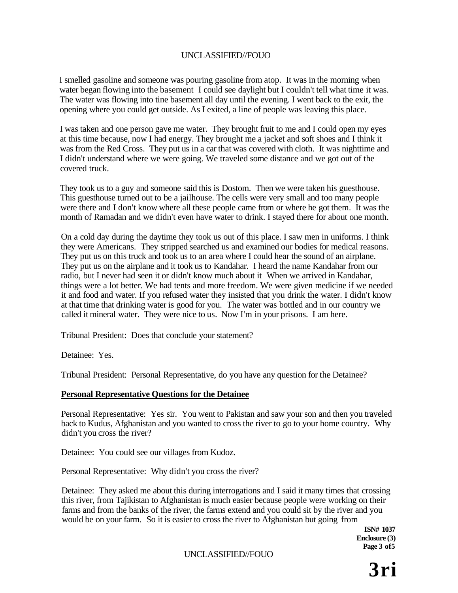I smelled gasoline and someone was pouring gasoline from atop. It was in the morning when water began flowing into the basement I could see daylight but I couldn't tell what time it was. The water was flowing into tine basement all day until the evening. I went back to the exit, the opening where you could get outside. As I exited, a line of people was leaving this place.

I was taken and one person gave me water. They brought fruit to me and I could open my eyes at this time because, now I had energy. They brought me a jacket and soft shoes and I think it was from the Red Cross. They put us in a car that was covered with cloth. It was nighttime and I didn't understand where we were going. We traveled some distance and we got out of the covered truck.

They took us to a guy and someone said this is Dostom. Then we were taken his guesthouse. This guesthouse turned out to be a jailhouse. The cells were very small and too many people were there and I don't know where all these people came from or where he got them. It was the month of Ramadan and we didn't even have water to drink. I stayed there for about one month.

On a cold day during the daytime they took us out of this place. I saw men in uniforms. I think they were Americans. They stripped searched us and examined our bodies for medical reasons. They put us on this truck and took us to an area where I could hear the sound of an airplane. They put us on the airplane and it took us to Kandahar. I heard the name Kandahar from our radio, but I never had seen it or didn't know much about it When we arrived in Kandahar, things were a lot better. We had tents and more freedom. We were given medicine if we needed it and food and water. If you refused water they insisted that you drink the water. I didn't know at that time that drinking water is good for you. The water was bottled and in our country we called it mineral water. They were nice to us. Now I'm in your prisons. I am here.

Tribunal President: Does that conclude your statement?

Detainee: Yes.

Tribunal President: Personal Representative, do you have any question for the Detainee?

#### **Personal Representative Questions for the Detainee**

Personal Representative: Yes sir. You went to Pakistan and saw your son and then you traveled back to Kudus, Afghanistan and you wanted to cross the river to go to your home country. Why didn't you cross the river?

Detainee: You could see our villages from Kudoz.

Personal Representative: Why didn't you cross the river?

Detainee: They asked me about this during interrogations and I said it many times that crossing this river, from Tajikistan to Afghanistan is much easier because people were working on their farms and from the banks of the river, the farms extend and you could sit by the river and you would be on your farm. So it is easier to cross the river to Afghanistan but going from

> **ISN# 1037 Enclosure (3) Page 3 of5**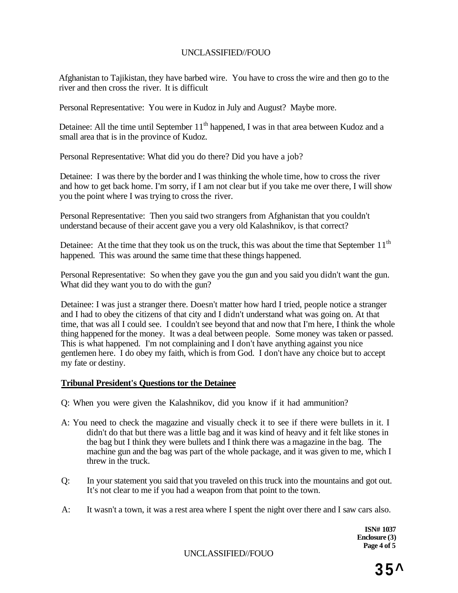Afghanistan to Tajikistan, they have barbed wire. You have to cross the wire and then go to the river and then cross the river. It is difficult

Personal Representative: You were in Kudoz in July and August? Maybe more.

Detainee: All the time until September  $11<sup>th</sup>$  happened, I was in that area between Kudoz and a small area that is in the province of Kudoz.

Personal Representative: What did you do there? Did you have a job?

Detainee: I was there by the border and I was thinking the whole time, how to cross the river and how to get back home. I'm sorry, if I am not clear but if you take me over there, I will show you the point where I was trying to cross the river.

Personal Representative: Then you said two strangers from Afghanistan that you couldn't understand because of their accent gave you a very old Kalashnikov, is that correct?

Detainee: At the time that they took us on the truck, this was about the time that September  $11<sup>th</sup>$ happened. This was around the same time that these things happened.

Personal Representative: So when they gave you the gun and you said you didn't want the gun. What did they want you to do with the gun?

Detainee: I was just a stranger there. Doesn't matter how hard I tried, people notice a stranger and I had to obey the citizens of that city and I didn't understand what was going on. At that time, that was all I could see. I couldn't see beyond that and now that I'm here, I think the whole thing happened for the money. It was a deal between people. Some money was taken or passed. This is what happened. I'm not complaining and I don't have anything against you nice gentlemen here. I do obey my faith, which is from God. I don't have any choice but to accept my fate or destiny.

# **Tribunal President's Questions tor the Detainee**

Q: When you were given the Kalashnikov, did you know if it had ammunition?

- A: You need to check the magazine and visually check it to see if there were bullets in it. I didn't do that but there was a little bag and it was kind of heavy and it felt like stones in the bag but I think they were bullets and I think there was a magazine in the bag. The machine gun and the bag was part of the whole package, and it was given to me, which I threw in the truck.
- Q: In your statement you said that you traveled on this truck into the mountains and got out. It's not clear to me if you had a weapon from that point to the town.
- A: It wasn't a town, it was a rest area where I spent the night over there and I saw cars also.

**ISN# 1037 Enclosure (3) Page 4 of 5**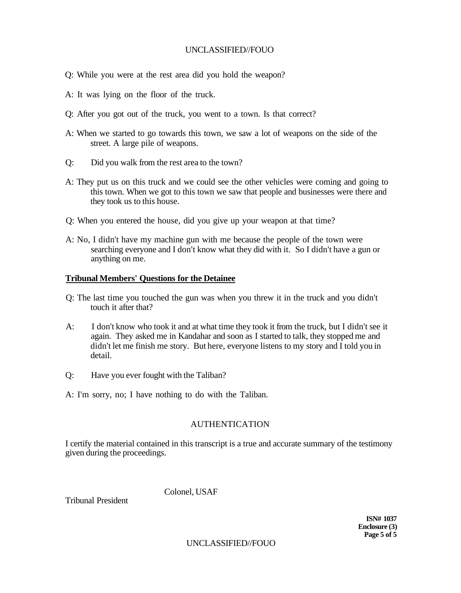- Q: While you were at the rest area did you hold the weapon?
- A: It was lying on the floor of the truck.
- Q: After you got out of the truck, you went to a town. Is that correct?
- A: When we started to go towards this town, we saw a lot of weapons on the side of the street. A large pile of weapons.
- Q: Did you walk from the rest area to the town?
- A: They put us on this truck and we could see the other vehicles were coming and going to this town. When we got to this town we saw that people and businesses were there and they took us to this house.
- Q: When you entered the house, did you give up your weapon at that time?
- A: No, I didn't have my machine gun with me because the people of the town were searching everyone and I don't know what they did with it. So I didn't have a gun or anything on me.

#### **Tribunal Members' Questions for the Detainee**

- Q: The last time you touched the gun was when you threw it in the truck and you didn't touch it after that?
- A: I don't know who took it and at what time they took it from the truck, but I didn't see it again. They asked me in Kandahar and soon as I started to talk, they stopped me and didn't let me finish me story. But here, everyone listens to my story and I told you in detail.
- Q: Have you ever fought with the Taliban?
- A: I'm sorry, no; I have nothing to do with the Taliban.

Colonel, USAF

# AUTHENTICATION

I certify the material contained in this transcript is a true and accurate summary of the testimony given during the proceedings.

Tribunal President

**ISN# 1037 Enclosure (3) Page 5 of 5**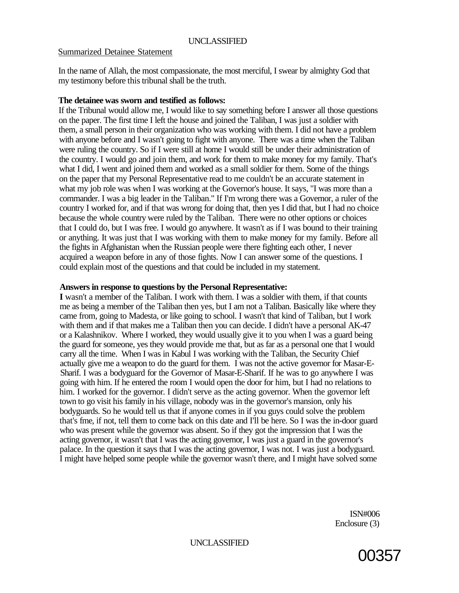# Summarized Detainee Statement

In the name of Allah, the most compassionate, the most merciful, I swear by almighty God that my testimony before this tribunal shall be the truth.

# **The detainee was sworn and testified as follows:**

If the Tribunal would allow me, I would like to say something before I answer all those questions on the paper. The first time I left the house and joined the Taliban, I was just a soldier with them, a small person in their organization who was working with them. I did not have a problem with anyone before and I wasn't going to fight with anyone. There was a time when the Taliban were ruling the country. So if I were still at home I would still be under their administration of the country. I would go and join them, and work for them to make money for my family. That's what I did, I went and joined them and worked as a small soldier for them. Some of the things on the paper that my Personal Representative read to me couldn't be an accurate statement in what my job role was when I was working at the Governor's house. It says, "I was more than a commander. I was a big leader in the Taliban." If I'm wrong there was a Governor, a ruler of the country I worked for, and if that was wrong for doing that, then yes I did that, but I had no choice because the whole country were ruled by the Taliban. There were no other options or choices that I could do, but I was free. I would go anywhere. It wasn't as if I was bound to their training or anything. It was just that I was working with them to make money for my family. Before all the fights in Afghanistan when the Russian people were there fighting each other, I never acquired a weapon before in any of those fights. Now I can answer some of the questions. I could explain most of the questions and that could be included in my statement.

### **Answers in response to questions by the Personal Representative:**

**I** wasn't a member of the Taliban. I work with them. I was a soldier with them, if that counts me as being a member of the Taliban then yes, but I am not a Taliban. Basically like where they came from, going to Madesta, or like going to school. I wasn't that kind of Taliban, but I work with them and if that makes me a Taliban then you can decide. I didn't have a personal AK-47 or a Kalashnikov. Where I worked, they would usually give it to you when I was a guard being the guard for someone, yes they would provide me that, but as far as a personal one that I would carry all the time. When I was in Kabul I was working with the Taliban, the Security Chief actually give me a weapon to do the guard for them. I was not the active governor for Masar-E-Sharif. I was a bodyguard for the Governor of Masar-E-Sharif. If he was to go anywhere I was going with him. If he entered the room I would open the door for him, but I had no relations to him. I worked for the governor. I didn't serve as the acting governor. When the governor left town to go visit his family in his village, nobody was in the governor's mansion, only his bodyguards. So he would tell us that if anyone comes in if you guys could solve the problem that's fme, if not, tell them to come back on this date and I'll be here. So I was the in-door guard who was present while the governor was absent. So if they got the impression that I was the acting governor, it wasn't that I was the acting governor, I was just a guard in the governor's palace. In the question it says that I was the acting governor, I was not. I was just a bodyguard. I might have helped some people while the governor wasn't there, and I might have solved some

> ISN#006 Enclosure (3)

UNCLASSIFIED

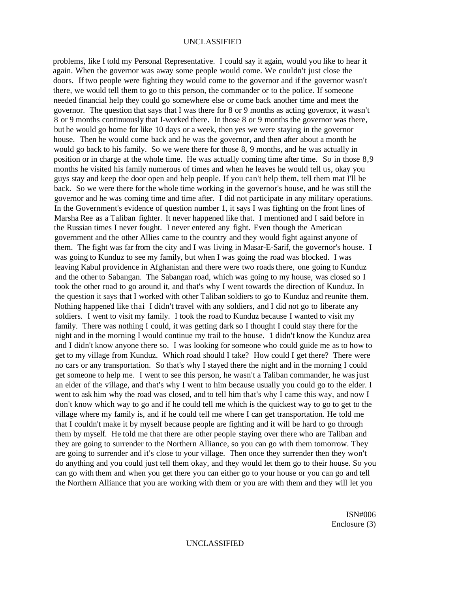#### UNCLASSIFIED

problems, like I told my Personal Representative. I could say it again, would you like to hear it again. When the governor was away some people would come. We couldn't just close the doors. If two people were fighting they would come to the governor and if the governor wasn't there, we would tell them to go to this person, the commander or to the police. If someone needed financial help they could go somewhere else or come back another time and meet the governor. The question that says that I was there for 8 or 9 months as acting governor, it wasn't 8 or 9 months continuously that I-worked there. In those 8 or 9 months the governor was there, but he would go home for like 10 days or a week, then yes we were staying in the governor house. Then he would come back and he was the governor, and then after about a month he would go back to his family. So we were there for those 8, 9 months, and he was actually in position or in charge at the whole time. He was actually coming time after time. So in those 8,9 months he visited his family numerous of times and when he leaves he would tell us, okay you guys stay and keep the door open and help people. If you can't help them, tell them mat I'll be back. So we were there for the whole time working in the governor's house, and he was still the governor and he was coming time and time after. I did not participate in any military operations. In the Government's evidence of question number 1, it says I was fighting on the front lines of Marsha Ree as a Taliban fighter. It never happened like that. I mentioned and I said before in the Russian times I never fought. I never entered any fight. Even though the American government and the other Allies came to the country and they would fight against anyone of them. The fight was far from the city and I was living in Masar-E-Sarif, the governor's house. I was going to Kunduz to see my family, but when I was going the road was blocked. I was leaving Kabul providence in Afghanistan and there were two roads there, one going to Kunduz and the other to Sabangan. The Sabangan road, which was going to my house, was closed so I took the other road to go around it, and that's why I went towards the direction of Kunduz. In the question it says that I worked with other Taliban soldiers to go to Kunduz and reunite them. Nothing happened like thai I didn't travel with any soldiers, and I did not go to liberate any soldiers. I went to visit my family. I took the road to Kunduz because I wanted to visit my family. There was nothing I could, it was getting dark so I thought I could stay there for the night and in the morning I would continue my trail to the house. 1 didn't know the Kunduz area and I didn't know anyone there so. I was looking for someone who could guide me as to how to get to my village from Kunduz. Which road should I take? How could I get there? There were no cars or any transportation. So that's why I stayed there the night and in the morning I could get someone to help me. I went to see this person, he wasn't a Taliban commander, he was just an elder of the village, and that's why I went to him because usually you could go to the elder. I went to ask him why the road was closed, and to tell him that's why I came this way, and now I don't know which way to go and if he could tell me which is the quickest way to go to get to the village where my family is, and if he could tell me where I can get transportation. He told me that I couldn't make it by myself because people are fighting and it will be hard to go through them by myself. He told me that there are other people staying over there who are Taliban and they are going to surrender to the Northern Alliance, so you can go with them tomorrow. They are going to surrender and it's close to your village. Then once they surrender then they won't do anything and you could just tell them okay, and they would let them go to their house. So you can go with them and when you get there you can either go to your house or you can go and tell the Northern Alliance that you are working with them or you are with them and they will let you

> ISN#006 Enclosure (3)

UNCLASSIFIED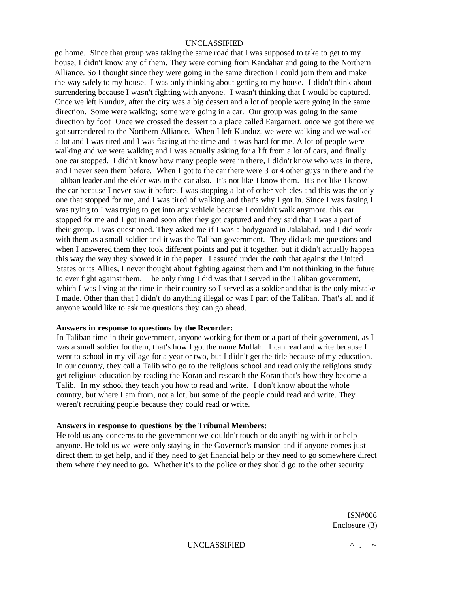#### UNCLASSIFIED

go home. Since that group was taking the same road that I was supposed to take to get to my house, I didn't know any of them. They were coming from Kandahar and going to the Northern Alliance. So I thought since they were going in the same direction I could join them and make the way safely to my house. I was only thinking about getting to my house. I didn't think about surrendering because I wasn't fighting with anyone. I wasn't thinking that I would be captured. Once we left Kunduz, after the city was a big dessert and a lot of people were going in the same direction. Some were walking; some were going in a car. Our group was going in the same direction by foot Once we crossed the dessert to a place called Eargarnert, once we got there we got surrendered to the Northern Alliance. When I left Kunduz, we were walking and we walked a lot and I was tired and I was fasting at the time and it was hard for me. A lot of people were walking and we were walking and I was actually asking for a lift from a lot of cars, and finally one car stopped. I didn't know how many people were in there, I didn't know who was in there, and I never seen them before. When I got to the car there were 3 or 4 other guys in there and the Taliban leader and the elder was in the car also. It's not like I know them. It's not like I know the car because I never saw it before. I was stopping a lot of other vehicles and this was the only one that stopped for me, and I was tired of walking and that's why I got in. Since I was fasting I was trying to I was trying to get into any vehicle because I couldn't walk anymore, this car stopped for me and I got in and soon after they got captured and they said that I was a part of their group. I was questioned. They asked me if I was a bodyguard in Jalalabad, and I did work with them as a small soldier and it was the Taliban government. They did ask me questions and when I answered them they took different points and put it together, but it didn't actually happen this way the way they showed it in the paper. I assured under the oath that against the United States or its Allies, I never thought about fighting against them and I'm not thinking in the future to ever fight against them. The only thing I did was that I served in the Taliban government, which I was living at the time in their country so I served as a soldier and that is the only mistake I made. Other than that I didn't do anything illegal or was I part of the Taliban. That's all and if anyone would like to ask me questions they can go ahead.

#### **Answers in response to questions by the Recorder:**

In Taliban time in their government, anyone working for them or a part of their government, as I was a small soldier for them, that's how I got the name Mullah. I can read and write because I went to school in my village for a year or two, but I didn't get the title because of my education. In our country, they call a Talib who go to the religious school and read only the religious study get religious education by reading the Koran and research the Koran that's how they become a Talib. In my school they teach you how to read and write. I don't know about the whole country, but where I am from, not a lot, but some of the people could read and write. They weren't recruiting people because they could read or write.

#### **Answers in response to questions by the Tribunal Members:**

He told us any concerns to the government we couldn't touch or do anything with it or help anyone. He told us we were only staying in the Governor's mansion and if anyone comes just direct them to get help, and if they need to get financial help or they need to go somewhere direct them where they need to go. Whether it's to the police or they should go to the other security

> ISN#006 Enclosure (3)

UNCLASSIFIED  $\sim$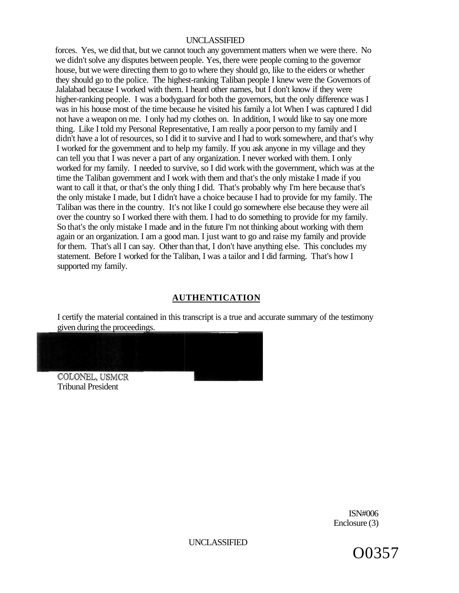## UNCLASSIFIED

forces. Yes, we did that, but we cannot touch any government matters when we were there. No we didn't solve any disputes between people. Yes, there were people coming to the governor house, but we were directing them to go to where they should go, like to the eiders or whether they should go to the police. The highest-ranking Taliban people I knew were the Governors of Jalalabad because I worked with them. I heard other names, but I don't know if they were higher-ranking people. I was a bodyguard for both the governors, but the only difference was I was in his house most of the time because he visited his family a lot When I was captured I did not have a weapon on me. I only had my clothes on. In addition, I would like to say one more thing. Like I told my Personal Representative, I am really a poor person to my family and I didn't have a lot of resources, so I did it to survive and I had to work somewhere, and that's why I worked for the government and to help my family. If you ask anyone in my village and they can tell you that I was never a part of any organization. I never worked with them. I only worked for my family. I needed to survive, so I did work with the government, which was at the time the Taliban government and I work with them and that's the only mistake I made if you want to call it that, or that's the only thing I did. That's probably why I'm here because that's the only mistake I made, but I didn't have a choice because I had to provide for my family. The Taliban was there in the country. It's not like I could go somewhere else because they were ail over the country so I worked there with them. I had to do something to provide for my family. So that's the only mistake I made and in the future I'm not thinking about working with them again or an organization. I am a good man. I just want to go and raise my family and provide for them. That's all I can say. Other than that, I don't have anything else. This concludes my statement. Before I worked for the Taliban, I was a tailor and I did farming. That's how I supported my family.

# **AUTHENTICATION**

I certify the material contained in this transcript is a true and accurate summary of the testimony given during the proceedings.

COLONEL, USMCR Tribunal President

ISN#006 Enclosure (3)

UNCLASSIFIED

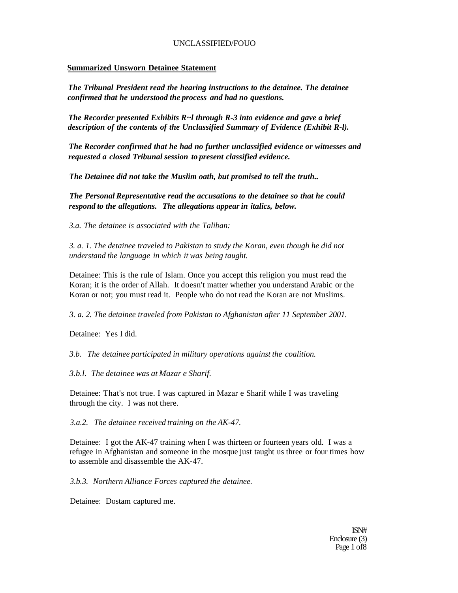### **Summarized Unsworn Detainee Statement**

*The Tribunal President read the hearing instructions to the detainee. The detainee confirmed that he understood the process and had no questions.* 

*The Recorder presented Exhibits R~l through R-3 into evidence and gave a brief description of the contents of the Unclassified Summary of Evidence (Exhibit R-l).* 

*The Recorder confirmed that he had no further unclassified evidence or witnesses and requested a closed Tribunal session to present classified evidence.* 

*The Detainee did not take the Muslim oath, but promised to tell the truth..* 

*The Personal Representative read the accusations to the detainee so that he could respond to the allegations. The allegations appear in italics, below.* 

*3.a. The detainee is associated with the Taliban:* 

*3. a. 1. The detainee traveled to Pakistan to study the Koran, even though he did not understand the language in which it was being taught.* 

Detainee: This is the rule of Islam. Once you accept this religion you must read the Koran; it is the order of Allah. It doesn't matter whether you understand Arabic or the Koran or not; you must read it. People who do not read the Koran are not Muslims.

*3. a. 2. The detainee traveled from Pakistan to Afghanistan after 11 September 2001.* 

Detainee: Yes I did.

*3.b. The detainee participated in military operations against the coalition.* 

*3.b.l. The detainee was at Mazar e Sharif.* 

Detainee: That's not true. I was captured in Mazar e Sharif while I was traveling through the city. I was not there.

*3.a.2. The detainee received training on the AK-47.* 

Detainee: I got the AK-47 training when I was thirteen or fourteen years old. I was a refugee in Afghanistan and someone in the mosque just taught us three or four times how to assemble and disassemble the AK-47.

*3.b.3. Northern Alliance Forces captured the detainee.* 

Detainee: Dostam captured me.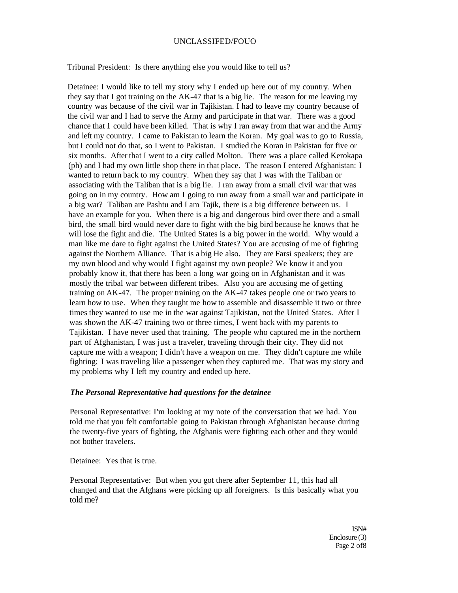Tribunal President: Is there anything else you would like to tell us?

Detainee: I would like to tell my story why I ended up here out of my country. When they say that I got training on the AK-47 that is a big lie. The reason for me leaving my country was because of the civil war in Tajikistan. I had to leave my country because of the civil war and I had to serve the Army and participate in that war. There was a good chance that 1 could have been killed. That is why I ran away from that war and the Army and left my country. I came to Pakistan to learn the Koran. My goal was to go to Russia, but I could not do that, so I went to Pakistan. I studied the Koran in Pakistan for five or six months. After that I went to a city called Molton. There was a place called Kerokapa (ph) and I had my own little shop there in that place. The reason I entered Afghanistan: I wanted to return back to my country. When they say that I was with the Taliban or associating with the Taliban that is a big lie. I ran away from a small civil war that was going on in my country. How am I going to run away from a small war and participate in a big war? Taliban are Pashtu and I am Tajik, there is a big difference between us. I have an example for you. When there is a big and dangerous bird over there and a small bird, the small bird would never dare to fight with the big bird because he knows that he will lose the fight and die. The United States is a big power in the world. Why would a man like me dare to fight against the United States? You are accusing of me of fighting against the Northern Alliance. That is a big He also. They are Farsi speakers; they are my own blood and why would I fight against my own people? We know it and you probably know it, that there has been a long war going on in Afghanistan and it was mostly the tribal war between different tribes. Also you are accusing me of getting training on AK-47. The proper training on the AK-47 takes people one or two years to learn how to use. When they taught me how to assemble and disassemble it two or three times they wanted to use me in the war against Tajikistan, not the United States. After I was shown the AK-47 training two or three times, I went back with my parents to Tajikistan. I have never used that training. The people who captured me in the northern part of Afghanistan, I was just a traveler, traveling through their city. They did not capture me with a weapon; I didn't have a weapon on me. They didn't capture me while fighting; I was traveling like a passenger when they captured me. That was my story and my problems why I left my country and ended up here.

### *The Personal Representative had questions for the detainee*

Personal Representative: I'm looking at my note of the conversation that we had. You told me that you felt comfortable going to Pakistan through Afghanistan because during the twenty-five years of fighting, the Afghanis were fighting each other and they would not bother travelers.

Detainee: Yes that is true.

Personal Representative: But when you got there after September 11, this had all changed and that the Afghans were picking up all foreigners. Is this basically what you told me?

> ISN# Enclosure (3) Page 2 of8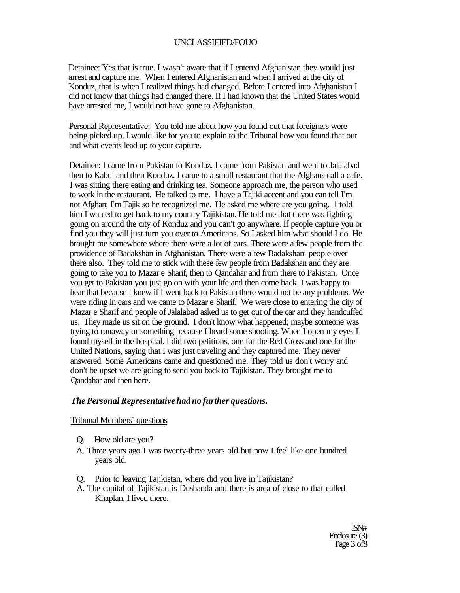Detainee: Yes that is true. I wasn't aware that if I entered Afghanistan they would just arrest and capture me. When I entered Afghanistan and when I arrived at the city of Konduz, that is when I realized things had changed. Before I entered into Afghanistan I did not know that things had changed there. If I had known that the United States would have arrested me, I would not have gone to Afghanistan.

Personal Representative: You told me about how you found out that foreigners were being picked up. I would like for you to explain to the Tribunal how you found that out and what events lead up to your capture.

Detainee: I came from Pakistan to Konduz. I came from Pakistan and went to Jalalabad then to Kabul and then Konduz. I came to a small restaurant that the Afghans call a cafe. I was sitting there eating and drinking tea. Someone approach me, the person who used to work in the restaurant. He talked to me. I have a Tajiki accent and you can tell I'm not Afghan; I'm Tajik so he recognized me. He asked me where are you going. 1 told him I wanted to get back to my country Tajikistan. He told me that there was fighting going on around the city of Konduz and you can't go anywhere. If people capture you or find you they will just turn you over to Americans. So I asked him what should I do. He brought me somewhere where there were a lot of cars. There were a few people from the providence of Badakshan in Afghanistan. There were a few Badakshani people over there also. They told me to stick with these few people from Badakshan and they are going to take you to Mazar e Sharif, then to Qandahar and from there to Pakistan. Once you get to Pakistan you just go on with your life and then come back. I was happy to hear that because I knew if I went back to Pakistan there would not be any problems. We were riding in cars and we came to Mazar e Sharif. We were close to entering the city of Mazar e Sharif and people of Jalalabad asked us to get out of the car and they handcuffed us. They made us sit on the ground. I don't know what happened; maybe someone was trying to runaway or something because I heard some shooting. When I open my eyes I found myself in the hospital. I did two petitions, one for the Red Cross and one for the United Nations, saying that I was just traveling and they captured me. They never answered. Some Americans came and questioned me. They told us don't worry and don't be upset we are going to send you back to Tajikistan. They brought me to Qandahar and then here.

#### *The Personal Representative had no further questions.*

#### Tribunal Members' questions

- Q. How old are you?
- A. Three years ago I was twenty-three years old but now I feel like one hundred years old.
- Q. Prior to leaving Tajikistan, where did you live in Tajikistan?
- A. The capital of Tajikistan is Dushanda and there is area of close to that called Khaplan, I lived there.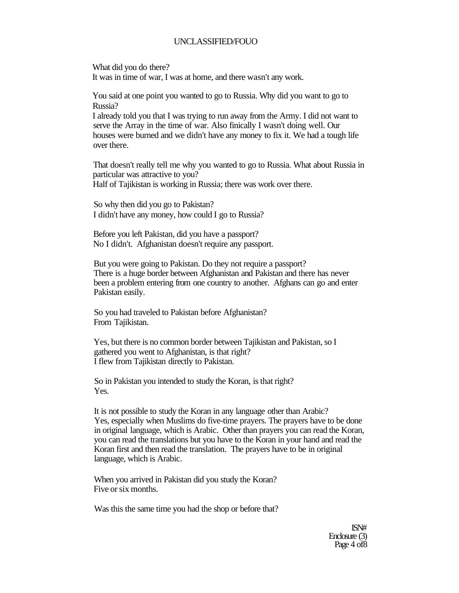What did you do there? It was in time of war, I was at home, and there wasn't any work.

You said at one point you wanted to go to Russia. Why did you want to go to Russia?

I already told you that I was trying to run away from the Army. I did not want to serve the Array in the time of war. Also finically I wasn't doing well. Our houses were burned and we didn't have any money to fix it. We had a tough life over there.

That doesn't really tell me why you wanted to go to Russia. What about Russia in particular was attractive to you? Half of Tajikistan is working in Russia; there was work over there.

So why then did you go to Pakistan? I didn't have any money, how could I go to Russia?

Before you left Pakistan, did you have a passport? No I didn't. Afghanistan doesn't require any passport.

But you were going to Pakistan. Do they not require a passport? There is a huge border between Afghanistan and Pakistan and there has never been a problem entering from one country to another. Afghans can go and enter Pakistan easily.

So you had traveled to Pakistan before Afghanistan? From Tajikistan.

Yes, but there is no common border between Tajikistan and Pakistan, so I gathered you went to Afghanistan, is that right? I flew from Tajikistan directly to Pakistan.

So in Pakistan you intended to study the Koran, is that right? Yes.

It is not possible to study the Koran in any language other than Arabic? Yes, especially when Muslims do five-time prayers. The prayers have to be done in original language, which is Arabic. Other than prayers you can read the Koran, you can read the translations but you have to the Koran in your hand and read the Koran first and then read the translation. The prayers have to be in original language, which is Arabic.

When you arrived in Pakistan did you study the Koran? Five or six months.

Was this the same time you had the shop or before that?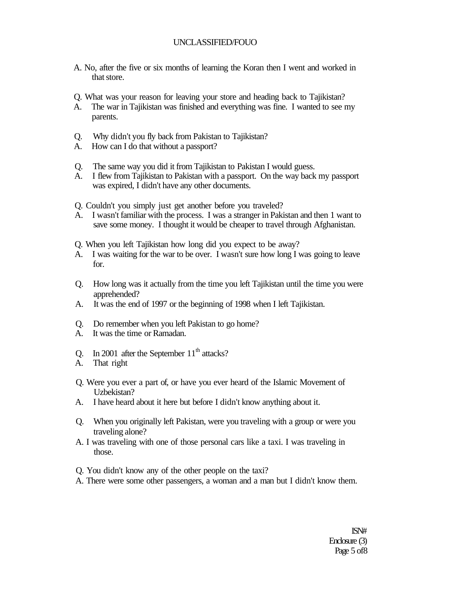- A. No, after the five or six months of learning the Koran then I went and worked in that store.
- Q. What was your reason for leaving your store and heading back to Tajikistan?
- A. The war in Tajikistan was finished and everything was fine. I wanted to see my parents.
- Q. Why didn't you fly back from Pakistan to Tajikistan?
- A. How can I do that without a passport?
- Q. The same way you did it from Tajikistan to Pakistan I would guess.
- A. I flew from Tajikistan to Pakistan with a passport. On the way back my passport was expired, I didn't have any other documents.
- Q. Couldn't you simply just get another before you traveled?
- A. I wasn't familiar with the process. I was a stranger in Pakistan and then 1 want to save some money. I thought it would be cheaper to travel through Afghanistan.
- Q. When you left Tajikistan how long did you expect to be away?
- A. I was waiting for the war to be over. I wasn't sure how long I was going to leave for.
- Q. How long was it actually from the time you left Tajikistan until the time you were apprehended?
- A. It was the end of 1997 or the beginning of 1998 when I left Tajikistan.
- Q. Do remember when you left Pakistan to go home?
- A. It was the time or Ramadan.
- Q. In 2001 after the September  $11<sup>th</sup>$  attacks?
- A. That right
- Q. Were you ever a part of, or have you ever heard of the Islamic Movement of Uzbekistan?
- A. I have heard about it here but before I didn't know anything about it.
- Q. When you originally left Pakistan, were you traveling with a group or were you traveling alone?
- A. I was traveling with one of those personal cars like a taxi. I was traveling in those.
- Q. You didn't know any of the other people on the taxi?
- A. There were some other passengers, a woman and a man but I didn't know them.

ISN# Enclosure (3) Page 5 of8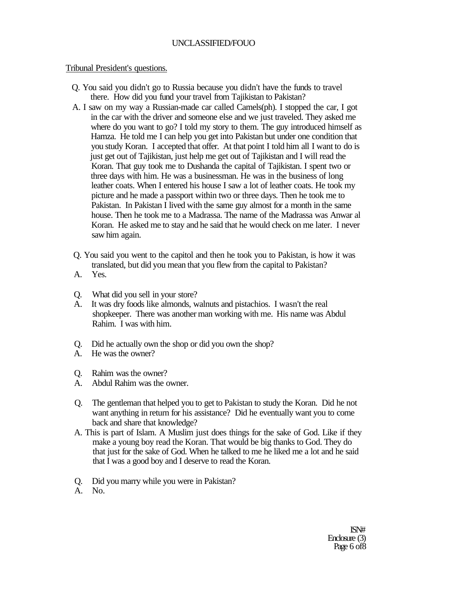### Tribunal President's questions.

- Q. You said you didn't go to Russia because you didn't have the funds to travel there. How did you fund your travel from Tajikistan to Pakistan?
- A. I saw on my way a Russian-made car called Camels(ph). I stopped the car, I got in the car with the driver and someone else and we just traveled. They asked me where do you want to go? I told my story to them. The guy introduced himself as Hamza. He told me I can help you get into Pakistan but under one condition that you study Koran. I accepted that offer. At that point I told him all I want to do is just get out of Tajikistan, just help me get out of Tajikistan and I will read the Koran. That guy took me to Dushanda the capital of Tajikistan. I spent two or three days with him. He was a businessman. He was in the business of long leather coats. When I entered his house I saw a lot of leather coats. He took my picture and he made a passport within two or three days. Then he took me to Pakistan. In Pakistan I lived with the same guy almost for a month in the same house. Then he took me to a Madrassa. The name of the Madrassa was Anwar al Koran. He asked me to stay and he said that he would check on me later. I never saw him again.
- Q. You said you went to the capitol and then he took you to Pakistan, is how it was translated, but did you mean that you flew from the capital to Pakistan?
- A. Yes.
- Q. What did you sell in your store?
- A. It was dry foods like almonds, walnuts and pistachios. I wasn't the real shopkeeper. There was another man working with me. His name was Abdul Rahim. I was with him.
- Q. Did he actually own the shop or did you own the shop?
- A. He was the owner?
- Q. Rahim was the owner?
- A. Abdul Rahim was the owner.
- Q. The gentleman that helped you to get to Pakistan to study the Koran. Did he not want anything in return for his assistance? Did he eventually want you to come back and share that knowledge?
- A. This is part of Islam. A Muslim just does things for the sake of God. Like if they make a young boy read the Koran. That would be big thanks to God. They do that just for the sake of God. When he talked to me he liked me a lot and he said that I was a good boy and I deserve to read the Koran.
- Q. Did you marry while you were in Pakistan?
- A. No.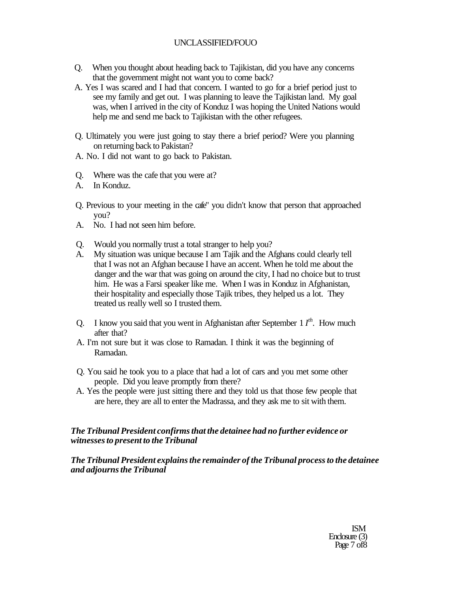- Q. When you thought about heading back to Tajikistan, did you have any concerns that the government might not want you to come back?
- A. Yes I was scared and I had that concern. I wanted to go for a brief period just to see my family and get out. I was planning to leave the Tajikistan land. My goal was, when I arrived in the city of Konduz I was hoping the United Nations would help me and send me back to Tajikistan with the other refugees.
- Q. Ultimately you were just going to stay there a brief period? Were you planning on returning back to Pakistan?
- A. No. I did not want to go back to Pakistan.
- Q. Where was the cafe that you were at?
- A. In Konduz.
- Q. Previous to your meeting in the cafe" you didn't know that person that approached you?
- A. No. I had not seen him before.
- Q. Would you normally trust a total stranger to help you?
- A. My situation was unique because I am Tajik and the Afghans could clearly tell that I was not an Afghan because I have an accent. When he told me about the danger and the war that was going on around the city, I had no choice but to trust him. He was a Farsi speaker like me. When I was in Konduz in Afghanistan, their hospitality and especially those Tajik tribes, they helped us a lot. They treated us really well so I trusted them.
- Q. I know you said that you went in Afghanistan after September 1 *Ith .* How much after that?
- A. I'm not sure but it was close to Ramadan. I think it was the beginning of Ramadan.
- Q. You said he took you to a place that had a lot of cars and you met some other people. Did you leave promptly from there?
- A. Yes the people were just sitting there and they told us that those few people that are here, they are all to enter the Madrassa, and they ask me to sit with them.

### *The Tribunal President confirms that the detainee had no further evidence or witnesses to present to the Tribunal*

*The Tribunal President explains the remainder of the Tribunal process to the detainee and adjourns the Tribunal*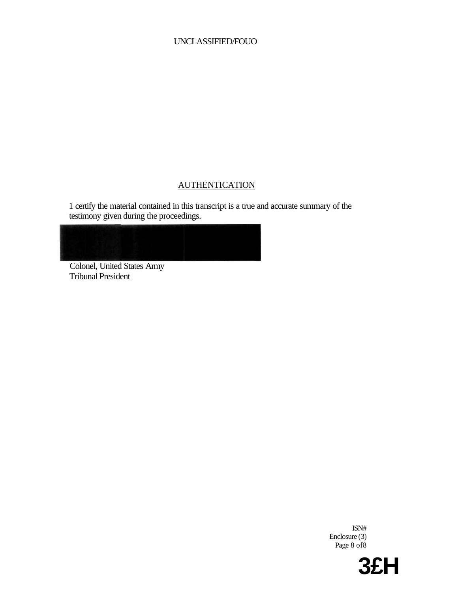# **AUTHENTICATION**

1 certify the material contained in this transcript is a true and accurate summary of the testimony given during the proceedings.



Colonel, United States Army Tribunal President

> ISN# Enclosure (3) Page 8 of 8

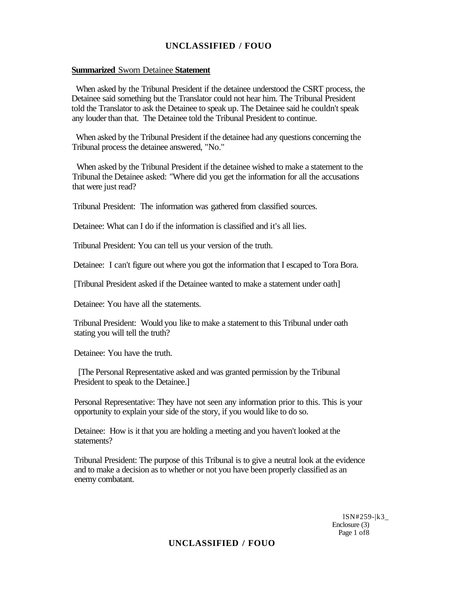### **Summarized** Sworn Detainee **Statement**

When asked by the Tribunal President if the detainee understood the CSRT process, the Detainee said something but the Translator could not hear him. The Tribunal President told the Translator to ask the Detainee to speak up. The Detainee said he couldn't speak any louder than that. The Detainee told the Tribunal President to continue.

When asked by the Tribunal President if the detainee had any questions concerning the Tribunal process the detainee answered, "No."

When asked by the Tribunal President if the detainee wished to make a statement to the Tribunal the Detainee asked: "Where did you get the information for all the accusations that were just read?

Tribunal President: The information was gathered from classified sources.

Detainee: What can I do if the information is classified and it's all lies.

Tribunal President: You can tell us your version of the truth.

Detainee: I can't figure out where you got the information that I escaped to Tora Bora.

[Tribunal President asked if the Detainee wanted to make a statement under oath]

Detainee: You have all the statements.

Tribunal President: Would you like to make a statement to this Tribunal under oath stating you will tell the truth?

Detainee: You have the truth.

[The Personal Representative asked and was granted permission by the Tribunal President to speak to the Detainee.]

Personal Representative: They have not seen any information prior to this. This is your opportunity to explain your side of the story, if you would like to do so.

Detainee: How is it that you are holding a meeting and you haven't looked at the statements?

Tribunal President: The purpose of this Tribunal is to give a neutral look at the evidence and to make a decision as to whether or not you have been properly classified as an enemy combatant.

> lSN#259-|k3\_ Enclosure (3) Page 1 of8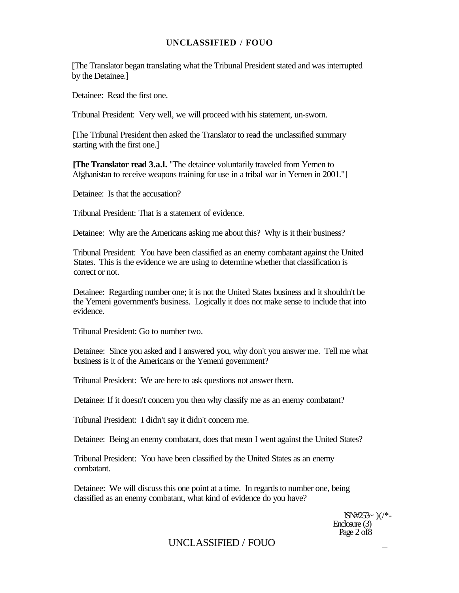[The Translator began translating what the Tribunal President stated and was interrupted by the Detainee.]

Detainee: Read the first one.

Tribunal President: Very well, we will proceed with his statement, un-sworn.

[The Tribunal President then asked the Translator to read the unclassified summary starting with the first one.]

**[The Translator read 3.a.l.** "The detainee voluntarily traveled from Yemen to Afghanistan to receive weapons training for use in a tribal war in Yemen in 2001."]

Detainee: Is that the accusation?

Tribunal President: That is a statement of evidence.

Detainee: Why are the Americans asking me about this? Why is it their business?

Tribunal President: You have been classified as an enemy combatant against the United States. This is the evidence we are using to determine whether that classification is correct or not.

Detainee: Regarding number one; it is not the United States business and it shouldn't be the Yemeni government's business. Logically it does not make sense to include that into evidence.

Tribunal President: Go to number two.

Detainee: Since you asked and I answered you, why don't you answer me. Tell me what business is it of the Americans or the Yemeni government?

Tribunal President: We are here to ask questions not answer them.

Detainee: If it doesn't concern you then why classify me as an enemy combatant?

Tribunal President: I didn't say it didn't concern me.

Detainee: Being an enemy combatant, does that mean I went against the United States?

Tribunal President: You have been classified by the United States as an enemy combatant.

Detainee: We will discuss this one point at a time. In regards to number one, being classified as an enemy combatant, what kind of evidence do you have?

> ISN#253~ )(/\*- Enclosure (3) Page 2 of 8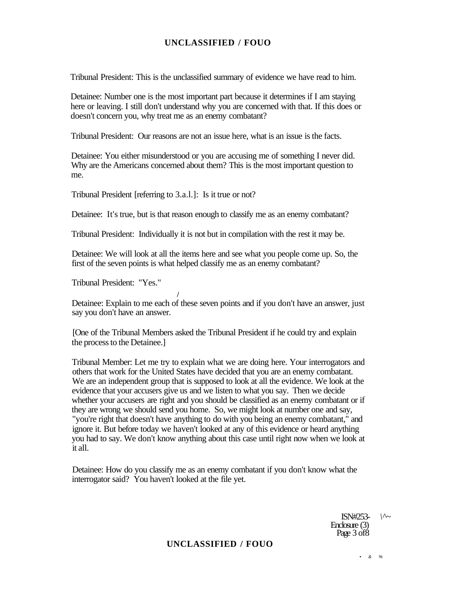Tribunal President: This is the unclassified summary of evidence we have read to him.

Detainee: Number one is the most important part because it determines if I am staying here or leaving. I still don't understand why you are concerned with that. If this does or doesn't concern you, why treat me as an enemy combatant?

Tribunal President: Our reasons are not an issue here, what is an issue is the facts.

Detainee: You either misunderstood or you are accusing me of something I never did. Why are the Americans concerned about them? This is the most important question to me.

Tribunal President [referring to 3.a.l.]: Is it true or not?

Detainee: It's true, but is that reason enough to classify me as an enemy combatant?

Tribunal President: Individually it is not but in compilation with the rest it may be.

Detainee: We will look at all the items here and see what you people come up. So, the first of the seven points is what helped classify me as an enemy combatant?

Tribunal President: "Yes."

**/**  Detainee: Explain to me each of these seven points and if you don't have an answer, just say you don't have an answer.

[One of the Tribunal Members asked the Tribunal President if he could try and explain the process to the Detainee.]

Tribunal Member: Let me try to explain what we are doing here. Your interrogators and others that work for the United States have decided that you are an enemy combatant. We are an independent group that is supposed to look at all the evidence. We look at the evidence that your accusers give us and we listen to what you say. Then we decide whether your accusers are right and you should be classified as an enemy combatant or if they are wrong we should send you home. So, we might look at number one and say, "you're right that doesn't have anything to do with you being an enemy combatant," and ignore it. But before today we haven't looked at any of this evidence or heard anything you had to say. We don't know anything about this case until right now when we look at it all.

Detainee: How do you classify me as an enemy combatant if you don't know what the interrogator said? You haven't looked at the file yet.

> ISN#253- *\^~*  Enclosure (3) Page 3 of 8

#### **UNCLASSIFIED / FOUO**

 $\bullet$   $\theta$   $\theta$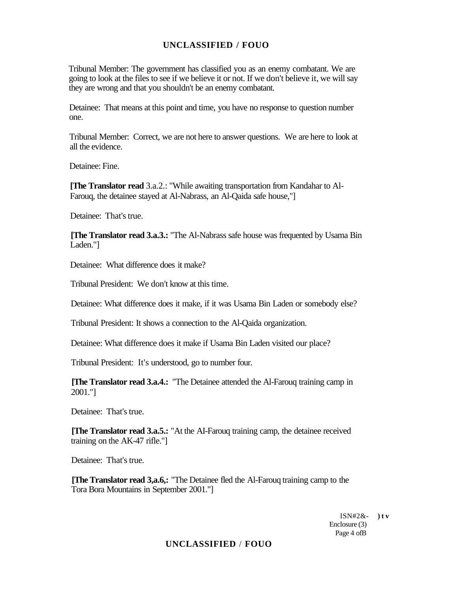Tribunal Member: The government has classified you as an enemy combatant. We are going to look at the files to see if we believe it or not. If we don't believe it, we will say they are wrong and that you shouldn't be an enemy combatant.

Detainee: That means at this point and time, you have no response to question number one.

Tribunal Member: Correct, we are not here to answer questions. We are here to look at all the evidence.

Detainee: Fine.

**[The Translator read** 3.a.2.: "While awaiting transportation from Kandahar to Al-Farouq, the detainee stayed at Al-Nabrass, an Al-Qaida safe house,"]

Detainee: That's true.

**[The Translator read 3.a.3.:** "The Al-Nabrass safe house was frequented by Usama Bin Laden."]

Detainee: What difference does it make?

Tribunal President: We don't know at this time.

Detainee: What difference does it make, if it was Usama Bin Laden or somebody else?

Tribunal President: It shows a connection to the Al-Qaida organization.

Detainee: What difference does it make if Usama Bin Laden visited our place?

Tribunal President: It's understood, go to number four.

**[The Translator read 3.a.4.:** "The Detainee attended the Al-Farouq training camp in 2001."]

Detainee: That's true.

**[The Translator read 3.a.5.:** "At the AI-Farouq training camp, the detainee received training on the AK-47 rifle."]

Detainee: That's true.

**[The Translator read 3,a.6,:** "The Detainee fled the Al-Farouq training camp to the Tora Bora Mountains in September 2001."]

> ISN#2&- **)t v**  Enclosure (3) Page 4 ofB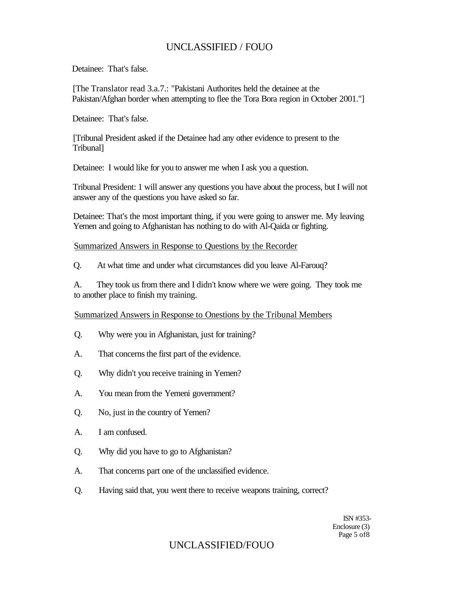Detainee: That's false.

[The Translator read 3.a.7.: "Pakistani Authorites held the detainee at the Pakistan/Afghan border when attempting to flee the Tora Bora region in October 2001."]

Detainee: That's false.

[Tribunal President asked if the Detainee had any other evidence to present to the Tribunal]

Detainee: I would like for you to answer me when I ask you a question.

Tribunal President: 1 will answer any questions you have about the process, but I will not answer any of the questions you have asked so far.

Detainee: That's the most important thing, if you were going to answer me. My leaving Yemen and going to Afghanistan has nothing to do with Al-Qaida or fighting.

Summarized Answers in Response to Questions by the Recorder

Q. At what time and under what circumstances did you leave Al-Farouq?

A. They took us from there and I didn't know where we were going. They took me to another place to finish my training.

Summarized Answers in Response to Onestions by the Tribunal Members

- Q. Why were you in Afghanistan, just for training?
- A. That concerns the first part of the evidence.
- Q. Why didn't you receive training in Yemen?
- A. You mean from the Yemeni government?
- Q. No, just in the country of Yemen?
- A. I am confused.
- Q. Why did you have to go to Afghanistan?
- A. That concerns part one of the unclassified evidence.
- Q. Having said that, you went there to receive weapons training, correct?

ISN #353- Enclosure (3) Page 5 of8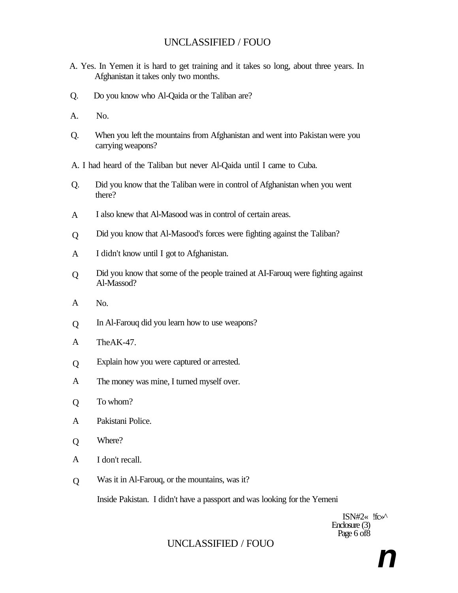- A. Yes. In Yemen it is hard to get training and it takes so long, about three years. In Afghanistan it takes only two months.
- Q. Do you know who Al-Qaida or the Taliban are?
- A. No.
- Q. When you left the mountains from Afghanistan and went into Pakistan were you carrying weapons?
- A. I had heard of the Taliban but never Al-Qaida until I came to Cuba.
- Q. Did you know that the Taliban were in control of Afghanistan when you went there?
- A I also knew that Al-Masood was in control of certain areas.
- $\Omega$ Did you know that Al-Masood's forces were fighting against the Taliban?
- A I didn't know until I got to Afghanistan.
- $\overline{O}$ Did you know that some of the people trained at AI-Farouq were fighting against Al-Massod?
- A No.
- $\overline{O}$ In Al-Farouq did you learn how to use weapons?
- A TheAK-47.
- Q Explain how you were captured or arrested.
- A The money was mine, I turned myself over.
- Q To whom?
- A Pakistani Police.
- Q Where?
- A I don't recall.
- Q Was it in Al-Farouq, or the mountains, was it?

Inside Pakistan. I didn't have a passport and was looking for the Yemeni

ISN#2« !fc»^ Enclosure (3) Page 6 of 8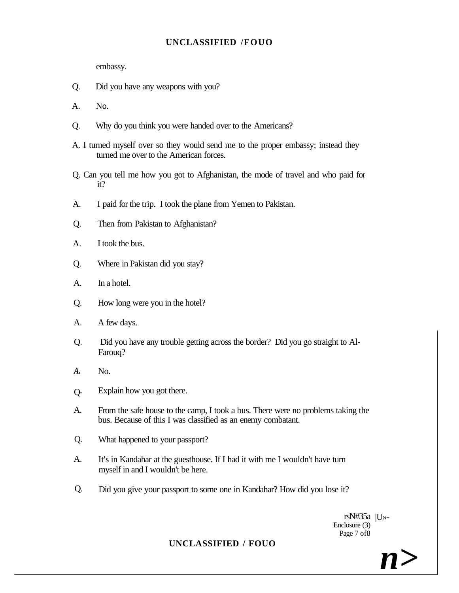embassy.

- Q. Did you have any weapons with you?
- A. No.
- Q. Why do you think you were handed over to the Americans?
- A. I turned myself over so they would send me to the proper embassy; instead they turned me over to the American forces.
- Q. Can you tell me how you got to Afghanistan, the mode of travel and who paid for it?
- A. I paid for the trip. I took the plane from Yemen to Pakistan.
- Q. Then from Pakistan to Afghanistan?
- A. I took the bus.
- Q. Where in Pakistan did you stay?
- A. In a hotel.
- Q. How long were you in the hotel?
- A. A few days.
- Q. Did you have any trouble getting across the border? Did you go straight to Al-Farouq?
- *A.* No.
- Q- Explain how you got there.
- A. From the safe house to the camp, I took a bus. There were no problems taking the bus. Because of this I was classified as an enemy combatant.
- Q. What happened to your passport?
- A. It's in Kandahar at the guesthouse. If I had it with me I wouldn't have turn myself in and I wouldn't be here.
- Q. Did you give your passport to some one in Kandahar? How did you lose it?

rsN#35a |U»- Enclosure (3) Page 7 of8

*n>*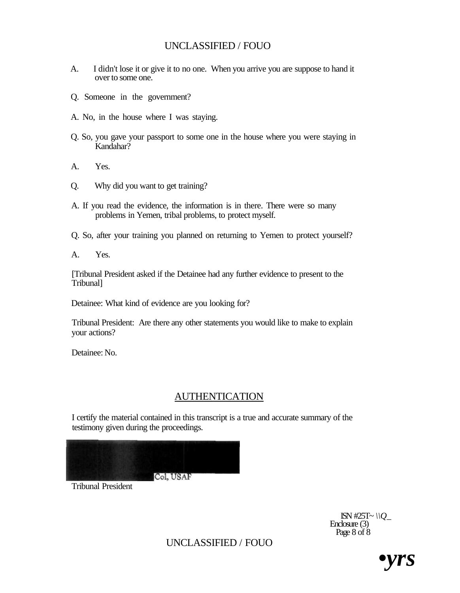- A. I didn't lose it or give it to no one. When you arrive you are suppose to hand it over to some one.
- Q. Someone in the government?
- A. No, in the house where I was staying.
- Q. So, you gave your passport to some one in the house where you were staying in Kandahar?
- A. Yes.
- Q. Why did you want to get training?
- A. If you read the evidence, the information is in there. There were so many problems in Yemen, tribal problems, to protect myself.
- Q. So, after your training you planned on returning to Yemen to protect yourself?
- A. Yes.

[Tribunal President asked if the Detainee had any further evidence to present to the Tribunal]

Detainee: What kind of evidence are you looking for?

Tribunal President: Are there any other statements you would like to make to explain your actions?

Detainee: No.

# AUTHENTICATION

I certify the material contained in this transcript is a true and accurate summary of the testimony given during the proceedings.



Tribunal President

ISN #25T~  $\|O\|$ Enclosure (3) Page 8 of 8

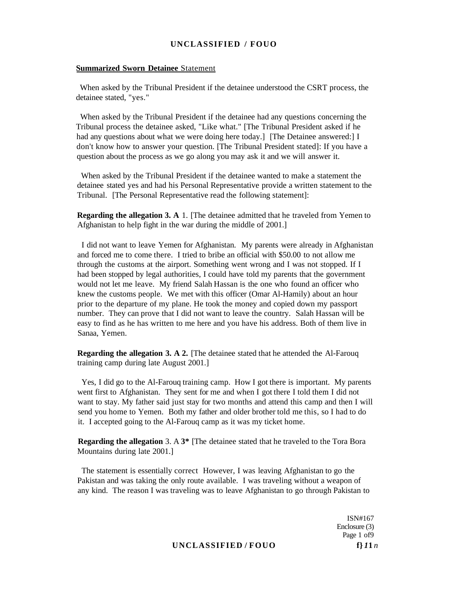#### **Summarized Sworn Detainee** Statement

When asked by the Tribunal President if the detainee understood the CSRT process, the detainee stated, "yes."

When asked by the Tribunal President if the detainee had any questions concerning the Tribunal process the detainee asked, "Like what." [The Tribunal President asked if he had any questions about what we were doing here today.] [The Detainee answered:] I don't know how to answer your question. [The Tribunal President stated]: If you have a question about the process as we go along you may ask it and we will answer it.

When asked by the Tribunal President if the detainee wanted to make a statement the detainee stated yes and had his Personal Representative provide a written statement to the Tribunal. [The Personal Representative read the following statement]:

**Regarding the allegation 3. A** 1. [The detainee admitted that he traveled from Yemen to Afghanistan to help fight in the war during the middle of 2001.]

I did not want to leave Yemen for Afghanistan. My parents were already in Afghanistan and forced me to come there. I tried to bribe an official with \$50.00 to not allow me through the customs at the airport. Something went wrong and I was not stopped. If I had been stopped by legal authorities, I could have told my parents that the government would not let me leave. My friend Salah Hassan is the one who found an officer who knew the customs people. We met with this officer (Omar Al-Hamily) about an hour prior to the departure of my plane. He took the money and copied down my passport number. They can prove that I did not want to leave the country. Salah Hassan will be easy to find as he has written to me here and you have his address. Both of them live in Sanaa, Yemen.

**Regarding the allegation 3. A 2.** [The detainee stated that he attended the Al-Farouq training camp during late August 2001.]

Yes, I did go to the Al-Farouq training camp. How I got there is important. My parents went first to Afghanistan. They sent for me and when I got there I told them I did not want to stay. My father said just stay for two months and attend this camp and then I will send you home to Yemen. Both my father and older brother told me this, so I had to do it. I accepted going to the Al-Farouq camp as it was my ticket home.

**Regarding the allegation** 3. A **3\*** [The detainee stated that he traveled to the Tora Bora Mountains during late 2001.]

The statement is essentially correct However, I was leaving Afghanistan to go the Pakistan and was taking the only route available. I was traveling without a weapon of any kind. The reason I was traveling was to leave Afghanistan to go through Pakistan to

> ISN#167 Enclosure (3) Page 1 of9

#### UNCLASSIFIED/FOUO f}*1*1*n*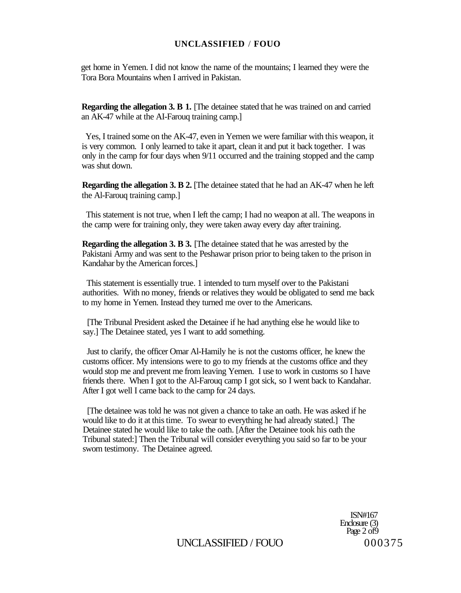get home in Yemen. I did not know the name of the mountains; I learned they were the Tora Bora Mountains when I arrived in Pakistan.

**Regarding the allegation 3. B 1.** [The detainee stated that he was trained on and carried an AK-47 while at the AI-Farouq training camp.]

Yes, I trained some on the AK-47, even in Yemen we were familiar with this weapon, it is very common. I only learned to take it apart, clean it and put it back together. I was only in the camp for four days when 9/11 occurred and the training stopped and the camp was shut down.

**Regarding the allegation 3. B 2.** [The detainee stated that he had an AK-47 when he left the Al-Farouq training camp.]

This statement is not true, when I left the camp; I had no weapon at all. The weapons in the camp were for training only, they were taken away every day after training.

**Regarding the allegation 3. B 3.** [The detainee stated that he was arrested by the Pakistani Army and was sent to the Peshawar prison prior to being taken to the prison in Kandahar by the American forces.]

This statement is essentially true. 1 intended to turn myself over to the Pakistani authorities. With no money, friends or relatives they would be obligated to send me back to my home in Yemen. Instead they turned me over to the Americans.

[The Tribunal President asked the Detainee if he had anything else he would like to say.] The Detainee stated, yes I want to add something.

Just to clarify, the officer Omar Al-Hamily he is not the customs officer, he knew the customs officer. My intensions were to go to my friends at the customs office and they would stop me and prevent me from leaving Yemen. I use to work in customs so I have friends there. When I got to the Al-Farouq camp I got sick, so I went back to Kandahar. After I got well I came back to the camp for 24 days.

[The detainee was told he was not given a chance to take an oath. He was asked if he would like to do it at this time. To swear to everything he had already stated.] The Detainee stated he would like to take the oath. [After the Detainee took his oath the Tribunal stated:] Then the Tribunal will consider everything you said so far to be your sworn testimony. The Detainee agreed.

> ISN#167 Enclosure (3) Page  $2$  of  $9$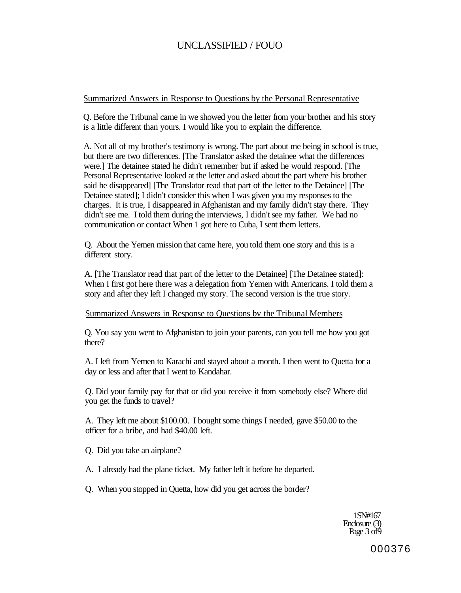### Summarized Answers in Response to Questions by the Personal Representative

Q. Before the Tribunal came in we showed you the letter from your brother and his story is a little different than yours. I would like you to explain the difference.

A. Not all of my brother's testimony is wrong. The part about me being in school is true, but there are two differences. [The Translator asked the detainee what the differences were.] The detainee stated he didn't remember but if asked he would respond. [The Personal Representative looked at the letter and asked about the part where his brother said he disappeared] [The Translator read that part of the letter to the Detainee] [The Detainee stated]; I didn't consider this when I was given you my responses to the charges. It is true, I disappeared in Afghanistan and my family didn't stay there. They didn't see me. I told them during the interviews, I didn't see my father. We had no communication or contact When 1 got here to Cuba, I sent them letters.

Q. About the Yemen mission that came here, you told them one story and this is a different story.

A. [The Translator read that part of the letter to the Detainee] [The Detainee stated]: When I first got here there was a delegation from Yemen with Americans. I told them a story and after they left I changed my story. The second version is the true story.

#### Summarized Answers in Response to Questions bv the Tribunal Members

Q. You say you went to Afghanistan to join your parents, can you tell me how you got there?

A. I left from Yemen to Karachi and stayed about a month. I then went to Quetta for a day or less and after that I went to Kandahar.

Q. Did your family pay for that or did you receive it from somebody else? Where did you get the funds to travel?

A. They left me about \$100.00. I bought some things I needed, gave \$50.00 to the officer for a bribe, and had \$40.00 left.

Q. Did you take an airplane?

A. I already had the plane ticket. My father left it before he departed.

Q. When you stopped in Quetta, how did you get across the border?

1SN#167 Enclosure (3) Page 3 of 9

000376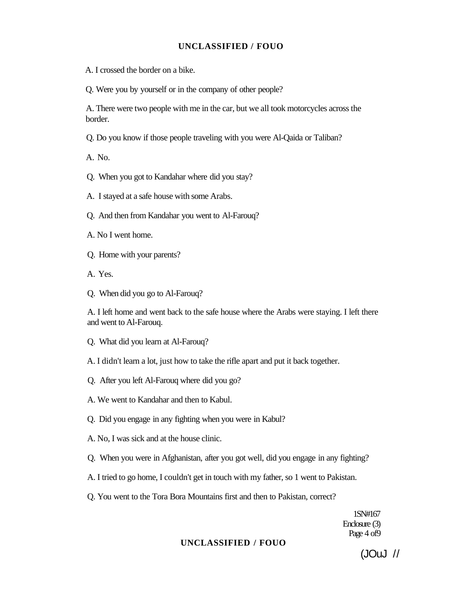A. I crossed the border on a bike.

Q. Were you by yourself or in the company of other people?

A. There were two people with me in the car, but we all took motorcycles across the **border** 

Q. Do you know if those people traveling with you were Al-Qaida or Taliban?

A. No.

Q. When you got to Kandahar where did you stay?

A. I stayed at a safe house with some Arabs.

Q. And then from Kandahar you went to Al-Farouq?

A. No I went home.

Q. Home with your parents?

A. Yes.

Q. When did you go to Al-Farouq?

A. I left home and went back to the safe house where the Arabs were staying. I left there and went to Al-Farouq.

Q. What did you learn at Al-Farouq?

A. I didn't learn a lot, just how to take the rifle apart and put it back together.

Q. After you left Al-Farouq where did you go?

A. We went to Kandahar and then to Kabul.

Q. Did you engage in any fighting when you were in Kabul?

A. No, I was sick and at the house clinic.

Q. When you were in Afghanistan, after you got well, did you engage in any fighting?

A. I tried to go home, I couldn't get in touch with my father, so 1 went to Pakistan.

Q. You went to the Tora Bora Mountains first and then to Pakistan, correct?

1SN#167 Enclosure (3) Page 4 of 9

# **UNCLASSIFIED / FOUO**

(JOuJ //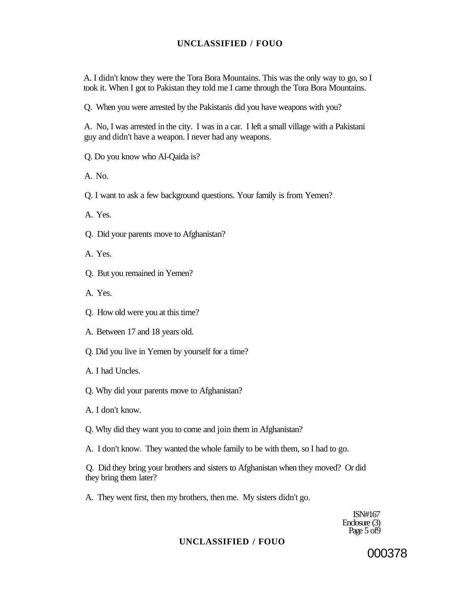A. I didn't know they were the Tora Bora Mountains. This was the only way to go, so I took it. When I got to Pakistan they told me I came through the Tora Bora Mountains.

Q. When you were arrested by the Pakistanis did you have weapons with you?

A. No, I was arrested in the city. I was in a car. I left a small village with a Pakistani guy and didn't have a weapon. I never had any weapons.

- Q. Do you know who Al-Qaida is?
- A. No.
- Q. I want to ask a few background questions. Your family is from Yemen?

A. Yes.

- Q. Did your parents move to Afghanistan?
- A. Yes.
- Q. But you remained in Yemen?
- A. Yes.
- Q. How old were you at this time?
- A. Between 17 and 18 years old.
- Q. Did you live in Yemen by yourself for a time?
- A. I had Uncles.
- Q. Why did your parents move to Afghanistan?
- A. I don't know.
- Q. Why did they want you to come and join them in Afghanistan?
- A. I don't know. They wanted the whole family to be with them, so I had to go.

Q. Did they bring your brothers and sisters to Afghanistan when they moved? Or did they bring them later?

A. They went first, then my brothers, then me. My sisters didn't go.

ISN#167 Enclosure (3) Page 5 of 9

### **UNCLASSIFIED / FOUO**

000378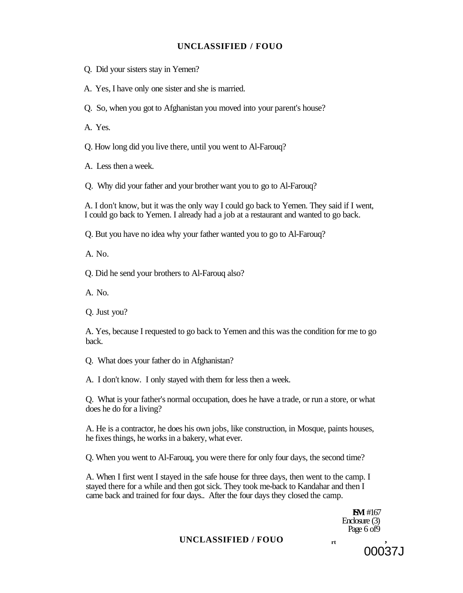Q. Did your sisters stay in Yemen?

A. Yes, I have only one sister and she is married.

Q. So, when you got to Afghanistan you moved into your parent's house?

A. Yes.

Q. How long did you live there, until you went to Al-Farouq?

A. Less then a week.

Q. Why did your father and your brother want you to go to Al-Farouq?

A. I don't know, but it was the only way I could go back to Yemen. They said if I went, I could go back to Yemen. I already had a job at a restaurant and wanted to go back.

Q. But you have no idea why your father wanted you to go to Al-Farouq?

A. No.

Q. Did he send your brothers to Al-Farouq also?

A. No.

Q. Just you?

A. Yes, because I requested to go back to Yemen and this was the condition for me to go back.

Q. What does your father do in Afghanistan?

A. I don't know. I only stayed with them for less then a week.

Q. What is your father's normal occupation, does he have a trade, or run a store, or what does he do for a living?

A. He is a contractor, he does his own jobs, like construction, in Mosque, paints houses, he fixes things, he works in a bakery, what ever.

Q. When you went to Al-Farouq, you were there for only four days, the second time?

A. When I first went I stayed in the safe house for three days, then went to the camp. I stayed there for a while and then got sick. They took me-back to Kandahar and then I came back and trained for four days.. After the four days they closed the camp.

> **ISM** #167 Enclosure (3) Page 6 of 9

#### UNCLASSIFIED / FOUO

**,** 00037J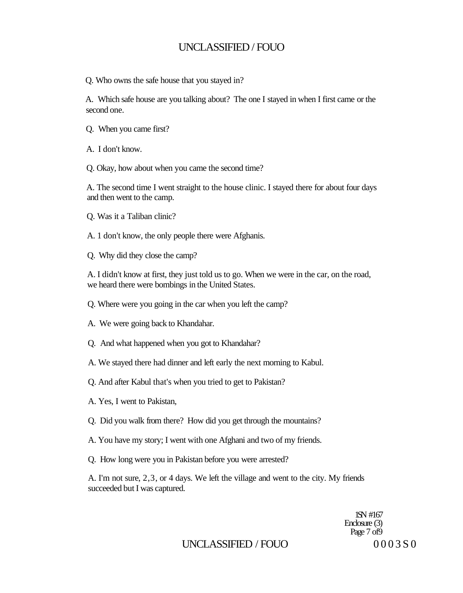Q. Who owns the safe house that you stayed in?

A. Which safe house are you talking about? The one I stayed in when I first came or the second one.

Q. When you came first?

A. I don't know.

Q. Okay, how about when you came the second time?

A. The second time I went straight to the house clinic. I stayed there for about four days and then went to the camp.

Q. Was it a Taliban clinic?

A. 1 don't know, the only people there were Afghanis.

Q. Why did they close the camp?

A. I didn't know at first, they just told us to go. When we were in the car, on the road, we heard there were bombings in the United States.

Q. Where were you going in the car when you left the camp?

A. We were going back to Khandahar.

Q. And what happened when you got to Khandahar?

- A. We stayed there had dinner and left early the next morning to Kabul.
- Q. And after Kabul that's when you tried to get to Pakistan?
- A. Yes, I went to Pakistan,
- Q. Did you walk from there? How did you get through the mountains?
- A. You have my story; I went with one Afghani and two of my friends.
- Q. How long were you in Pakistan before you were arrested?

A. I'm not sure, 2,3, or 4 days. We left the village and went to the city. My friends succeeded but I was captured.

> 1SN #167 Enclosure (3) Page 7 of 9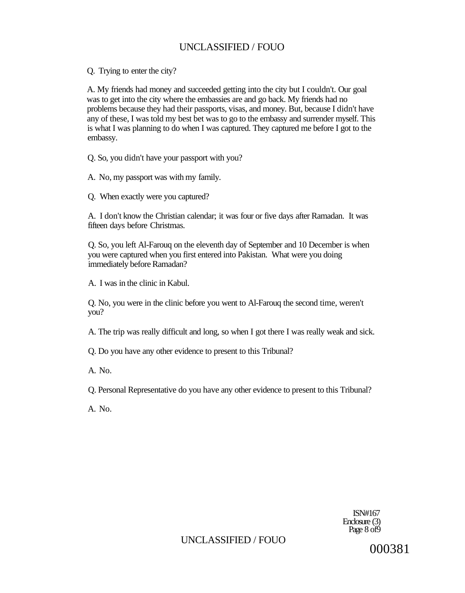Q. Trying to enter the city?

A. My friends had money and succeeded getting into the city but I couldn't. Our goal was to get into the city where the embassies are and go back. My friends had no problems because they had their passports, visas, and money. But, because I didn't have any of these, I was told my best bet was to go to the embassy and surrender myself. This is what I was planning to do when I was captured. They captured me before I got to the embassy.

Q. So, you didn't have your passport with you?

A. No, my passport was with my family.

Q. When exactly were you captured?

A. I don't know the Christian calendar; it was four or five days after Ramadan. It was fifteen days before Christmas.

Q. So, you left Al-Farouq on the eleventh day of September and 10 December is when you were captured when you first entered into Pakistan. What were you doing immediately before Ramadan?

A. I was in the clinic in Kabul.

Q. No, you were in the clinic before you went to Al-Farouq the second time, weren't you?

A. The trip was really difficult and long, so when I got there I was really weak and sick.

Q. Do you have any other evidence to present to this Tribunal?

A. No.

Q. Personal Representative do you have any other evidence to present to this Tribunal?

A. No.

ISN#167 Enclosure (3) Page 8 of9

# UNCLASSIFIED / FOUO

000381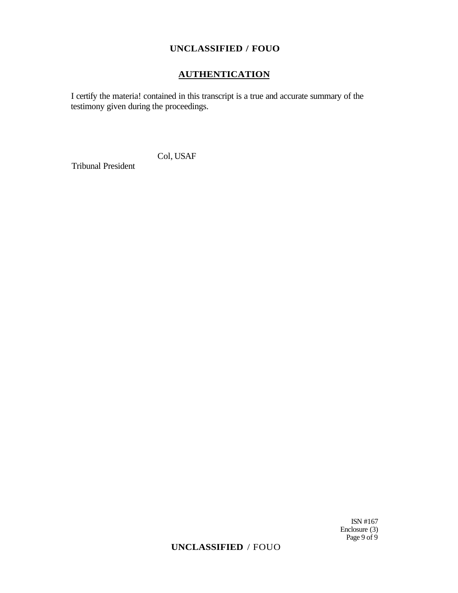# **AUTHENTICATION**

I certify the materia! contained in this transcript is a true and accurate summary of the testimony given during the proceedings.

Col, USAF

Tribunal President

ISN #167 Enclosure (3) Page 9 of 9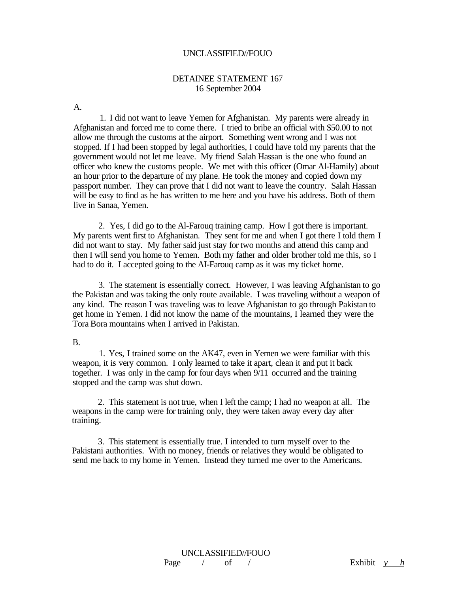### DETAINEE STATEMENT 167 16 September 2004

A.

1. I did not want to leave Yemen for Afghanistan. My parents were already in Afghanistan and forced me to come there. I tried to bribe an official with \$50.00 to not allow me through the customs at the airport. Something went wrong and I was not stopped. If I had been stopped by legal authorities, I could have told my parents that the government would not let me leave. My friend Salah Hassan is the one who found an officer who knew the customs people. We met with this officer (Omar Al-Hamily) about an hour prior to the departure of my plane. He took the money and copied down my passport number. They can prove that I did not want to leave the country. Salah Hassan will be easy to find as he has written to me here and you have his address. Both of them live in Sanaa, Yemen.

2. Yes, I did go to the Al-Farouq training camp. How I got there is important. My parents went first to Afghanistan. They sent for me and when I got there I told them I did not want to stay. My father said just stay for two months and attend this camp and then I will send you home to Yemen. Both my father and older brother told me this, so I had to do it. I accepted going to the AI-Farouq camp as it was my ticket home.

3. The statement is essentially correct. However, I was leaving Afghanistan to go the Pakistan and was taking the only route available. I was traveling without a weapon of any kind. The reason I was traveling was to leave Afghanistan to go through Pakistan to get home in Yemen. I did not know the name of the mountains, I learned they were the Tora Bora mountains when I arrived in Pakistan.

B.

1. Yes, I trained some on the AK47, even in Yemen we were familiar with this weapon, it is very common. I only learned to take it apart, clean it and put it back together. I was only in the camp for four days when 9/11 occurred and the training stopped and the camp was shut down.

2. This statement is not true, when I left the camp; I had no weapon at all. The weapons in the camp were for training only, they were taken away every day after training.

3. This statement is essentially true. I intended to turn myself over to the Pakistani authorities. With no money, friends or relatives they would be obligated to send me back to my home in Yemen. Instead they turned me over to the Americans.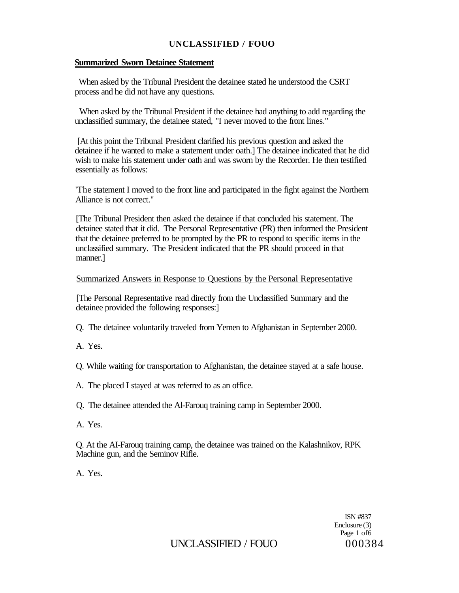### **Summarized Sworn Detainee Statement**

When asked by the Tribunal President the detainee stated he understood the CSRT process and he did not have any questions.

When asked by the Tribunal President if the detainee had anything to add regarding the unclassified summary, the detainee stated, "I never moved to the front lines."

[At this point the Tribunal President clarified his previous question and asked the detainee if he wanted to make a statement under oath.] The detainee indicated that he did wish to make his statement under oath and was sworn by the Recorder. He then testified essentially as follows:

'The statement I moved to the front line and participated in the fight against the Northern Alliance is not correct."

[The Tribunal President then asked the detainee if that concluded his statement. The detainee stated that it did. The Personal Representative (PR) then informed the President that the detainee preferred to be prompted by the PR to respond to specific items in the unclassified summary. The President indicated that the PR should proceed in that manner.]

#### Summarized Answers in Response to Questions by the Personal Representative

[The Personal Representative read directly from the Unclassified Summary and the detainee provided the following responses:]

Q. The detainee voluntarily traveled from Yemen to Afghanistan in September 2000.

A. Yes.

Q. While waiting for transportation to Afghanistan, the detainee stayed at a safe house.

A. The placed I stayed at was referred to as an office.

Q. The detainee attended the Al-Farouq training camp in September 2000.

A. Yes.

Q. At the AI-Farouq training camp, the detainee was trained on the Kalashnikov, RPK Machine gun, and the Seminov Rifle.

A. Yes.

ISN #837 Enclosure (3) Page 1 of6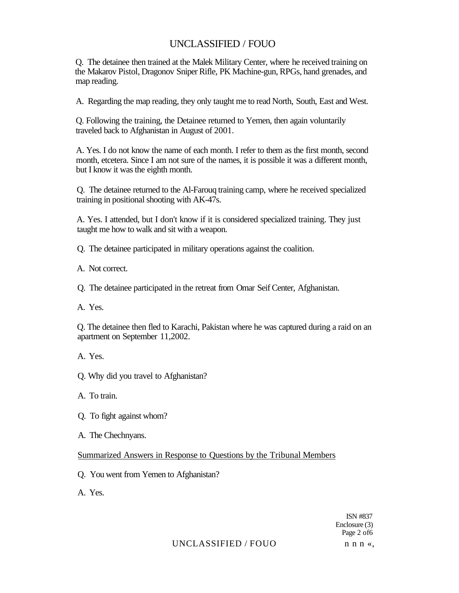Q. The detainee then trained at the Malek Military Center, where he received training on the Makarov Pistol, Dragonov Sniper Rifle, PK Machine-gun, RPGs, hand grenades, and map reading.

A. Regarding the map reading, they only taught me to read North, South, East and West.

Q. Following the training, the Detainee returned to Yemen, then again voluntarily traveled back to Afghanistan in August of 2001.

A. Yes. I do not know the name of each month. I refer to them as the first month, second month, etcetera. Since I am not sure of the names, it is possible it was a different month, but I know it was the eighth month.

Q. The detainee returned to the Al-Farouq training camp, where he received specialized training in positional shooting with AK-47s.

A. Yes. I attended, but I don't know if it is considered specialized training. They just taught me how to walk and sit with a weapon.

Q. The detainee participated in military operations against the coalition.

A. Not correct.

Q. The detainee participated in the retreat from Omar Seif Center, Afghanistan.

A. Yes.

Q. The detainee then fled to Karachi, Pakistan where he was captured during a raid on an apartment on September 11,2002.

A. Yes.

Q. Why did you travel to Afghanistan?

A. To train.

Q. To fight against whom?

A. The Chechnyans.

## Summarized Answers in Response to Questions by the Tribunal Members

Q. You went from Yemen to Afghanistan?

A. Yes.

ISN #837 Enclosure (3) Page 2 of6

## UNCLASSIFIED / FOUO n n n «,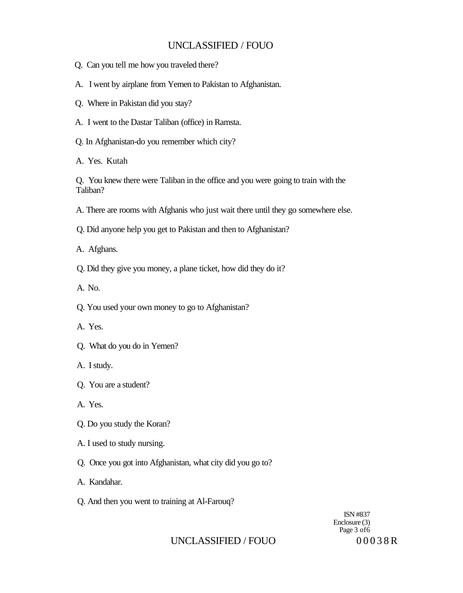- Q. Can you tell me how you traveled there?
- A. I went by airplane from Yemen to Pakistan to Afghanistan.
- Q. Where in Pakistan did you stay?
- A. I went to the Dastar Taliban (office) in Ramsta.
- Q. In Afghanistan-do you remember which city?
- A. Yes. Kutah

Q. You knew there were Taliban in the office and you were going to train with the Taliban?

- A. There are rooms with Afghanis who just wait there until they go somewhere else.
- Q. Did anyone help you get to Pakistan and then to Afghanistan?
- A. Afghans.
- Q. Did they give you money, a plane ticket, how did they do it?
- A. No.
- Q. You used your own money to go to Afghanistan?
- A. Yes.
- Q. What do you do in Yemen?
- A. I study.
- Q. You are a student?
- A. Yes.
- Q. Do you study the Koran?
- A. I used to study nursing.
- Q. Once you got into Afghanistan, what city did you go to?
- A. Kandahar.
- Q. And then you went to training at Al-Farouq?

ISN #837 Enclosure (3) Page 3 of6

# UNCLASSIFIED / FOUO 00038R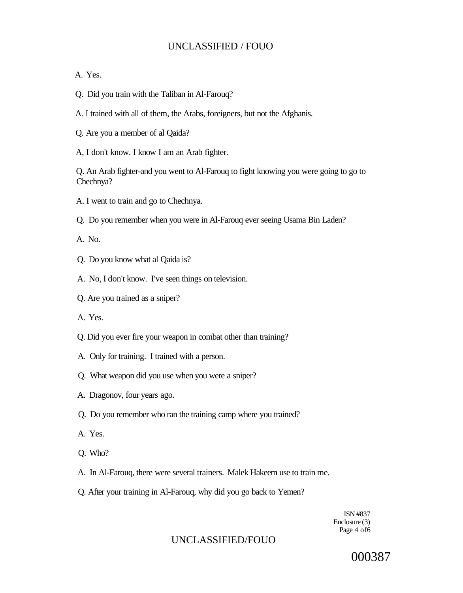# A. Yes.

Q. Did you train with the Taliban in Al-Farouq?

A. I trained with all of them, the Arabs, foreigners, but not the Afghanis.

- Q. Are you a member of al Qaida?
- A, I don't know. I know I am an Arab fighter.

Q. An Arab fighter-and you went to Al-Farouq to fight knowing you were going to go to Chechnya?

- A. I went to train and go to Chechnya.
- Q. Do you remember when you were in Al-Farouq ever seeing Usama Bin Laden?

A. No.

- Q. Do you know what al Qaida is?
- A. No, I don't know. I've seen things on television.
- Q. Are you trained as a sniper?
- A. Yes.
- Q. Did you ever fire your weapon in combat other than training?
- A. Only for training. I trained with a person.
- Q. What weapon did you use when you were a sniper?
- A. Dragonov, four years ago.
- Q. Do you remember who ran the training camp where you trained?
- A. Yes.
- Q. Who?
- A. In Al-Farouq, there were several trainers. Malek Hakeem use to train me.
- Q. After your training in Al-Farouq, why did you go back to Yemen?

ISN #837 Enclosure (3) Page 4 of6

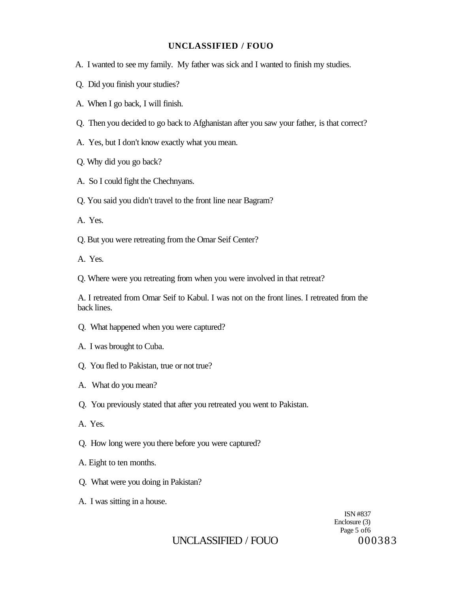- A. I wanted to see my family. My father was sick and I wanted to finish my studies.
- Q. Did you finish your studies?
- A. When I go back, I will finish.
- Q. Then you decided to go back to Afghanistan after you saw your father, is that correct?
- A. Yes, but I don't know exactly what you mean.
- Q. Why did you go back?
- A. So I could fight the Chechnyans.
- Q. You said you didn't travel to the front line near Bagram?
- A. Yes.
- Q. But you were retreating from the Omar Seif Center?
- A. Yes.
- Q. Where were you retreating from when you were involved in that retreat?

A. I retreated from Omar Seif to Kabul. I was not on the front lines. I retreated from the back lines.

- Q. What happened when you were captured?
- A. I was brought to Cuba.
- Q. You fled to Pakistan, true or not true?
- A. What do you mean?
- Q. You previously stated that after you retreated you went to Pakistan.
- A. Yes.
- Q. How long were you there before you were captured?
- A. Eight to ten months.
- Q. What were you doing in Pakistan?
- A. I was sitting in a house.

ISN #837 Enclosure (3) Page 5 of6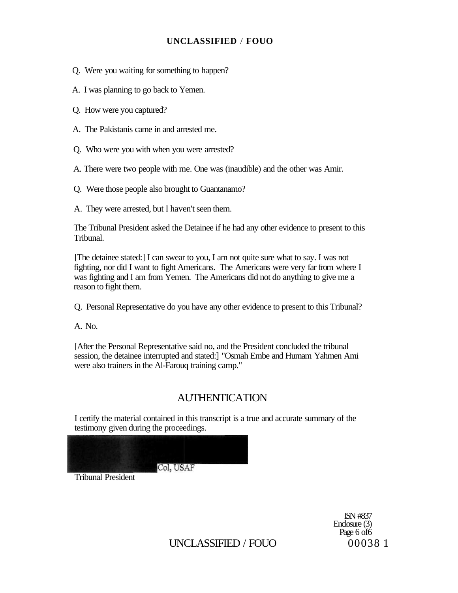- Q. Were you waiting for something to happen?
- A. I was planning to go back to Yemen.
- Q. How were you captured?
- A. The Pakistanis came in and arrested me.
- Q. Who were you with when you were arrested?
- A. There were two people with me. One was (inaudible) and the other was Amir.
- Q. Were those people also brought to Guantanamo?
- A. They were arrested, but I haven't seen them.

The Tribunal President asked the Detainee if he had any other evidence to present to this Tribunal.

[The detainee stated:] I can swear to you, I am not quite sure what to say. I was not fighting, nor did I want to fight Americans. The Americans were very far from where I was fighting and I am from Yemen. The Americans did not do anything to give me a reason to fight them.

Q. Personal Representative do you have any other evidence to present to this Tribunal?

A. No.

[After the Personal Representative said no, and the President concluded the tribunal session, the detainee interrupted and stated:] "Osmah Embe and Humam Yahmen Ami were also trainers in the Al-Farouq training camp."

# AUTHENTICATION

I certify the material contained in this transcript is a true and accurate summary of the testimony given during the proceedings.



Tribunal President

ISN #837 Enclosure (3) Page 6 of6

UNCLASSIFIED / FOUO 00038 1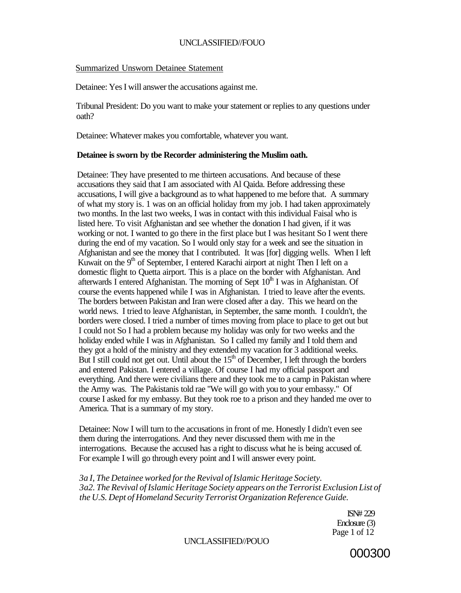### Summarized Unsworn Detainee Statement

Detainee: Yes I will answer the accusations against me.

Tribunal President: Do you want to make your statement or replies to any questions under oath?

Detainee: Whatever makes you comfortable, whatever you want.

#### **Detainee is sworn by tbe Recorder administering the Muslim oath.**

Detainee: They have presented to me thirteen accusations. And because of these accusations they said that I am associated with Al Qaida. Before addressing these accusations, I will give a background as to what happened to me before that. A summary of what my story is. 1 was on an official holiday from my job. I had taken approximately two months. In the last two weeks, I was in contact with this individual Faisal who is listed here. To visit Afghanistan and see whether the donation I had given, if it was working or not. I wanted to go there in the first place but I was hesitant So I went there during the end of my vacation. So I would only stay for a week and see the situation in Afghanistan and see the money that I contributed. It was [for] digging wells. When I left Kuwait on the 9<sup>th</sup> of September, I entered Karachi airport at night Then I left on a domestic flight to Quetta airport. This is a place on the border with Afghanistan. And afterwards I entered Afghanistan. The morning of Sept  $10<sup>lh</sup>$  I was in Afghanistan. Of course the events happened while I was in Afghanistan. I tried to leave after the events. The borders between Pakistan and Iran were closed after a day. This we heard on the world news. I tried to leave Afghanistan, in September, the same month. I couldn't, the borders were closed. I tried a number of times moving from place to place to get out but I could not So I had a problem because my holiday was only for two weeks and the holiday ended while I was in Afghanistan. So I called my family and I told them and they got a hold of the ministry and they extended my vacation for 3 additional weeks. But I still could not get out. Until about the  $15<sup>th</sup>$  of December, I left through the borders and entered Pakistan. I entered a village. Of course I had my official passport and everything. And there were civilians there and they took me to a camp in Pakistan where the Army was. The Pakistanis told rae "We will go with you to your embassy." Of course I asked for my embassy. But they took roe to a prison and they handed me over to America. That is a summary of my story.

Detainee: Now I will turn to the accusations in front of me. Honestly I didn't even see them during the interrogations. And they never discussed them with me in the interrogations. Because the accused has a right to discuss what he is being accused of. For example I will go through every point and I will answer every point.

*3a I, The Detainee worked for the Revival of Islamic Heritage Society. 3a2. The Revival of Islamic Heritage Society appears on the Terrorist Exclusion List of the U.S. Dept of Homeland Security Terrorist Organization Reference Guide.* 

> ISN# 229 Enclosure (3) Page 1 of 12

### UNCLASSIFIED//POUO

000300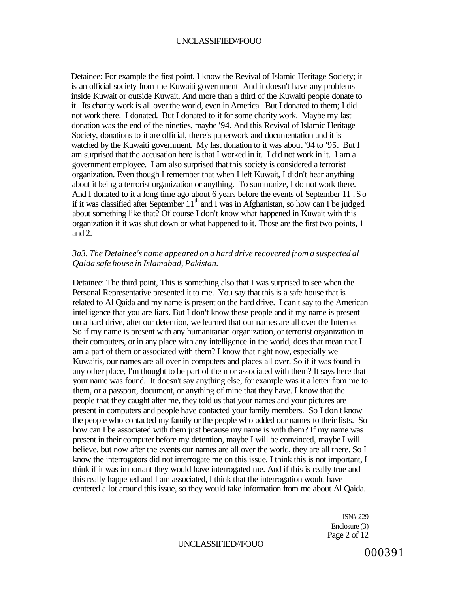Detainee: For example the first point. I know the Revival of Islamic Heritage Society; it is an official society from the Kuwaiti government And it doesn't have any problems inside Kuwait or outside Kuwait. And more than a third of the Kuwaiti people donate to it. Its charity work is all over the world, even in America. But I donated to them; I did not work there. I donated. But I donated to it for some charity work. Maybe my last donation was the end of the nineties, maybe '94. And this Revival of Islamic Heritage Society, donations to it are official, there's paperwork and documentation and it is watched by the Kuwaiti government. My last donation to it was about '94 to '95. But I am surprised that the accusation here is that I worked in it. I did not work in it. I am a government employee. I am also surprised that this society is considered a terrorist organization. Even though I remember that when I left Kuwait, I didn't hear anything about it being a terrorist organization or anything. To summarize, I do not work there. And I donated to it a long time ago about 6 years before the events of September 11 .So if it was classified after September  $11<sup>th</sup>$  and I was in Afghanistan, so how can I be judged about something like that? Of course I don't know what happened in Kuwait with this organization if it was shut down or what happened to it. Those are the first two points, 1 and 2.

## *3a3. The Detainee's name appeared on a hard drive recovered from a suspected al Qaida safe house in Islamabad, Pakistan.*

Detainee: The third point, This is something also that I was surprised to see when the Personal Representative presented it to me. You say that this is a safe house that is related to Al Qaida and my name is present on the hard drive. I can't say to the American intelligence that you are liars. But I don't know these people and if my name is present on a hard drive, after our detention, we learned that our names are all over the Internet So if my name is present with any humanitarian organization, or terrorist organization in their computers, or in any place with any intelligence in the world, does that mean that I am a part of them or associated with them? I know that right now, especially we Kuwaitis, our names are all over in computers and places all over. So if it was found in any other place, I'm thought to be part of them or associated with them? It says here that your name was found. It doesn't say anything else, for example was it a letter from me to them, or a passport, document, or anything of mine that they have. I know that the people that they caught after me, they told us that your names and your pictures are present in computers and people have contacted your family members. So I don't know the people who contacted my family or the people who added our names to their lists. So how can I be associated with them just because my name is with them? If my name was present in their computer before my detention, maybe I will be convinced, maybe I will believe, but now after the events our names are all over the world, they are all there. So I know the interrogators did not interrogate me on this issue. I think this is not important, I think if it was important they would have interrogated me. And if this is really true and this really happened and I am associated, I think that the interrogation would have centered a lot around this issue, so they would take information from me about Al Qaida.

> ISN# 229 Enclosure (3) Page 2 of 12

#### UNCLASSIFIED//FOUO

000391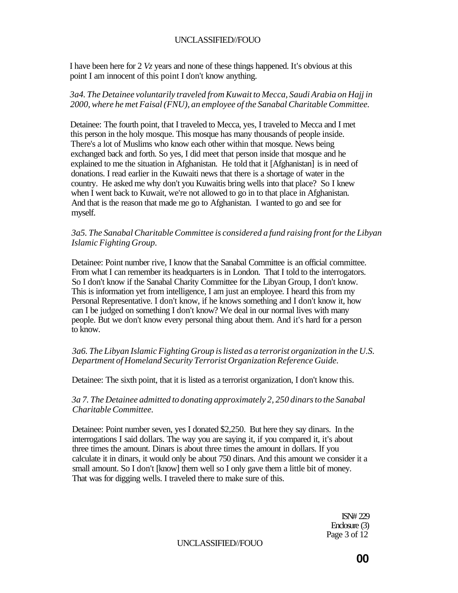I have been here for 2 *Vz* years and none of these things happened. It's obvious at this point I am innocent of this point I don't know anything.

## *3a4. The Detainee voluntarily traveled from Kuwait to Mecca, Saudi Arabia on Hajj in 2000, where he met Faisal (FNU), an employee of the Sanabal Charitable Committee.*

Detainee: The fourth point, that I traveled to Mecca, yes, I traveled to Mecca and I met this person in the holy mosque. This mosque has many thousands of people inside. There's a lot of Muslims who know each other within that mosque. News being exchanged back and forth. So yes, I did meet that person inside that mosque and he explained to me the situation in Afghanistan. He told that it [Afghanistan] is in need of donations. I read earlier in the Kuwaiti news that there is a shortage of water in the country. He asked me why don't you Kuwaitis bring wells into that place? So I knew when I went back to Kuwait, we're not allowed to go in to that place in Afghanistan. And that is the reason that made me go to Afghanistan. I wanted to go and see for myself.

## *3a5. The Sanabal Charitable Committee is considered a fund raising front for the Libyan Islamic Fighting Group.*

Detainee: Point number rive, I know that the Sanabal Committee is an official committee. From what I can remember its headquarters is in London. That I told to the interrogators. So I don't know if the Sanabal Charity Committee for the Libyan Group, I don't know. This is information yet from intelligence, I am just an employee. I heard this from my Personal Representative. I don't know, if he knows something and I don't know it, how can I be judged on something I don't know? We deal in our normal lives with many people. But we don't know every personal thing about them. And it's hard for a person to know.

## *3a6. The Libyan Islamic Fighting Group is listed as a terrorist organization in the U.S. Department of Homeland Security Terrorist Organization Reference Guide.*

Detainee: The sixth point, that it is listed as a terrorist organization, I don't know this.

## *3a 7. The Detainee admitted to donating approximately 2, 250 dinars to the Sanabal Charitable Committee.*

Detainee: Point number seven, yes I donated \$2,250. But here they say dinars. In the interrogations I said dollars. The way you are saying it, if you compared it, it's about three times the amount. Dinars is about three times the amount in dollars. If you calculate it in dinars, it would only be about 750 dinars. And this amount we consider it a small amount. So I don't [know] them well so I only gave them a little bit of money. That was for digging wells. I traveled there to make sure of this.

> ISN# 229 Enclosure (3) Page 3 of 12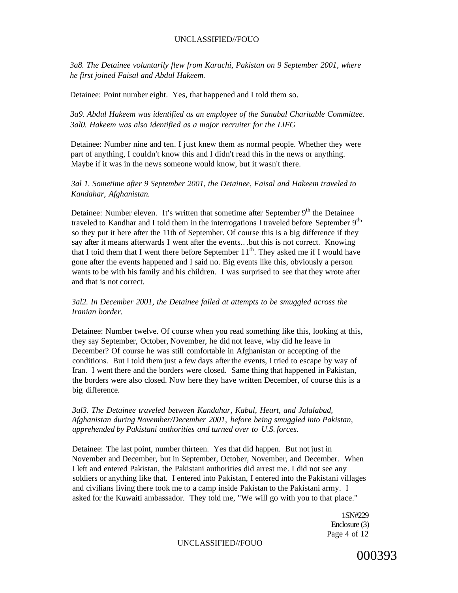*3a8. The Detainee voluntarily flew from Karachi, Pakistan on 9 September 2001, where he first joined Faisal and Abdul Hakeem.* 

#### Detainee: Point number eight. Yes, that happened and I told them so.

*3a9. Abdul Hakeem was identified as an employee of the Sanabal Charitable Committee. 3al0. Hakeem was also identified as a major recruiter for the LIFG* 

Detainee: Number nine and ten. I just knew them as normal people. Whether they were part of anything, I couldn't know this and I didn't read this in the news or anything. Maybe if it was in the news someone would know, but it wasn't there.

*3al 1. Sometime after 9 September 2001, the Detainee, Faisal and Hakeem traveled to Kandahar, Afghanistan.* 

Detainee: Number eleven. It's written that sometime after September 9<sup>th</sup> the Detainee traveled to Kandhar and I told them in the interrogations I traveled before September  $9<sup>th</sup>$ so they put it here after the 11th of September. Of course this is a big difference if they say after it means afterwards I went after the events.. .but this is not correct. Knowing that I toid them that I went there before September  $11<sup>th</sup>$ . They asked me if I would have gone after the events happened and I said no. Big events like this, obviously a person wants to be with his family and his children. I was surprised to see that they wrote after and that is not correct.

#### *3al2. In December 2001, the Detainee failed at attempts to be smuggled across the Iranian border.*

Detainee: Number twelve. Of course when you read something like this, looking at this, they say September, October, November, he did not leave, why did he leave in December? Of course he was still comfortable in Afghanistan or accepting of the conditions. But I told them just a few days after the events, I tried to escape by way of Iran. I went there and the borders were closed. Same thing that happened in Pakistan, the borders were also closed. Now here they have written December, of course this is a big difference.

*3al3. The Detainee traveled between Kandahar, Kabul, Heart, and Jalalabad, Afghanistan during November/December 2001, before being smuggled into Pakistan, apprehended by Pakistani authorities and turned over to U.S. forces.* 

Detainee: The last point, number thirteen. Yes that did happen. But not just in November and December, but in September, October, November, and December. When I left and entered Pakistan, the Pakistani authorities did arrest me. I did not see any soldiers or anything like that. I entered into Pakistan, I entered into the Pakistani villages and civilians living there took me to a camp inside Pakistan to the Pakistani army. I asked for the Kuwaiti ambassador. They told me, "We will go with you to that place."

> 1SN#229 Enclosure (3) Page 4 of 12

#### UNCLASSIFIED//FOUO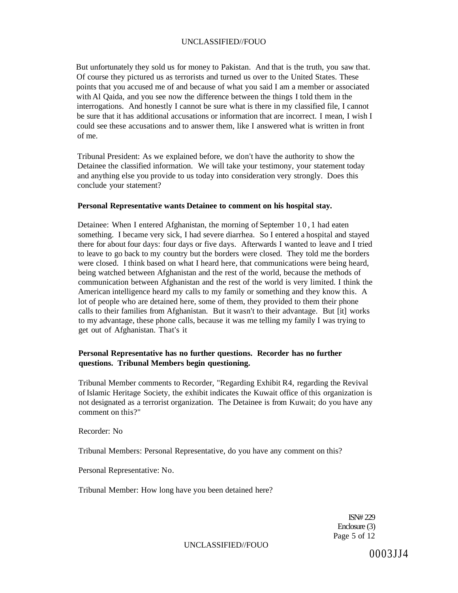But unfortunately they sold us for money to Pakistan. And that is the truth, you saw that. Of course they pictured us as terrorists and turned us over to the United States. These points that you accused me of and because of what you said I am a member or associated with Al Qaida, and you see now the difference between the things I told them in the interrogations. And honestly I cannot be sure what is there in my classified file, I cannot be sure that it has additional accusations or information that are incorrect. I mean, I wish I could see these accusations and to answer them, like I answered what is written in front of me.

Tribunal President: As we explained before, we don't have the authority to show the Detainee the classified information. We will take your testimony, your statement today and anything else you provide to us today into consideration very strongly. Does this conclude your statement?

#### **Personal Representative wants Detainee to comment on his hospital stay.**

Detainee: When I entered Afghanistan, the morning of September 10, 1 had eaten something. I became very sick, I had severe diarrhea. So I entered a hospital and stayed there for about four days: four days or five days. Afterwards I wanted to leave and I tried to leave to go back to my country but the borders were closed. They told me the borders were closed. I think based on what I heard here, that communications were being heard, being watched between Afghanistan and the rest of the world, because the methods of communication between Afghanistan and the rest of the world is very limited. I think the American intelligence heard my calls to my family or something and they know this. A lot of people who are detained here, some of them, they provided to them their phone calls to their families from Afghanistan. But it wasn't to their advantage. But [it] works to my advantage, these phone calls, because it was me telling my family I was trying to get out of Afghanistan. That's it

## **Personal Representative has no further questions. Recorder has no further questions. Tribunal Members begin questioning.**

Tribunal Member comments to Recorder, "Regarding Exhibit R4, regarding the Revival of Islamic Heritage Society, the exhibit indicates the Kuwait office of this organization is not designated as a terrorist organization. The Detainee is from Kuwait; do you have any comment on this?"

Recorder: No

Tribunal Members: Personal Representative, do you have any comment on this?

Personal Representative: No.

Tribunal Member: How long have you been detained here?

ISN# 229 Enclosure (3) Page 5 of 12

UNCLASSIFIED//FOUO

0003JJ4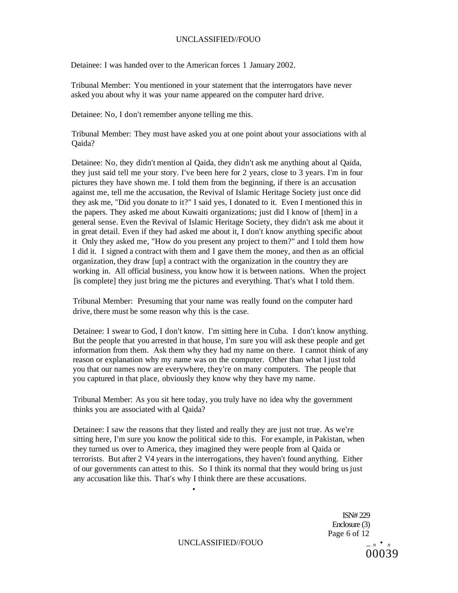Detainee: I was handed over to the American forces 1 January 2002.

Tribunal Member: You mentioned in your statement that the interrogators have never asked you about why it was your name appeared on the computer hard drive.

Detainee: No, I don't remember anyone telling me this.

Tribunal Member: They must have asked you at one point about your associations with al Qaida?

Detainee: No, they didn't mention al Qaida, they didn't ask me anything about al Qaida, they just said tell me your story. I've been here for 2 years, close to 3 years. I'm in four pictures they have shown me. I told them from the beginning, if there is an accusation against me, tell me the accusation, the Revival of Islamic Heritage Society just once did they ask me, "Did you donate to it?" I said yes, I donated to it. Even I mentioned this in the papers. They asked me about Kuwaiti organizations; just did I know of [them] in a general sense. Even the Revival of Islamic Heritage Society, they didn't ask me about it in great detail. Even if they had asked me about it, I don't know anything specific about it Only they asked me, "How do you present any project to them?" and I told them how I did it. I signed a contract with them and I gave them the money, and then as an official organization, they draw [up] a contract with the organization in the country they are working in. All official business, you know how it is between nations. When the project [is complete] they just bring me the pictures and everything. That's what I told them.

Tribunal Member: Presuming that your name was really found on the computer hard drive, there must be some reason why this is the case.

Detainee: I swear to God, I don't know. I'm sitting here in Cuba. I don't know anything. But the people that you arrested in that house, I'm sure you will ask these people and get information from them. Ask them why they had my name on there. I cannot think of any reason or explanation why my name was on the computer. Other than what I just told you that our names now are everywhere, they're on many computers. The people that you captured in that place, obviously they know why they have my name.

Tribunal Member: As you sit here today, you truly have no idea why the government thinks you are associated with al Qaida?

Detainee: I saw the reasons that they listed and really they are just not true. As we're sitting here, I'm sure you know the political side to this. For example, in Pakistan, when they turned us over to America, they imagined they were people from al Qaida or terrorists. But after 2 V4 years in the interrogations, they haven't found anything. Either of our governments can attest to this. So I think its normal that they would bring us just any accusation like this. That's why I think there are these accusations.

•

ISN# 229 Enclosure (3) Page 6 of 12

UNCLASSIFIED//FOUO \_ *<sup>n</sup> • <sup>n</sup>*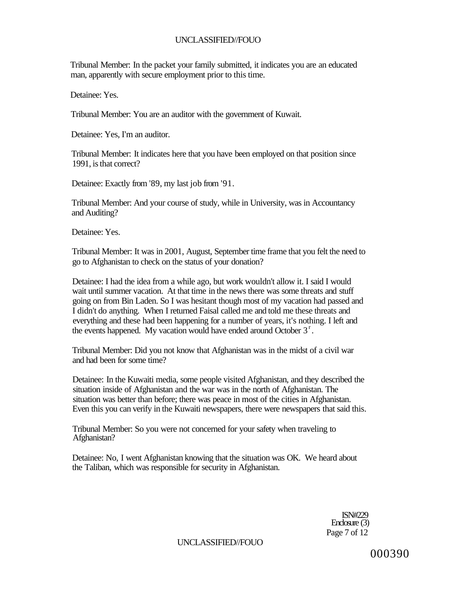Tribunal Member: In the packet your family submitted, it indicates you are an educated man, apparently with secure employment prior to this time.

Detainee: Yes.

Tribunal Member: You are an auditor with the government of Kuwait.

Detainee: Yes, I'm an auditor.

Tribunal Member: It indicates here that you have been employed on that position since 1991, is that correct?

Detainee: Exactly from '89, my last job from '91.

Tribunal Member: And your course of study, while in University, was in Accountancy and Auditing?

Detainee: Yes.

Tribunal Member: It was in 2001, August, September time frame that you felt the need to go to Afghanistan to check on the status of your donation?

Detainee: I had the idea from a while ago, but work wouldn't allow it. I said I would wait until summer vacation. At that time in the news there was some threats and stuff going on from Bin Laden. So I was hesitant though most of my vacation had passed and I didn't do anything. When I returned Faisal called me and told me these threats and everything and these had been happening for a number of years, it's nothing. I left and the events happened. My vacation would have ended around October 3<sup>r</sup>.

Tribunal Member: Did you not know that Afghanistan was in the midst of a civil war and had been for some time?

Detainee: In the Kuwaiti media, some people visited Afghanistan, and they described the situation inside of Afghanistan and the war was in the north of Afghanistan. The situation was better than before; there was peace in most of the cities in Afghanistan. Even this you can verify in the Kuwaiti newspapers, there were newspapers that said this.

Tribunal Member: So you were not concerned for your safety when traveling to Afghanistan?

Detainee: No, I went Afghanistan knowing that the situation was OK. We heard about the Taliban, which was responsible for security in Afghanistan.

> ISN#229 Enclosure (3) Page 7 of 12

UNCLASSIFIED//FOUO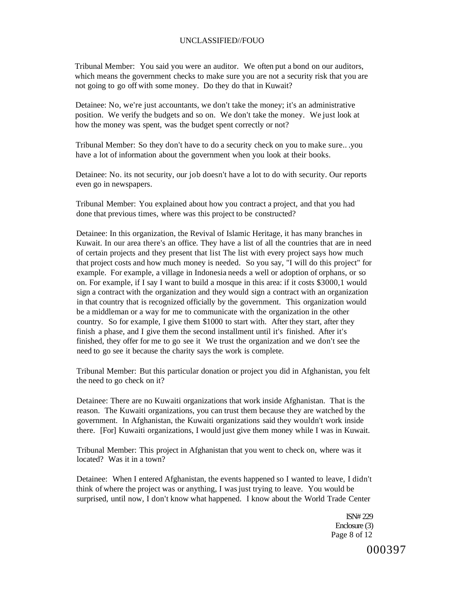Tribunal Member: You said you were an auditor. We often put a bond on our auditors, which means the government checks to make sure you are not a security risk that you are not going to go off with some money. Do they do that in Kuwait?

Detainee: No, we're just accountants, we don't take the money; it's an administrative position. We verify the budgets and so on. We don't take the money. We just look at how the money was spent, was the budget spent correctly or not?

Tribunal Member: So they don't have to do a security check on you to make sure.. .you have a lot of information about the government when you look at their books.

Detainee: No. its not security, our job doesn't have a lot to do with security. Our reports even go in newspapers.

Tribunal Member: You explained about how you contract a project, and that you had done that previous times, where was this project to be constructed?

Detainee: In this organization, the Revival of Islamic Heritage, it has many branches in Kuwait. In our area there's an office. They have a list of all the countries that are in need of certain projects and they present that list The list with every project says how much that project costs and how much money is needed. So you say, "I will do this project" for example. For example, a village in Indonesia needs a well or adoption of orphans, or so on. For example, if I say I want to build a mosque in this area: if it costs \$3000,1 would sign a contract with the organization and they would sign a contract with an organization in that country that is recognized officially by the government. This organization would be a middleman or a way for me to communicate with the organization in the other country. So for example, I give them \$1000 to start with. After they start, after they finish a phase, and I give them the second installment until it's finished. After it's finished, they offer for me to go see it We trust the organization and we don't see the need to go see it because the charity says the work is complete.

Tribunal Member: But this particular donation or project you did in Afghanistan, you felt the need to go check on it?

Detainee: There are no Kuwaiti organizations that work inside Afghanistan. That is the reason. The Kuwaiti organizations, you can trust them because they are watched by the government. In Afghanistan, the Kuwaiti organizations said they wouldn't work inside there. [For] Kuwaiti organizations, I would just give them money while I was in Kuwait.

Tribunal Member: This project in Afghanistan that you went to check on, where was it located? Was it in a town?

Detainee: When I entered Afghanistan, the events happened so I wanted to leave, I didn't think of where the project was or anything, I was just trying to leave. You would be surprised, until now, I don't know what happened. I know about the World Trade Center

> ISN# 229 Enclosure (3) Page 8 of 12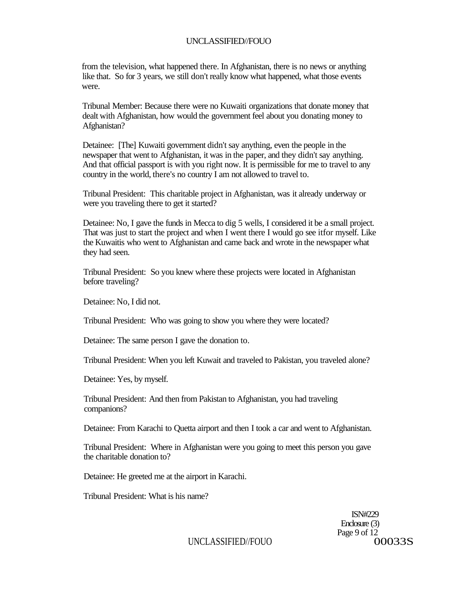from the television, what happened there. In Afghanistan, there is no news or anything like that. So for 3 years, we still don't really know what happened, what those events were.

Tribunal Member: Because there were no Kuwaiti organizations that donate money that dealt with Afghanistan, how would the government feel about you donating money to Afghanistan?

Detainee: [The] Kuwaiti government didn't say anything, even the people in the newspaper that went to Afghanistan, it was in the paper, and they didn't say anything. And that official passport is with you right now. It is permissible for me to travel to any country in the world, there's no country I am not allowed to travel to.

Tribunal President: This charitable project in Afghanistan, was it already underway or were you traveling there to get it started?

Detainee: No, I gave the funds in Mecca to dig 5 wells, I considered it be a small project. That was just to start the project and when I went there I would go see itfor myself. Like the Kuwaitis who went to Afghanistan and came back and wrote in the newspaper what they had seen.

Tribunal President: So you knew where these projects were located in Afghanistan before traveling?

Detainee: No, I did not.

Tribunal President: Who was going to show you where they were located?

Detainee: The same person I gave the donation to.

Tribunal President: When you left Kuwait and traveled to Pakistan, you traveled alone?

Detainee: Yes, by myself.

Tribunal President: And then from Pakistan to Afghanistan, you had traveling companions?

Detainee: From Karachi to Quetta airport and then I took a car and went to Afghanistan.

Tribunal President: Where in Afghanistan were you going to meet this person you gave the charitable donation to?

Detainee: He greeted me at the airport in Karachi.

Tribunal President: What is his name?

ISN#229 Enclosure (3) Page 9 of 12<br>00033S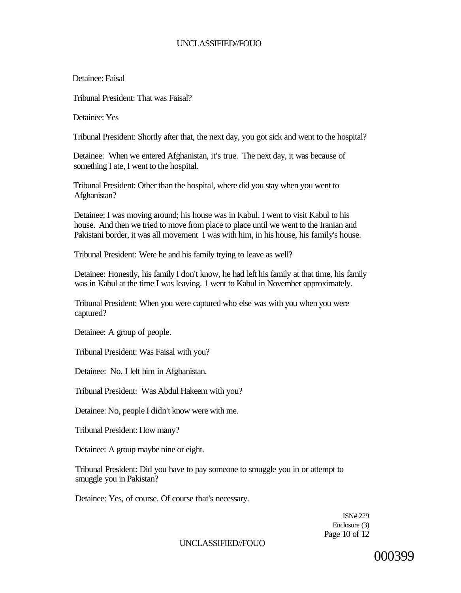## Detainee: Faisal

Tribunal President: That was Faisal?

Detainee: Yes

Tribunal President: Shortly after that, the next day, you got sick and went to the hospital?

Detainee: When we entered Afghanistan, it's true. The next day, it was because of something I ate, I went to the hospital.

Tribunal President: Other than the hospital, where did you stay when you went to Afghanistan?

Detainee; I was moving around; his house was in Kabul. I went to visit Kabul to his house. And then we tried to move from place to place until we went to the Iranian and Pakistani border, it was all movement I was with him, in his house, his family's house.

Tribunal President: Were he and his family trying to leave as well?

Detainee: Honestly, his family I don't know, he had left his family at that time, his family was in Kabul at the time I was leaving. 1 went to Kabul in November approximately.

Tribunal President: When you were captured who else was with you when you were captured?

Detainee: A group of people.

Tribunal President: Was Faisal with you?

Detainee: No, I left him in Afghanistan.

Tribunal President: Was Abdul Hakeem with you?

Detainee: No, people I didn't know were with me.

Tribunal President: How many?

Detainee: A group maybe nine or eight.

Tribunal President: Did you have to pay someone to smuggle you in or attempt to smuggle you in Pakistan?

Detainee: Yes, of course. Of course that's necessary.

ISN# 229 Enclosure (3) Page 10 of 12

UNCLASSIFIED//FOUO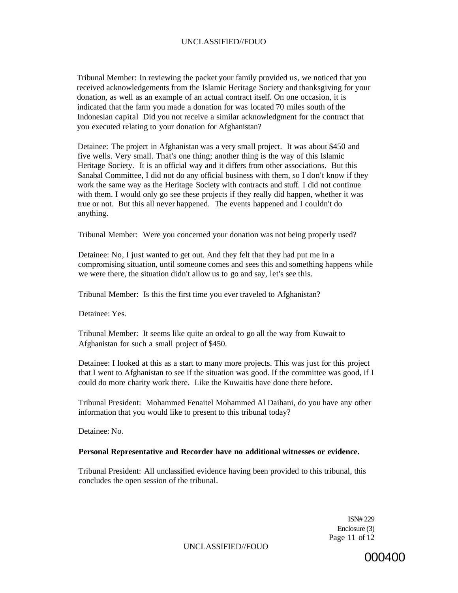Tribunal Member: In reviewing the packet your family provided us, we noticed that you received acknowledgements from the Islamic Heritage Society and thanksgiving for your donation, as well as an example of an actual contract itself. On one occasion, it is indicated that the farm you made a donation for was located 70 miles south of the Indonesian capital Did you not receive a similar acknowledgment for the contract that you executed relating to your donation for Afghanistan?

Detainee: The project in Afghanistan was a very small project. It was about \$450 and five wells. Very small. That's one thing; another thing is the way of this Islamic Heritage Society. It is an official way and it differs from other associations. But this Sanabal Committee, I did not do any official business with them, so I don't know if they work the same way as the Heritage Society with contracts and stuff. I did not continue with them. I would only go see these projects if they really did happen, whether it was true or not. But this all never happened. The events happened and I couldn't do anything.

Tribunal Member: Were you concerned your donation was not being properly used?

Detainee: No, I just wanted to get out. And they felt that they had put me in a compromising situation, until someone comes and sees this and something happens while we were there, the situation didn't allow us to go and say, let's see this.

Tribunal Member: Is this the first time you ever traveled to Afghanistan?

Detainee: Yes.

Tribunal Member: It seems like quite an ordeal to go all the way from Kuwait to Afghanistan for such a small project of \$450.

Detainee: I looked at this as a start to many more projects. This was just for this project that I went to Afghanistan to see if the situation was good. If the committee was good, if I could do more charity work there. Like the Kuwaitis have done there before.

Tribunal President: Mohammed Fenaitel Mohammed Al Daihani, do you have any other information that you would like to present to this tribunal today?

Detainee: No.

#### **Personal Representative and Recorder have no additional witnesses or evidence.**

Tribunal President: All unclassified evidence having been provided to this tribunal, this concludes the open session of the tribunal.

> ISN# 229 Enclosure (3) Page 11 of 12

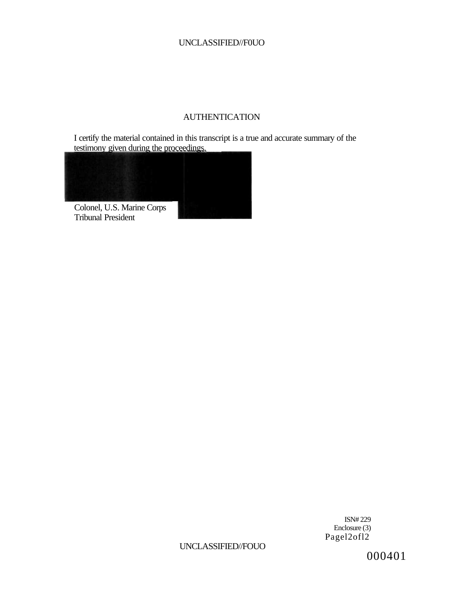## AUTHENTICATION

I certify the material contained in this transcript is a true and accurate summary of the testimony given during the proceedings.



ISN# 229 Enclosure (3) Pagel2ofl2

UNCLASSIFIED//FOUO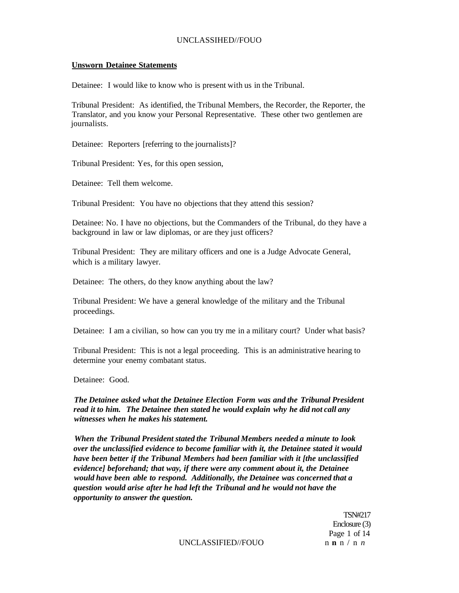#### **Unsworn Detainee Statements**

Detainee: I would like to know who is present with us in the Tribunal.

Tribunal President: As identified, the Tribunal Members, the Recorder, the Reporter, the Translator, and you know your Personal Representative. These other two gentlemen are journalists.

Detainee: Reporters [referring to the journalists]?

Tribunal President: Yes, for this open session,

Detainee: Tell them welcome.

Tribunal President: You have no objections that they attend this session?

Detainee: No. I have no objections, but the Commanders of the Tribunal, do they have a background in law or law diplomas, or are they just officers?

Tribunal President: They are military officers and one is a Judge Advocate General, which is a military lawyer.

Detainee: The others, do they know anything about the law?

Tribunal President: We have a general knowledge of the military and the Tribunal proceedings.

Detainee: I am a civilian, so how can you try me in a military court? Under what basis?

Tribunal President: This is not a legal proceeding. This is an administrative hearing to determine your enemy combatant status.

Detainee: Good.

*The Detainee asked what the Detainee Election Form was and the Tribunal President read it to him. The Detainee then stated he would explain why he did not call any witnesses when he makes his statement.* 

*When the Tribunal President stated the Tribunal Members needed a minute to look over the unclassified evidence to become familiar with it, the Detainee stated it would have been better if the Tribunal Members had been familiar with it [the unclassified evidence] beforehand; that way, if there were any comment about it, the Detainee would have been able to respond. Additionally, the Detainee was concerned that a question would arise after he had left the Tribunal and he would not have the opportunity to answer the question.* 

> TSN#217 Enclosure (3) Page 1 of 14<br>n **n** n / n *n*

UNCLASSIFIED//FOUO n **n** n / n *n*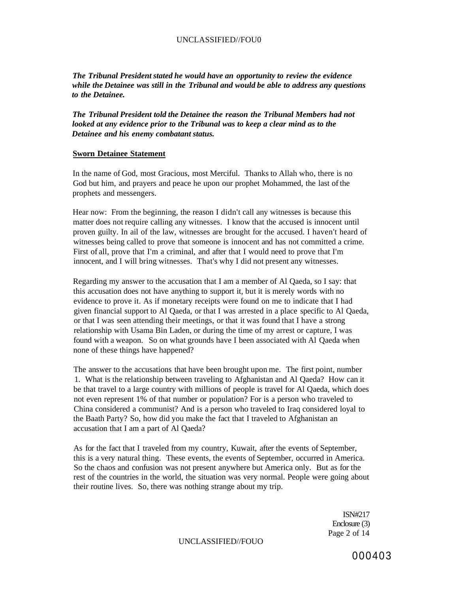*The Tribunal President stated he would have an opportunity to review the evidence while the Detainee was still in the Tribunal and would be able to address any questions to the Detainee.* 

*The Tribunal President told the Detainee the reason the Tribunal Members had not looked at any evidence prior to the Tribunal was to keep a clear mind as to the Detainee and his enemy combatant status.* 

#### **Sworn Detainee Statement**

In the name of God, most Gracious, most Merciful. Thanks to Allah who, there is no God but him, and prayers and peace he upon our prophet Mohammed, the last of the prophets and messengers.

Hear now: From the beginning, the reason I didn't call any witnesses is because this matter does not require calling any witnesses. I know that the accused is innocent until proven guilty. In ail of the law, witnesses are brought for the accused. I haven't heard of witnesses being called to prove that someone is innocent and has not committed a crime. First of all, prove that I'm a criminal, and after that I would need to prove that I'm innocent, and I will bring witnesses. That's why I did not present any witnesses.

Regarding my answer to the accusation that I am a member of Al Qaeda, so I say: that this accusation does not have anything to support it, but it is merely words with no evidence to prove it. As if monetary receipts were found on me to indicate that I had given financial support to Al Qaeda, or that I was arrested in a place specific to Al Qaeda, or that I was seen attending their meetings, or that it was found that I have a strong relationship with Usama Bin Laden, or during the time of my arrest or capture, I was found with a weapon. So on what grounds have I been associated with Al Qaeda when none of these things have happened?

The answer to the accusations that have been brought upon me. The first point, number 1. What is the relationship between traveling to Afghanistan and Al Qaeda? How can it be that travel to a large country with millions of people is travel for Al Qaeda, which does not even represent 1% of that number or population? For is a person who traveled to China considered a communist? And is a person who traveled to Iraq considered loyal to the Baath Party? So, how did you make the fact that I traveled to Afghanistan an accusation that I am a part of Al Qaeda?

As for the fact that I traveled from my country, Kuwait, after the events of September, this is a very natural thing. These events, the events of September, occurred in America. So the chaos and confusion was not present anywhere but America only. But as for the rest of the countries in the world, the situation was very normal. People were going about their routine lives. So, there was nothing strange about my trip.

> ISN#217 Enclosure (3) Page 2 of 14

UNCLASSIFIED//FOUO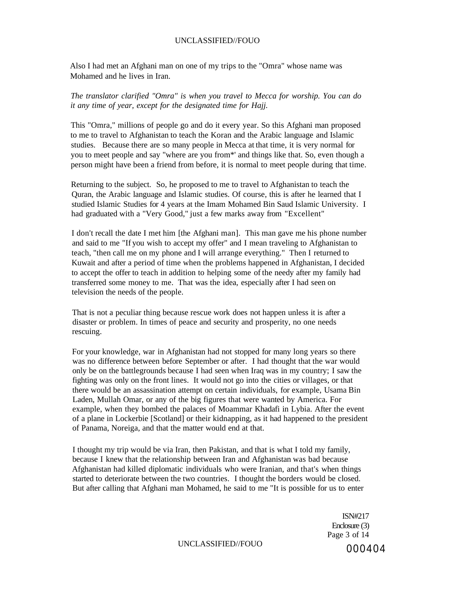Also I had met an Afghani man on one of my trips to the "Omra" whose name was Mohamed and he lives in Iran.

## *The translator clarified "Omra" is when you travel to Mecca for worship. You can do it any time of year, except for the designated time for Hajj.*

This "Omra," millions of people go and do it every year. So this Afghani man proposed to me to travel to Afghanistan to teach the Koran and the Arabic language and Islamic studies. Because there are so many people in Mecca at that time, it is very normal for you to meet people and say "where are you from\*' and things like that. So, even though a person might have been a friend from before, it is normal to meet people during that time.

Returning to the subject. So, he proposed to me to travel to Afghanistan to teach the Quran, the Arabic language and Islamic studies. Of course, this is after he learned that I studied Islamic Studies for 4 years at the Imam Mohamed Bin Saud Islamic University. I had graduated with a "Very Good," just a few marks away from "Excellent"

I don't recall the date I met him [the Afghani man]. This man gave me his phone number and said to me "If you wish to accept my offer" and I mean traveling to Afghanistan to teach, "then call me on my phone and I will arrange everything." Then I returned to Kuwait and after a period of time when the problems happened in Afghanistan, I decided to accept the offer to teach in addition to helping some of the needy after my family had transferred some money to me. That was the idea, especially after I had seen on television the needs of the people.

That is not a peculiar thing because rescue work does not happen unless it is after a disaster or problem. In times of peace and security and prosperity, no one needs rescuing.

For your knowledge, war in Afghanistan had not stopped for many long years so there was no difference between before September or after. I had thought that the war would only be on the battlegrounds because I had seen when Iraq was in my country; I saw the fighting was only on the front lines. It would not go into the cities or villages, or that there would be an assassination attempt on certain individuals, for example, Usama Bin Laden, Mullah Omar, or any of the big figures that were wanted by America. For example, when they bombed the palaces of Moammar Khadafi in Lybia. After the event of a plane in Lockerbie [Scotland] or their kidnapping, as it had happened to the president of Panama, Noreiga, and that the matter would end at that.

I thought my trip would be via Iran, then Pakistan, and that is what I told my family, because I knew that the relationship between Iran and Afghanistan was bad because Afghanistan had killed diplomatic individuals who were Iranian, and that's when things started to deteriorate between the two countries. I thought the borders would be closed. But after calling that Afghani man Mohamed, he said to me "It is possible for us to enter

> ISN#217 Enclosure (3) Page 3 of 14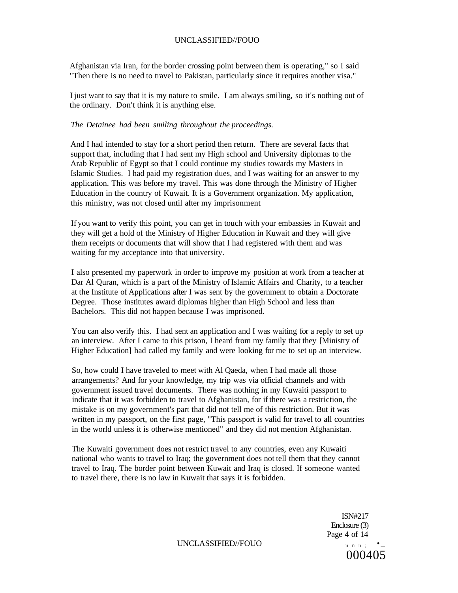Afghanistan via Iran, for the border crossing point between them is operating," so I said "Then there is no need to travel to Pakistan, particularly since it requires another visa."

I just want to say that it is my nature to smile. I am always smiling, so it's nothing out of the ordinary. Don't think it is anything else.

#### *The Detainee had been smiling throughout the proceedings.*

And I had intended to stay for a short period then return. There are several facts that support that, including that I had sent my High school and University diplomas to the Arab Republic of Egypt so that I could continue my studies towards my Masters in Islamic Studies. I had paid my registration dues, and I was waiting for an answer to my application. This was before my travel. This was done through the Ministry of Higher Education in the country of Kuwait. It is a Government organization. My application, this ministry, was not closed until after my imprisonment

If you want to verify this point, you can get in touch with your embassies in Kuwait and they will get a hold of the Ministry of Higher Education in Kuwait and they will give them receipts or documents that will show that I had registered with them and was waiting for my acceptance into that university.

I also presented my paperwork in order to improve my position at work from a teacher at Dar Al Quran, which is a part of the Ministry of Islamic Affairs and Charity, to a teacher at the Institute of Applications after I was sent by the government to obtain a Doctorate Degree. Those institutes award diplomas higher than High School and less than Bachelors. This did not happen because I was imprisoned.

You can also verify this. I had sent an application and I was waiting for a reply to set up an interview. After I came to this prison, I heard from my family that they [Ministry of Higher Education] had called my family and were looking for me to set up an interview.

So, how could I have traveled to meet with Al Qaeda, when I had made all those arrangements? And for your knowledge, my trip was via official channels and with government issued travel documents. There was nothing in my Kuwaiti passport to indicate that it was forbidden to travel to Afghanistan, for if there was a restriction, the mistake is on my government's part that did not tell me of this restriction. But it was written in my passport, on the first page, "This passport is valid for travel to all countries in the world unless it is otherwise mentioned" and they did not mention Afghanistan.

The Kuwaiti government does not restrict travel to any countries, even any Kuwaiti national who wants to travel to Iraq; the government does not tell them that they cannot travel to Iraq. The border point between Kuwait and Iraq is closed. If someone wanted to travel there, there is no law in Kuwait that says it is forbidden.

> ISN#217 Enclosure (3) Page 4 of 14

UNCLASSIFIED//FOUO

 $n \times n$ ;  $\bullet$ 000405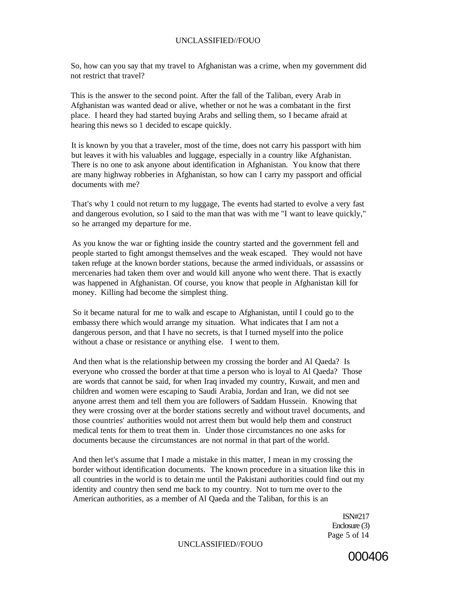So, how can you say that my travel to Afghanistan was a crime, when my government did not restrict that travel?

This is the answer to the second point. After the fall of the Taliban, every Arab in Afghanistan was wanted dead or alive, whether or not he was a combatant in the first place. I heard they had started buying Arabs and selling them, so I became afraid at hearing this news so 1 decided to escape quickly.

It is known by you that a traveler, most of the time, does not carry his passport with him but leaves it with his valuables and luggage, especially in a country like Afghanistan. There is no one to ask anyone about identification in Afghanistan. You know that there are many highway robberies in Afghanistan, so how can I carry my passport and official documents with me?

That's why 1 could not return to my luggage, The events had started to evolve a very fast and dangerous evolution, so I said to the man that was with me "I want to leave quickly," so he arranged my departure for me.

As you know the war or fighting inside the country started and the government fell and people started to fight amongst themselves and the weak escaped. They would not have taken refuge at the known border stations, because the armed individuals, or assassins or mercenaries had taken them over and would kill anyone who went there. That is exactly was happened in Afghanistan. Of course, you know that people in Afghanistan kill for money. Killing had become the simplest thing.

So it became natural for me to walk and escape to Afghanistan, until I could go to the embassy there which would arrange my situation. What indicates that I am not a dangerous person, and that I have no secrets, is that I turned myself into the police without a chase or resistance or anything else. I went to them.

And then what is the relationship between my crossing the border and Al Qaeda? Is everyone who crossed the border at that time a person who is loyal to Al Qaeda? Those are words that cannot be said, for when Iraq invaded my country, Kuwait, and men and children and women were escaping to Saudi Arabia, Jordan and Iran, we did not see anyone arrest them and tell them you are followers of Saddam Hussein. Knowing that they were crossing over at the border stations secretly and without travel documents, and those countries' authorities would not arrest them but would help them and construct medical tents for them to treat them in. Under those circumstances no one asks for documents because the circumstances are not normal in that part of the world.

And then let's assume that I made a mistake in this matter, I mean in my crossing the border without identification documents. The known procedure in a situation like this in all countries in the world is to detain me until the Pakistani authorities could find out my identity and country then send me back to my country. Not to turn me over to the American authorities, as a member of Al Qaeda and the Taliban, for this is an

> ISN#217 Enclosure (3) Page 5 of 14

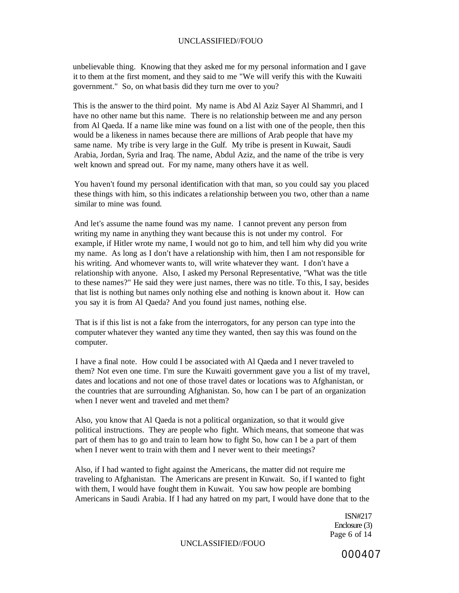unbelievable thing. Knowing that they asked me for my personal information and I gave it to them at the first moment, and they said to me "We will verify this with the Kuwaiti government." So, on what basis did they turn me over to you?

This is the answer to the third point. My name is Abd Al Aziz Sayer Al Shammri, and I have no other name but this name. There is no relationship between me and any person from Al Qaeda. If a name like mine was found on a list with one of the people, then this would be a likeness in names because there are millions of Arab people that have my same name. My tribe is very large in the Gulf. My tribe is present in Kuwait, Saudi Arabia, Jordan, Syria and Iraq. The name, Abdul Aziz, and the name of the tribe is very welt known and spread out. For my name, many others have it as well.

You haven't found my personal identification with that man, so you could say you placed these things with him, so this indicates a relationship between you two, other than a name similar to mine was found.

And let's assume the name found was my name. I cannot prevent any person from writing my name in anything they want because this is not under my control. For example, if Hitler wrote my name, I would not go to him, and tell him why did you write my name. As long as I don't have a relationship with him, then I am not responsible for his writing. And whomever wants to, will write whatever they want. I don't have a relationship with anyone. Also, I asked my Personal Representative, "What was the title to these names?" He said they were just names, there was no title. To this, I say, besides that list is nothing but names only nothing else and nothing is known about it. How can you say it is from Al Qaeda? And you found just names, nothing else.

That is if this list is not a fake from the interrogators, for any person can type into the computer whatever they wanted any time they wanted, then say this was found on the computer.

I have a final note. How could I be associated with Al Qaeda and I never traveled to them? Not even one time. I'm sure the Kuwaiti government gave you a list of my travel, dates and locations and not one of those travel dates or locations was to Afghanistan, or the countries that are surrounding Afghanistan. So, how can I be part of an organization when I never went and traveled and met them?

Also, you know that Al Qaeda is not a political organization, so that it would give political instructions. They are people who fight. Which means, that someone that was part of them has to go and train to learn how to fight So, how can I be a part of them when I never went to train with them and I never went to their meetings?

Also, if I had wanted to fight against the Americans, the matter did not require me traveling to Afghanistan. The Americans are present in Kuwait. So, if I wanted to fight with them, I would have fought them in Kuwait. You saw how people are bombing Americans in Saudi Arabia. If I had any hatred on my part, I would have done that to the

> ISN#217 Enclosure (3) Page 6 of 14

#### UNCLASSIFIED//FOUO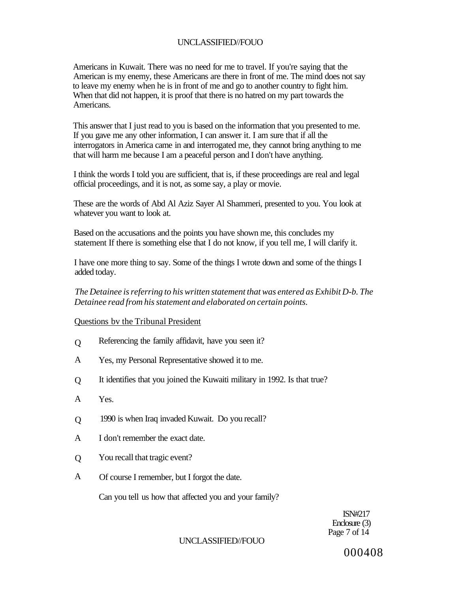Americans in Kuwait. There was no need for me to travel. If you're saying that the American is my enemy, these Americans are there in front of me. The mind does not say to leave my enemy when he is in front of me and go to another country to fight him. When that did not happen, it is proof that there is no hatred on my part towards the Americans.

This answer that I just read to you is based on the information that you presented to me. If you gave me any other information, I can answer it. I am sure that if all the interrogators in America came in and interrogated me, they cannot bring anything to me that will harm me because I am a peaceful person and I don't have anything.

I think the words I told you are sufficient, that is, if these proceedings are real and legal official proceedings, and it is not, as some say, a play or movie.

These are the words of Abd Al Aziz Sayer Al Shammeri, presented to you. You look at whatever you want to look at.

Based on the accusations and the points you have shown me, this concludes my statement If there is something else that I do not know, if you tell me, I will clarify it.

I have one more thing to say. Some of the things I wrote down and some of the things I added today.

*The Detainee is referring to his written statement that was entered as Exhibit D-b. The Detainee read from his statement and elaborated on certain points.* 

## Questions bv the Tribunal President

- $\overline{O}$ Referencing the family affidavit, have you seen it?
- A Yes, my Personal Representative showed it to me.
- $\overline{O}$ It identifies that you joined the Kuwaiti military in 1992. Is that true?
- A Yes.
- $\overline{O}$ 1990 is when Iraq invaded Kuwait. Do you recall?
- A I don't remember the exact date.
- Q You recall that tragic event?
- A Of course I remember, but I forgot the date.

Can you tell us how that affected you and your family?

ISN#217 Enclosure (3) Page 7 of 14

## UNCLASSIFIED//FOUO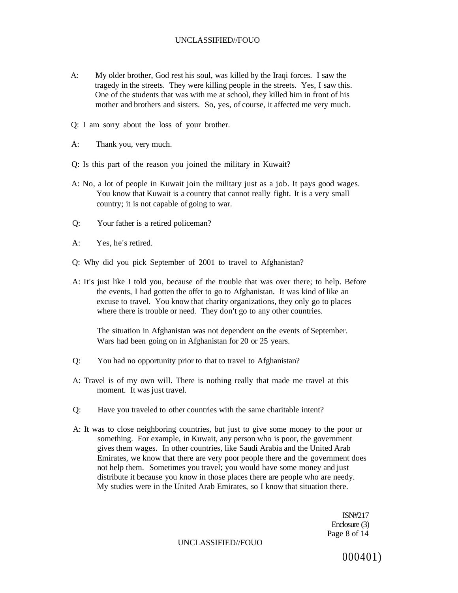A: My older brother, God rest his soul, was killed by the Iraqi forces. I saw the tragedy in the streets. They were killing people in the streets. Yes, I saw this. One of the students that was with me at school, they killed him in front of his mother and brothers and sisters. So, yes, of course, it affected me very much.

Q: I am sorry about the loss of your brother.

A: Thank you, very much.

Q: Is this part of the reason you joined the military in Kuwait?

- A: No, a lot of people in Kuwait join the military just as a job. It pays good wages. You know that Kuwait is a country that cannot really fight. It is a very small country; it is not capable of going to war.
- Q: Your father is a retired policeman?
- A: Yes, he's retired.
- Q: Why did you pick September of 2001 to travel to Afghanistan?
- A: It's just like I told you, because of the trouble that was over there; to help. Before the events, I had gotten the offer to go to Afghanistan. It was kind of like an excuse to travel. You know that charity organizations, they only go to places where there is trouble or need. They don't go to any other countries.

The situation in Afghanistan was not dependent on the events of September. Wars had been going on in Afghanistan for 20 or 25 years.

- Q: You had no opportunity prior to that to travel to Afghanistan?
- A: Travel is of my own will. There is nothing really that made me travel at this moment. It was just travel.
- Q: Have you traveled to other countries with the same charitable intent?
- A: It was to close neighboring countries, but just to give some money to the poor or something. For example, in Kuwait, any person who is poor, the government gives them wages. In other countries, like Saudi Arabia and the United Arab Emirates, we know that there are very poor people there and the government does not help them. Sometimes you travel; you would have some money and just distribute it because you know in those places there are people who are needy. My studies were in the United Arab Emirates, so I know that situation there.

ISN#217 Enclosure (3) Page 8 of 14

UNCLASSIFIED//FOUO

000401)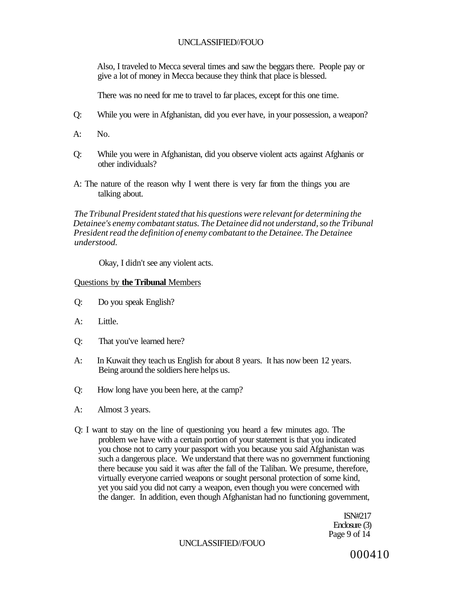Also, I traveled to Mecca several times and saw the beggars there. People pay or give a lot of money in Mecca because they think that place is blessed.

There was no need for me to travel to far places, except for this one time.

- Q: While you were in Afghanistan, did you ever have, in your possession, a weapon?
- A: No.
- Q: While you were in Afghanistan, did you observe violent acts against Afghanis or other individuals?
- A: The nature of the reason why I went there is very far from the things you are talking about.

*The Tribunal President stated that his questions were relevant for determining the Detainee's enemy combatant status. The Detainee did not understand, so the Tribunal President read the definition of enemy combatant to the Detainee. The Detainee understood.* 

Okay, I didn't see any violent acts.

## Questions by **the Tribunal** Members

- Q: Do you speak English?
- A: Little.
- Q: That you've learned here?
- A: In Kuwait they teach us English for about 8 years. It has now been 12 years. Being around the soldiers here helps us.
- Q: How long have you been here, at the camp?
- A: Almost 3 years.
- Q: I want to stay on the line of questioning you heard a few minutes ago. The problem we have with a certain portion of your statement is that you indicated you chose not to carry your passport with you because you said Afghanistan was such a dangerous place. We understand that there was no government functioning there because you said it was after the fall of the Taliban. We presume, therefore, virtually everyone carried weapons or sought personal protection of some kind, yet you said you did not carry a weapon, even though you were concerned with the danger. In addition, even though Afghanistan had no functioning government,

ISN#217 Enclosure (3) Page 9 of 14

## UNCLASSIFIED//FOUO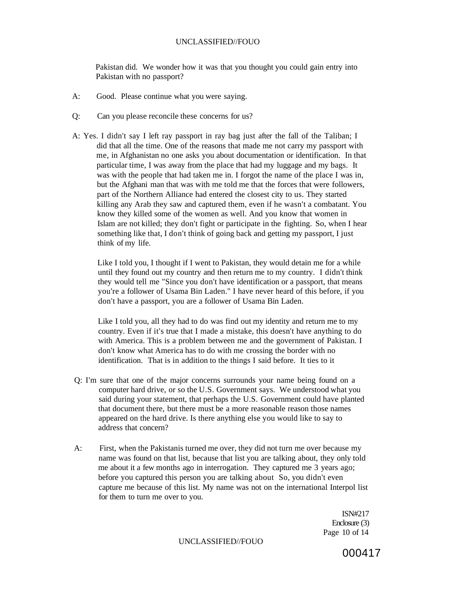Pakistan did. We wonder how it was that you thought you could gain entry into Pakistan with no passport?

- A: Good. Please continue what you were saying.
- Q: Can you please reconcile these concerns for us?
- A: Yes. I didn't say I left ray passport in ray bag just after the fall of the Taliban; I did that all the time. One of the reasons that made me not carry my passport with me, in Afghanistan no one asks you about documentation or identification. In that particular time, I was away from the place that had my luggage and my bags. It was with the people that had taken me in. I forgot the name of the place I was in, but the Afghani man that was with me told me that the forces that were followers, part of the Northern Alliance had entered the closest city to us. They started killing any Arab they saw and captured them, even if he wasn't a combatant. You know they killed some of the women as well. And you know that women in Islam are not killed; they don't fight or participate in the fighting. So, when I hear something like that, I don't think of going back and getting my passport, I just think of my life.

Like I told you, I thought if I went to Pakistan, they would detain me for a while until they found out my country and then return me to my country. I didn't think they would tell me "Since you don't have identification or a passport, that means you're a follower of Usama Bin Laden." I have never heard of this before, if you don't have a passport, you are a follower of Usama Bin Laden.

Like I told you, all they had to do was find out my identity and return me to my country. Even if it's true that I made a mistake, this doesn't have anything to do with America. This is a problem between me and the government of Pakistan. I don't know what America has to do with me crossing the border with no identification. That is in addition to the things I said before. It ties to it

- Q: I'm sure that one of the major concerns surrounds your name being found on a computer hard drive, or so the U.S. Government says. We understood what you said during your statement, that perhaps the U.S. Government could have planted that document there, but there must be a more reasonable reason those names appeared on the hard drive. Is there anything else you would like to say to address that concern?
- A: First, when the Pakistanis turned me over, they did not turn me over because my name was found on that list, because that list you are talking about, they only told me about it a few months ago in interrogation. They captured me 3 years ago; before you captured this person you are talking about So, you didn't even capture me because of this list. My name was not on the international Interpol list for them to turn me over to you.

ISN#217 Enclosure (3) Page 10 of 14

UNCLASSIFIED//FOUO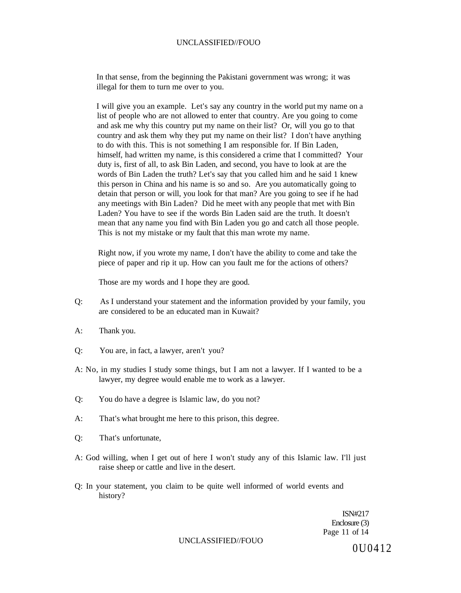In that sense, from the beginning the Pakistani government was wrong; it was illegal for them to turn me over to you.

I will give you an example. Let's say any country in the world put my name on a list of people who are not allowed to enter that country. Are you going to come and ask me why this country put my name on their list? Or, will you go to that country and ask them why they put my name on their list? I don't have anything to do with this. This is not something I am responsible for. If Bin Laden, himself, had written my name, is this considered a crime that I committed? Your duty is, first of all, to ask Bin Laden, and second, you have to look at are the words of Bin Laden the truth? Let's say that you called him and he said 1 knew this person in China and his name is so and so. Are you automatically going to detain that person or will, you look for that man? Are you going to see if he had any meetings with Bin Laden? Did he meet with any people that met with Bin Laden? You have to see if the words Bin Laden said are the truth. It doesn't mean that any name you find with Bin Laden you go and catch all those people. This is not my mistake or my fault that this man wrote my name.

Right now, if you wrote my name, I don't have the ability to come and take the piece of paper and rip it up. How can you fault me for the actions of others?

Those are my words and I hope they are good.

- Q: As I understand your statement and the information provided by your family, you are considered to be an educated man in Kuwait?
- A: Thank you.
- Q: You are, in fact, a lawyer, aren't you?
- A: No, in my studies I study some things, but I am not a lawyer. If I wanted to be a lawyer, my degree would enable me to work as a lawyer.
- Q: You do have a degree is Islamic law, do you not?
- A: That's what brought me here to this prison, this degree.
- Q: That's unfortunate,
- A: God willing, when I get out of here I won't study any of this Islamic law. I'll just raise sheep or cattle and live in the desert.
- Q: In your statement, you claim to be quite well informed of world events and history?

ISN#217 Enclosure (3) Page 11 of 14

#### UNCLASSIFIED//FOUO

0U0412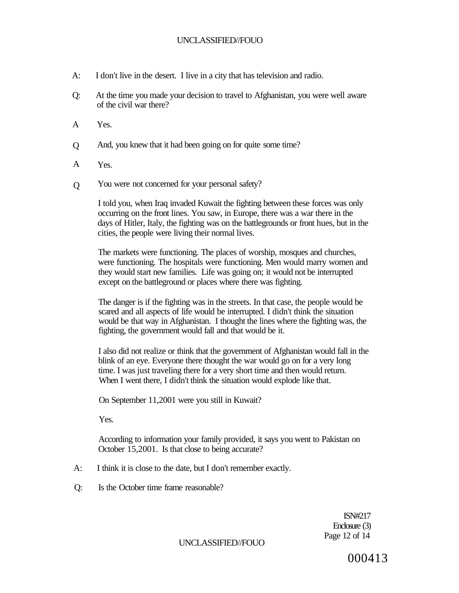- A: I don't live in the desert. I live in a city that has television and radio.
- Q: At the time you made your decision to travel to Afghanistan, you were well aware of the civil war there?
- A Yes.
- $\overline{O}$ And, you knew that it had been going on for quite some time?
- A Yes.
- $\Omega$ You were not concerned for your personal safety?

I told you, when Iraq invaded Kuwait the fighting between these forces was only occurring on the front lines. You saw, in Europe, there was a war there in the days of Hitler, Italy, the fighting was on the battlegrounds or front hues, but in the cities, the people were living their normal lives.

The markets were functioning. The places of worship, mosques and churches, were functioning. The hospitals were functioning. Men would marry women and they would start new families. Life was going on; it would not be interrupted except on the battleground or places where there was fighting.

The danger is if the fighting was in the streets. In that case, the people would be scared and all aspects of life would be interrupted. I didn't think the situation would be that way in Afghanistan. I thought the lines where the fighting was, the fighting, the government would fall and that would be it.

I also did not realize or think that the government of Afghanistan would fall in the blink of an eye. Everyone there thought the war would go on for a very long time. I was just traveling there for a very short time and then would return. When I went there, I didn't think the situation would explode like that.

On September 11,2001 were you still in Kuwait?

Yes.

According to information your family provided, it says you went to Pakistan on October 15,2001. Is that close to being accurate?

- A: I think it is close to the date, but I don't remember exactly.
- Q: Is the October time frame reasonable?

ISN#217 Enclosure (3) Page 12 of 14

UNCLASSIFIED//FOUO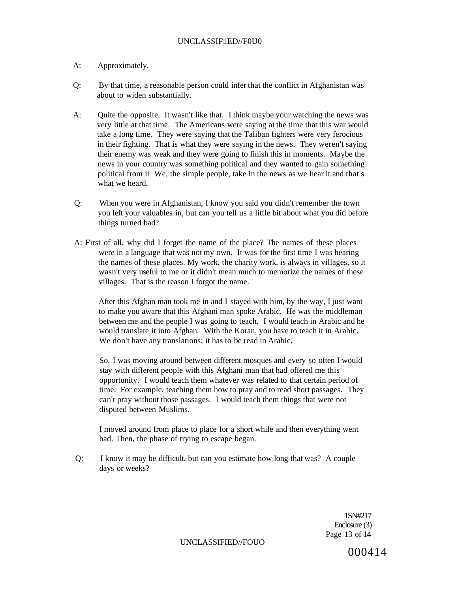#### UNCLASSIF1ED//F0U0

## A: Approximately.

- Q: By that time, a reasonable person could infer that the conflict in Afghanistan was about to widen substantially.
- A: Quite the opposite. It wasn't like that. I think maybe your watching the news was very little at that time. The Americans were saying at the time that this war would take a long time. They were saying that the Taliban fighters were very ferocious in their fighting. That is what they were saying in the news. They weren't saying their enemy was weak and they were going to finish this in moments. Maybe the news in your country was something political and they wanted to gain something political from it We, the simple people, take in the news as we hear it and that's what we heard.
- Q: When you were in Afghanistan, I know you said you didn't remember the town you left your valuables in, but can you tell us a little bit about what you did before things turned bad?
- A: First of all, why did I forget the name of the place? The names of these places were in a language that was not my own. It was for the first time I was hearing the names of these places. My work, the charity work, is always in villages, so it wasn't very useful to me or it didn't mean much to memorize the names of these villages. That is the reason I forgot the name.

After this Afghan man took me in and I stayed with him, by the way, I just want to make you aware that this Afghani man spoke Arabic. He was the middleman between me and the people I was going to teach. I would teach in Arabic and he would translate it into Afghan. With the Koran, you have to teach it in Arabic. We don't have any translations; it has to be read in Arabic.

So, I was moving around between different mosques and every so often I would stay with different people with this Afghani man that had offered me this opportunity. I would teach them whatever was related to that certain period of time. For example, teaching them how to pray and to read short passages. They can't pray without those passages. I would teach them things that were not disputed between Muslims.

I moved around from place to place for a short while and then everything went bad. Then, the phase of trying to escape began.

Q: I know it may be difficult, but can you estimate how long that was? A couple days or weeks?

> 1SN#217 Enclosure (3) Page 13 of 14

UNCLASSIFIED//FOUO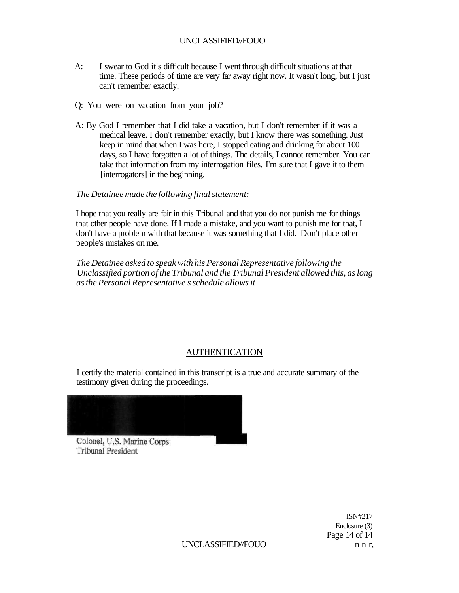- A: I swear to God it's difficult because I went through difficult situations at that time. These periods of time are very far away right now. It wasn't long, but I just can't remember exactly.
- Q: You were on vacation from your job?
- A: By God I remember that I did take a vacation, but I don't remember if it was a medical leave. I don't remember exactly, but I know there was something. Just keep in mind that when I was here, I stopped eating and drinking for about 100 days, so I have forgotten a lot of things. The details, I cannot remember. You can take that information from my interrogation files. I'm sure that I gave it to them [interrogators] in the beginning.

## *The Detainee made the following final statement:*

I hope that you really are fair in this Tribunal and that you do not punish me for things that other people have done. If I made a mistake, and you want to punish me for that, I don't have a problem with that because it was something that I did. Don't place other people's mistakes on me.

*The Detainee asked to speak with his Personal Representative following the Unclassified portion of the Tribunal and the Tribunal President allowed this, as long as the Personal Representative's schedule allows it* 

## AUTHENTICATION

I certify the material contained in this transcript is a true and accurate summary of the testimony given during the proceedings.



Colonel, U.S. Marine Corps **Tribunal President** 

> ISN#217 Enclosure (3) Page 14 of 14

UNCLASSIFIED//FOUO n n r,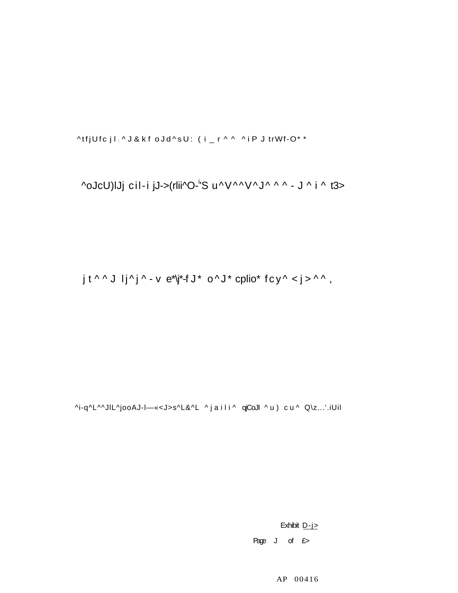AP 00416

Exhibit D-j> Page J of £>

^i-q^L^^JlL^jooAJ-l—«<J>s^L&^L ^jaili ^ qjCoJI ^u ) cu ^ Q\z...'.iUil

 $j$ t^^J lj^j^-v e\*\j\*-f J\* o^J\* cplio\* fcy^ <j>^^ ,

^oJcU)IJj cil-i jJ->(rlii^O-<sup>i</sup>'S u^V^^V^J^ ^ ^ - J ^ i ^ t3>

^tfjUfc jl : ^J&kf oJd^sU: (i\_r^^ ^iP J trWf-O\* \*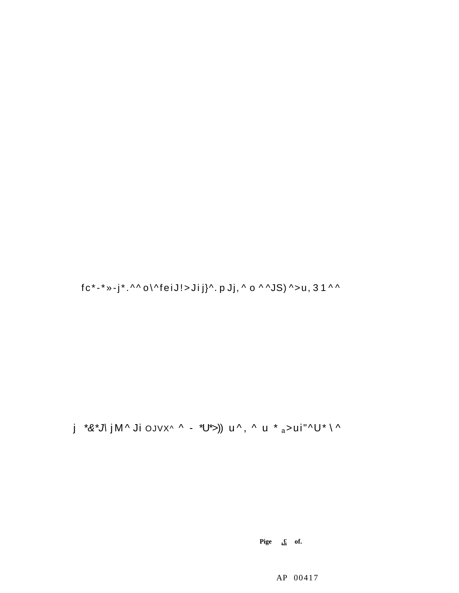AP 00417

**Pige ,£ of.** 

j \*&\*J\ jM^ Ji OJVX^ ^ - \*U\*>)) u^, ^ u \* a>ui"^U\* \^

 $fc^*$ -\*»-j\*.^^ o\^feiJ!>Jij}^.p Jj,^ o ^ ^JS) ^>u, 31^^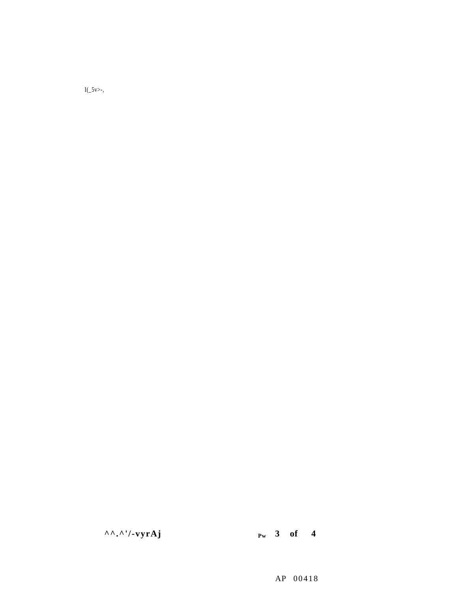$I($ \_5v>-,

**^^.^'/-vyrAj Pw 3 of 4** 

AP 0041 8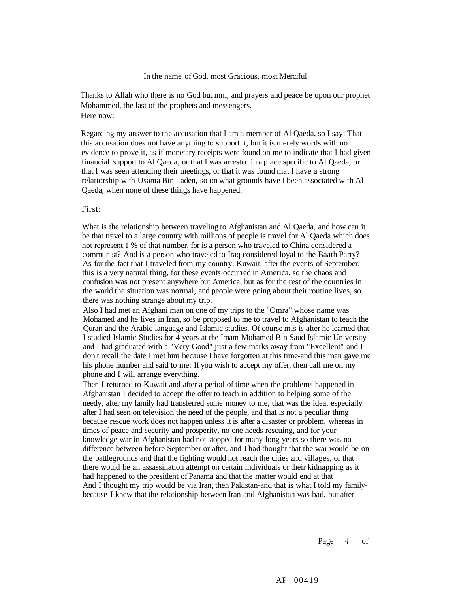#### In the name of God, most Gracious, most Merciful

Thanks to Allah who there is no God but mm, and prayers and peace be upon our prophet Mohammed, the last of the prophets and messengers. Here now:

Regarding my answer to the accusation that I am a member of Al Qaeda, so I say: That this accusation does not have anything to support it, but it is merely words with no evidence to prove it, as if monetary receipts were found on me to indicate that I had given financial support to Al Qaeda, or that I was arrested in a place specific to Al Qaeda, or that I was seen attending their meetings, or that it was found mat I have a strong relatiorship with Usama Bin Laden, so on what grounds have I been associated with Al Qaeda, when none of these things have happened.

#### First:

What is the relationship between traveling to Afghanistan and Al Qaeda, and how can it be that travel to a large country with millions of people is travel for Al Qaeda which does not represent 1 % of that number, for is a person who traveled to China considered a communist? And is a person who traveled to Iraq considered loyal to the Baath Party? As for the fact that I traveled from my country, Kuwait, after the events of September, this is a very natural thing, for these events occurred in America, so the chaos and confusion was not present anywhere but America, but as for the rest of the countries in the world the situation was normal, and people were going about their routine lives, so there was nothing strange about my trip.

Also I had met an Afghani man on one of my trips to the "Omra" whose name was Mohamed and he lives in Iran, so be proposed to me to travel to Afghanistan to teach the Quran and the Arabic language and Islamic studies. Of course mis is after he learned that I studied Islamic Studies for 4 years at the Imam Mohamed Bin Saud Islamic University and I had graduated with a "Very Good" just a few marks away from "Excellent"-and I don't recall the date I met him because I have forgotten at this time-and this man gave me his phone number and said to me: If you wish to accept my offer, then call me on my phone and I will arrange everything.

Then I returned to Kuwait and after a period of time when the problems happened in Afghanistan I decided to accept the offer to teach in addition to helping some of the needy, after my family had transferred some money to me, that was the idea, especially after I had seen on television the need of the people, and that is not a peculiar thmg because rescue work does not happen unless it is after a disaster or problem, whereas in times of peace and security and prosperity, no one needs rescuing, and for your knowledge war in Afghanistan had not stopped for many long years so there was no difference between before September or after, and I had thought that the war would be on the battlegrounds and that the fighting would not reach the cities and villages, or that there would be an assassination attempt on certain individuals or their kidnapping as it had happened to the president of Panama and that the matter would end at that And I thought my trip would be via Iran, then Pakistan-and that is what I told my familybecause I knew that the relationship between Iran and Afghanistan was bad, but after

Page *4* of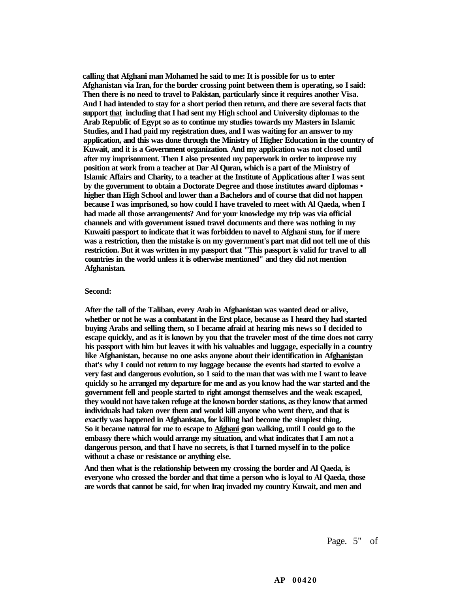**calling that Afghani man Mohamed he said to me: It is possible for us to enter Afghanistan via Iran, for the border crossing point between them is operating, so I said: Then there is no need to travel to Pakistan, particularly since it requires another Visa. And I had intended to stay for a short period then return, and there are several facts that support that including that I had sent my High school and University diplomas to the Arab Republic of Egypt so as to continue my studies towards my Masters in Islamic Studies, and I had paid my registration dues, and I was waiting for an answer to my application, and this was done through the Ministry of Higher Education in the country of Kuwait, and it is a Government organization. And my application was not closed until after my imprisonment. Then I also presented my paperwork in order to improve my position at work from a teacher at Dar Al Quran, which is a part of the Ministry of Islamic Affairs and Charity, to a teacher at the Institute of Applications after I was sent by the government to obtain a Doctorate Degree and those institutes award diplomas • higher than High School and lower than a Bachelors and of course that did not happen because I was imprisoned, so how could I have traveled to meet with Al Qaeda, when I had made all those arrangements? And for your knowledge my trip was via official channels and with government issued travel documents and there was nothing in my Kuwaiti passport to indicate that it was forbidden to navel to Afghani stun, for if mere was a restriction, then the mistake is on my government's part mat did not tell me of this restriction. But it was written in my passport that "This passport is valid for travel to all countries in the world unless it is otherwise mentioned" and they did not mention Afghanistan.** 

#### **Second:**

**After the tall of the Taliban, every Arab in Afghanistan was wanted dead or alive, whether or not he was a combatant in the Erst place, because as I heard they had started buying Arabs and selling them, so I became afraid at hearing mis news so I decided to escape quickly, and as it is known by you that the traveler most of the time does not carry his passport with him but leaves it with his valuables and luggage, especially in a country like Afghanistan, because no one asks anyone about their identification in Afghanistan that's why I could not return to my luggage because the events had started to evolve a very fast and dangerous evolution, so 1 said to the man that was with me I want to leave quickly so he arranged my departure for me and as you know had the war started and the government fell and people started to right amongst themselves and the weak escaped, they would not have taken refuge at the known border stations, as they know that armed individuals had taken over them and would kill anyone who went there, and that is exactly was happened in Afghanistan, for killing had become the simplest thing. So it became natural for me to escape to Afghani gran walking, until I could go to the embassy there which would arrange my situation, and what indicates that I am not a dangerous person, and that I have no secrets, is that I turned myself in to the police without a chase or resistance or anything else.** 

**And then what is the relationship between my crossing the border and Al Qaeda, is everyone who crossed the border and that time a person who is loyal to Al Qaeda, those are words that cannot be said, for when Iraq invaded my country Kuwait, and men and** 

Page. 5" of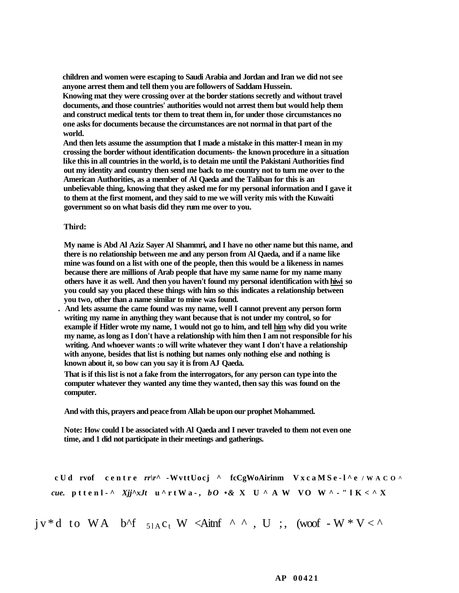**children and women were escaping to Saudi Arabia and Jordan and Iran we did not see anyone arrest them and tell them you are followers of Saddam Hussein.** 

**Knowing mat they were crossing over at the border stations secretly and without travel documents, and those countries' authorities would not arrest them but would help them and construct medical tents tor them to treat them in, for under those circumstances no one asks for documents because the circumstances are not normal in that part of the world.** 

**And then lets assume the assumption that I made a mistake in this matter-I mean in my crossing the border without identification documents- the known procedure in a situation like this in all countries in the world, is to detain me until the Pakistani Authorities find out my identity and country then send me back to me country not to turn me over to the American Authorities, as a member of Al Qaeda and the Taliban for this is an unbelievable thing, knowing that they asked me for my personal information and I gave it to them at the first moment, and they said to me we will verity mis with the Kuwaiti government so on what basis did they rum me over to you.** 

**Third:** 

**My name is Abd Al Aziz Sayer Al Shammri, and I have no other name but this name, and there is no relationship between me and any person from Al Qaeda, and if a name like mine was found on a list with one of the people, then this would be a likeness in names because there are millions of Arab people that have my same name for my name many others have it as well. And then you haven't found my personal identification with hiwi so you could say you placed these things with him so this indicates a relationship between you two, other than a name similar to mine was found.** 

**. And lets assume the came found was my name, well I cannot prevent any person form writing my name in anything they want because that is not under my control, so for example if Hitler wrote my name, 1 would not go to him, and tell him why did you write my name, as long as I don't have a relationship with him then I am not responsible for his writing. And whoever wants :o will write whatever they want I don't have a relationship with anyone, besides that list is nothing but names only nothing else and nothing is known about it, so bow can you say it is from AJ Qaeda.** 

**That is if this list is not a fake from the interrogators, for any person can type into the computer whatever they wanted any time they wanted, then say this was found on the computer.** 

**And with this, prayers and peace from Allah be upon our prophet Mohammed.** 

**Note: How could I be associated with Al Qaeda and I never traveled to them not even one time, and 1 did not participate in their meetings and gatherings.** 

**c U d rvof centr e** *rr\r^* **-WvttUocj ^ fcCgWoAirinm VxcaMSe-l^ e /WACO ^**  *cue.* pttenl- $\wedge$   $Xjj^{\wedge}xJt$  **u** $\wedge$ rtWa-,  $bO \cdot \& X$  **U** $\wedge$  A W VO W $\wedge$ -"lK <  $\wedge$  X

jv\*d to WA  $b^{\wedge}f_{5lA}c_t$  W <Aitnf ^^, U ;, (woof -W\*V < ^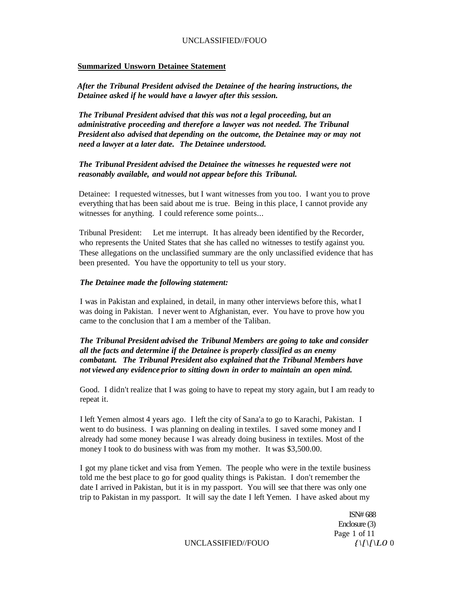#### **Summarized Unsworn Detainee Statement**

*After the Tribunal President advised the Detainee of the hearing instructions, the Detainee asked if he would have a lawyer after this session.* 

*The Tribunal President advised that this was not a legal proceeding, but an administrative proceeding and therefore a lawyer was not needed. The Tribunal President also advised that depending on the outcome, the Detainee may or may not need a lawyer at a later date. The Detainee understood.* 

## *The Tribunal President advised the Detainee the witnesses he requested were not reasonably available, and would not appear before this Tribunal.*

Detainee: I requested witnesses, but I want witnesses from you too. I want you to prove everything that has been said about me is true. Being in this place, I cannot provide any witnesses for anything. I could reference some points...

Tribunal President: Let me interrupt. It has already been identified by the Recorder, who represents the United States that she has called no witnesses to testify against you. These allegations on the unclassified summary are the only unclassified evidence that has been presented. You have the opportunity to tell us your story.

#### *The Detainee made the following statement:*

I was in Pakistan and explained, in detail, in many other interviews before this, what I was doing in Pakistan. I never went to Afghanistan, ever. You have to prove how you came to the conclusion that I am a member of the Taliban.

## *The Tribunal President advised the Tribunal Members are going to take and consider all the facts and determine if the Detainee is properly classified as an enemy combatant. The Tribunal President also explained that the Tribunal Members have not viewed any evidence prior to sitting down in order to maintain an open mind.*

Good. I didn't realize that I was going to have to repeat my story again, but I am ready to repeat it.

I left Yemen almost 4 years ago. I left the city of Sana'a to go to Karachi, Pakistan. I went to do business. I was planning on dealing in textiles. I saved some money and I already had some money because I was already doing business in textiles. Most of the money I took to do business with was from my mother. It was \$3,500.00.

I got my plane ticket and visa from Yemen. The people who were in the textile business told me the best place to go for good quality things is Pakistan. I don't remember the date I arrived in Pakistan, but it is in my passport. You will see that there was only one trip to Pakistan in my passport. It will say the date I left Yemen. I have asked about my

> ISN# 688 Enclosure (3) Page 1 of 11

#### UNCLASSIFIED//FOUO  $\{\setminus\{\setminus\{\setminus\}L0\}$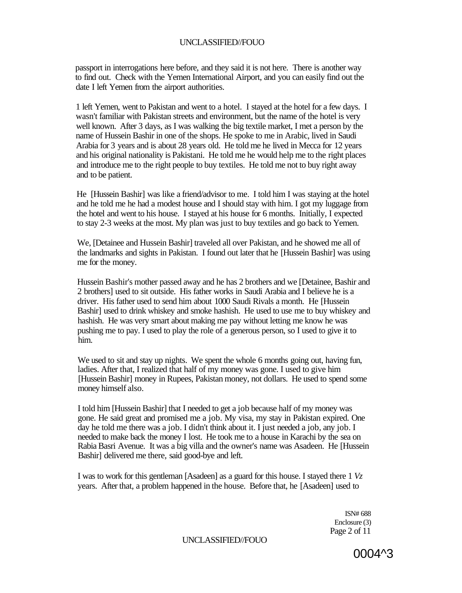passport in interrogations here before, and they said it is not here. There is another way to find out. Check with the Yemen International Airport, and you can easily find out the date I left Yemen from the airport authorities.

1 left Yemen, went to Pakistan and went to a hotel. I stayed at the hotel for a few days. I wasn't familiar with Pakistan streets and environment, but the name of the hotel is very well known. After 3 days, as I was walking the big textile market, I met a person by the name of Hussein Bashir in one of the shops. He spoke to me in Arabic, lived in Saudi Arabia for 3 years and is about 28 years old. He told me he lived in Mecca for 12 years and his original nationality is Pakistani. He told me he would help me to the right places and introduce me to the right people to buy textiles. He told me not to buy right away and to be patient.

He [Hussein Bashir] was like a friend/advisor to me. I told him I was staying at the hotel and he told me he had a modest house and I should stay with him. I got my luggage from the hotel and went to his house. I stayed at his house for 6 months. Initially, I expected to stay 2-3 weeks at the most. My plan was just to buy textiles and go back to Yemen.

We, [Detainee and Hussein Bashir] traveled all over Pakistan, and he showed me all of the landmarks and sights in Pakistan. I found out later that he [Hussein Bashir] was using me for the money.

Hussein Bashir's mother passed away and he has 2 brothers and we [Detainee, Bashir and 2 brothers] used to sit outside. His father works in Saudi Arabia and I believe he is a driver. His father used to send him about 1000 Saudi Rivals a month. He [Hussein Bashir] used to drink whiskey and smoke hashish. He used to use me to buy whiskey and hashish. He was very smart about making me pay without letting me know he was pushing me to pay. I used to play the role of a generous person, so I used to give it to him.

We used to sit and stay up nights. We spent the whole 6 months going out, having fun, ladies. After that, I realized that half of my money was gone. I used to give him [Hussein Bashir] money in Rupees, Pakistan money, not dollars. He used to spend some money himself also.

I told him [Hussein Bashir] that I needed to get a job because half of my money was gone. He said great and promised me a job. My visa, my stay in Pakistan expired. One day he told me there was a job. I didn't think about it. I just needed a job, any job. I needed to make back the money I lost. He took me to a house in Karachi by the sea on Rabia Basri Avenue. It was a big villa and the owner's name was Asadeen. He [Hussein Bashir] delivered me there, said good-bye and left.

I was to work for this gentleman [Asadeen] as a guard for this house. I stayed there 1 *Vz*  years. After that, a problem happened in the house. Before that, he [Asadeen] used to

> ISN# 688 Enclosure (3) Page 2 of 11

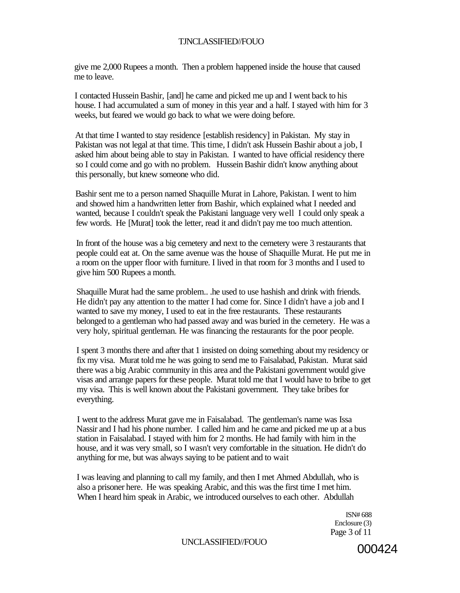give me 2,000 Rupees a month. Then a problem happened inside the house that caused me to leave.

I contacted Hussein Bashir, [and] he came and picked me up and I went back to his house. I had accumulated a sum of money in this year and a half. I stayed with him for 3 weeks, but feared we would go back to what we were doing before.

At that time I wanted to stay residence [establish residency] in Pakistan. My stay in Pakistan was not legal at that time. This time, I didn't ask Hussein Bashir about a job, I asked him about being able to stay in Pakistan. I wanted to have official residency there so I could come and go with no problem. Hussein Bashir didn't know anything about this personally, but knew someone who did.

Bashir sent me to a person named Shaquille Murat in Lahore, Pakistan. I went to him and showed him a handwritten letter from Bashir, which explained what I needed and wanted, because I couldn't speak the Pakistani language very well I could only speak a few words. He [Murat] took the letter, read it and didn't pay me too much attention.

In front of the house was a big cemetery and next to the cemetery were 3 restaurants that people could eat at. On the same avenue was the house of Shaquille Murat. He put me in a room on the upper floor with furniture. I lived in that room for 3 months and I used to give him 500 Rupees a month.

Shaquille Murat had the same problem.. .he used to use hashish and drink with friends. He didn't pay any attention to the matter I had come for. Since I didn't have a job and I wanted to save my money, I used to eat in the free restaurants. These restaurants belonged to a gentleman who had passed away and was buried in the cemetery. He was a very holy, spiritual gentleman. He was financing the restaurants for the poor people.

I spent 3 months there and after that 1 insisted on doing something about my residency or fix my visa. Murat told me he was going to send me to Faisalabad, Pakistan. Murat said there was a big Arabic community in this area and the Pakistani government would give visas and arrange papers for these people. Murat told me that I would have to bribe to get my visa. This is well known about the Pakistani government. They take bribes for everything.

I went to the address Murat gave me in Faisalabad. The gentleman's name was Issa Nassir and I had his phone number. I called him and he came and picked me up at a bus station in Faisalabad. I stayed with him for 2 months. He had family with him in the house, and it was very small, so I wasn't very comfortable in the situation. He didn't do anything for me, but was always saying to be patient and to wait

I was leaving and planning to call my family, and then I met Ahmed Abdullah, who is also a prisoner here. He was speaking Arabic, and this was the first time I met him. When I heard him speak in Arabic, we introduced ourselves to each other. Abdullah

> ISN# 688 Enclosure (3) Page 3 of 11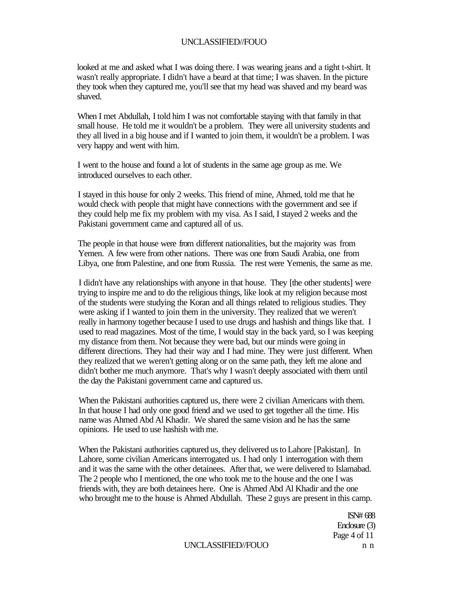looked at me and asked what I was doing there. I was wearing jeans and a tight t-shirt. It wasn't really appropriate. I didn't have a beard at that time; I was shaven. In the picture they took when they captured me, you'll see that my head was shaved and my beard was shaved.

When I met Abdullah, I told him I was not comfortable staying with that family in that small house. He told me it wouldn't be a problem. They were all university students and they all lived in a big house and if I wanted to join them, it wouldn't be a problem. I was very happy and went with him.

I went to the house and found a lot of students in the same age group as me. We introduced ourselves to each other.

I stayed in this house for only 2 weeks. This friend of mine, Ahmed, told me that he would check with people that might have connections with the government and see if they could help me fix my problem with my visa. As I said, I stayed 2 weeks and the Pakistani government came and captured all of us.

The people in that house were from different nationalities, but the majority was from Yemen. A few were from other nations. There was one from Saudi Arabia, one from Libya, one from Palestine, and one from Russia. The rest were Yemenis, the same as me.

I didn't have any relationships with anyone in that house. They [the other students] were trying to inspire me and to do the religious things, like look at my religion because most of the students were studying the Koran and all things related to religious studies. They were asking if I wanted to join them in the university. They realized that we weren't really in harmony together because I used to use drugs and hashish and things like that. I used to read magazines. Most of the time, I would stay in the back yard, so I was keeping my distance from them. Not because they were bad, but our minds were going in different directions. They had their way and I had mine. They were just different. When they realized that we weren't getting along or on the same path, they left me alone and didn't bother me much anymore. That's why I wasn't deeply associated with them until the day the Pakistani government came and captured us.

When the Pakistani authorities captured us, there were 2 civilian Americans with them. In that house I had only one good friend and we used to get together all the time. His name was Ahmed Abd Al Khadir. We shared the same vision and he has the same opinions. He used to use hashish with me.

When the Pakistani authorities captured us, they delivered us to Lahore [Pakistan]. In Lahore, some civilian Americans interrogated us. I had only 1 interrogation with them and it was the same with the other detainees. After that, we were delivered to Islamabad. The 2 people who I mentioned, the one who took me to the house and the one I was friends with, they are both detainees here. One is Ahmed Abd Al Khadir and the one who brought me to the house is Ahmed Abdullah. These 2 guys are present in this camp.

> ISN# 688 Enclosure (3) Page 4 of 11

UNCLASSIFIED//FOUO n n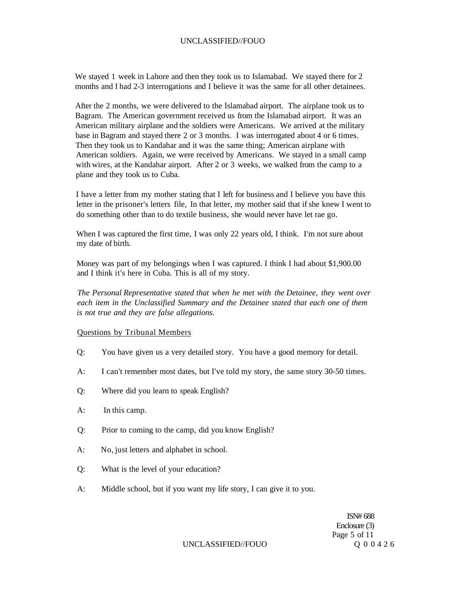We stayed 1 week in Lahore and then they took us to Islamabad. We stayed there for 2 months and I had 2-3 interrogations and I believe it was the same for all other detainees.

After the 2 months, we were delivered to the Islamabad airport. The airplane took us to Bagram. The American government received us from the Islamabad airport. It was an American military airplane and the soldiers were Americans. We arrived at the military base in Bagram and stayed there 2 or 3 months. I was interrogated about 4 or 6 times. Then they took us to Kandahar and it was the same thing; American airplane with American soldiers. Again, we were received by Americans. We stayed in a small camp with wires, at the Kandahar airport. After 2 or 3 weeks, we walked from the camp to a plane and they took us to Cuba.

I have a letter from my mother stating that I left for business and I believe you have this letter in the prisoner's letters file, In that letter, my mother said that if she knew I went to do something other than to do textile business, she would never have let rae go.

When I was captured the first time, I was only 22 years old, I think. I'm not sure about my date of birth.

Money was part of my belongings when I was captured. I think I had about \$1,900.00 and I think it's here in Cuba. This is all of my story.

*The Personal Representative stated that when he met with the Detainee, they went over each item in the Unclassified Summary and the Detainee stated that each one of them is not true and they are false allegations.* 

#### Questions by Tribunal Members

- Q: You have given us a very detailed story. You have a good memory for detail.
- A: I can't remember most dates, but I've told my story, the same story 30-50 times.
- Q: Where did you learn to speak English?
- A: In this camp.
- Q: Prior to coming to the camp, did you know English?
- A: No, just letters and alphabet in school.
- Q: What is the level of your education?
- A: Middle school, but if you want my life story, I can give it to you.

ISN# 688 Enclosure (3) Page 5 of 11

#### UNCLASSIFIED//FOUO Q 0 0 4 2 6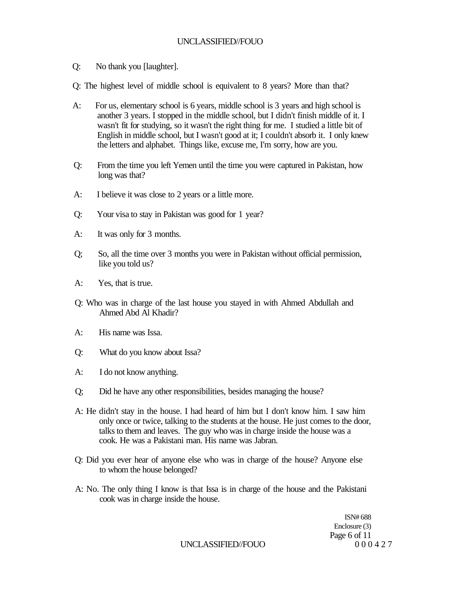Q: No thank you [laughter].

Q: The highest level of middle school is equivalent to 8 years? More than that?

- A: For us, elementary school is 6 years, middle school is 3 years and high school is another 3 years. I stopped in the middle school, but I didn't finish middle of it. I wasn't fit for studying, so it wasn't the right thing for me. I studied a little bit of English in middle school, but I wasn't good at it; I couldn't absorb it. I only knew the letters and alphabet. Things like, excuse me, I'm sorry, how are you.
- Q: From the time you left Yemen until the time you were captured in Pakistan, how long was that?
- A: I believe it was close to 2 years or a little more.
- Q: Your visa to stay in Pakistan was good for 1 year?
- A: It was only for 3 months.
- Q; So, all the time over 3 months you were in Pakistan without official permission, like you told us?
- A: Yes, that is true.
- Q: Who was in charge of the last house you stayed in with Ahmed Abdullah and Ahmed Abd Al Khadir?
- A: His name was Issa.
- Q: What do you know about Issa?
- A: I do not know anything.
- Q; Did he have any other responsibilities, besides managing the house?
- A: He didn't stay in the house. I had heard of him but I don't know him. I saw him only once or twice, talking to the students at the house. He just comes to the door, talks to them and leaves. The guy who was in charge inside the house was a cook. He was a Pakistani man. His name was Jabran.
- Q: Did you ever hear of anyone else who was in charge of the house? Anyone else to whom the house belonged?
- A: No. The only thing I know is that Issa is in charge of the house and the Pakistani cook was in charge inside the house.

ISN# 688 Enclosure (3) Page 6 of 11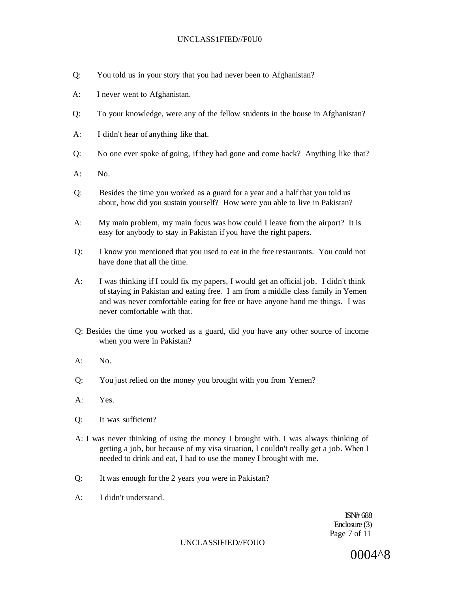# UNCLASS1FIED//F0U0

- Q: You told us in your story that you had never been to Afghanistan?
- A: I never went to Afghanistan.
- Q: To your knowledge, were any of the fellow students in the house in Afghanistan?
- A: I didn't hear of anything like that.
- Q: No one ever spoke of going, if they had gone and come back? Anything like that?
- A: No.
- Q: Besides the time you worked as a guard for a year and a half that you told us about, how did you sustain yourself? How were you able to live in Pakistan?
- A: My main problem, my main focus was how could I leave from the airport? It is easy for anybody to stay in Pakistan if you have the right papers.
- Q: I know you mentioned that you used to eat in the free restaurants. You could not have done that all the time.
- A: I was thinking if I could fix my papers, I would get an official job. I didn't think of staying in Pakistan and eating free. I am from a middle class family in Yemen and was never comfortable eating for free or have anyone hand me things. I was never comfortable with that.
- Q: Besides the time you worked as a guard, did you have any other source of income when you were in Pakistan?
- $A:$  No.
- Q: You just relied on the money you brought with you from Yemen?
- A: Yes.
- Q: It was sufficient?
- A: I was never thinking of using the money I brought with. I was always thinking of getting a job, but because of my visa situation, I couldn't really get a job. When I needed to drink and eat, I had to use the money I brought with me.
- Q: It was enough for the 2 years you were in Pakistan?
- A: I didn't understand.

ISN# 688 Enclosure (3) Page 7 of 11

UNCLASSIFIED//FOUO

0004^8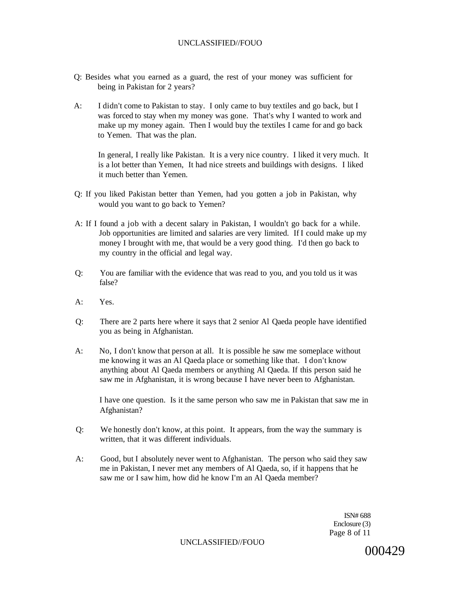- Q: Besides what you earned as a guard, the rest of your money was sufficient for being in Pakistan for 2 years?
- A: I didn't come to Pakistan to stay. I only came to buy textiles and go back, but I was forced to stay when my money was gone. That's why I wanted to work and make up my money again. Then I would buy the textiles I came for and go back to Yemen. That was the plan.

In general, I really like Pakistan. It is a very nice country. I liked it very much. It is a lot better than Yemen, It had nice streets and buildings with designs. I liked it much better than Yemen.

- Q: If you liked Pakistan better than Yemen, had you gotten a job in Pakistan, why would you want to go back to Yemen?
- A: If I found a job with a decent salary in Pakistan, I wouldn't go back for a while. Job opportunities are limited and salaries are very limited. If I could make up my money I brought with me, that would be a very good thing. I'd then go back to my country in the official and legal way.
- Q: You are familiar with the evidence that was read to you, and you told us it was false?
- A: Yes.
- Q: There are 2 parts here where it says that 2 senior Al Qaeda people have identified you as being in Afghanistan.
- A: No, I don't know that person at all. It is possible he saw me someplace without me knowing it was an Al Qaeda place or something like that. I don't know anything about Al Qaeda members or anything Al Qaeda. If this person said he saw me in Afghanistan, it is wrong because I have never been to Afghanistan.

I have one question. Is it the same person who saw me in Pakistan that saw me in Afghanistan?

- Q: We honestly don't know, at this point. It appears, from the way the summary is written, that it was different individuals.
- A: Good, but I absolutely never went to Afghanistan. The person who said they saw me in Pakistan, I never met any members of Al Qaeda, so, if it happens that he saw me or I saw him, how did he know I'm an Al Qaeda member?

ISN# 688 Enclosure (3) Page 8 of 11

UNCLASSIFIED//FOUO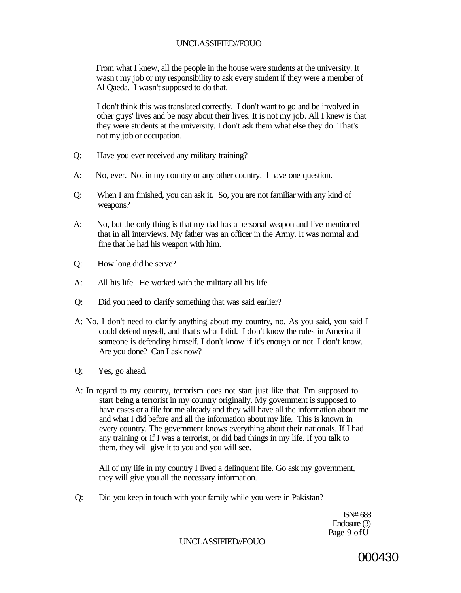From what I knew, all the people in the house were students at the university. It wasn't my job or my responsibility to ask every student if they were a member of Al Qaeda. I wasn't supposed to do that.

I don't think this was translated correctly. I don't want to go and be involved in other guys' lives and be nosy about their lives. It is not my job. All I knew is that they were students at the university. I don't ask them what else they do. That's not my job or occupation.

- Q: Have you ever received any military training?
- A: No, ever. Not in my country or any other country. I have one question.
- Q: When I am finished, you can ask it. So, you are not familiar with any kind of weapons?
- A: No, but the only thing is that my dad has a personal weapon and I've mentioned that in all interviews. My father was an officer in the Army. It was normal and fine that he had his weapon with him.
- Q: How long did he serve?
- A: All his life. He worked with the military all his life.
- Q: Did you need to clarify something that was said earlier?
- A: No, I don't need to clarify anything about my country, no. As you said, you said I could defend myself, and that's what I did. I don't know the rules in America if someone is defending himself. I don't know if it's enough or not. I don't know. Are you done? Can I ask now?
- Q: Yes, go ahead.
- A: In regard to my country, terrorism does not start just like that. I'm supposed to start being a terrorist in my country originally. My government is supposed to have cases or a file for me already and they will have all the information about me and what I did before and all the information about my life. This is known in every country. The government knows everything about their nationals. If I had any training or if I was a terrorist, or did bad things in my life. If you talk to them, they will give it to you and you will see.

All of my life in my country I lived a delinquent life. Go ask my government, they will give you all the necessary information.

Q: Did you keep in touch with your family while you were in Pakistan?

ISN# 688 Enclosure (3) Page 9 ofU

#### UNCLASSIFIED//FOUO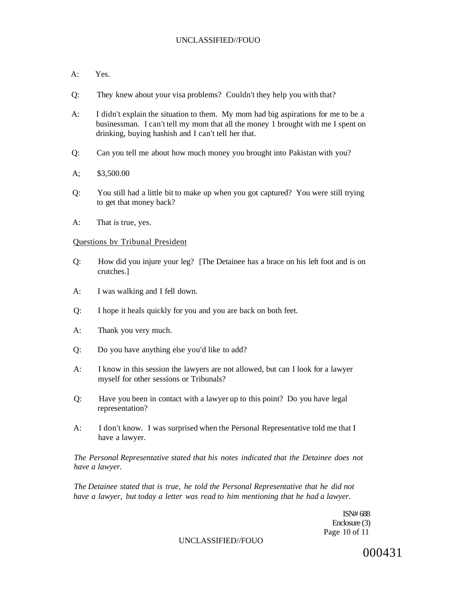- A: Yes.
- Q: They knew about your visa problems? Couldn't they help you with that?
- A: I didn't explain the situation to them. My mom had big aspirations for me to be a businessman. I can't tell my mom that all the money 1 brought with me I spent on drinking, buying hashish and I can't tell her that.
- Q: Can you tell me about how much money you brought into Pakistan with you?
- A; \$3,500.00
- Q: You still had a little bit to make up when you got captured? You were still trying to get that money back?
- A: That is true, yes.

#### Questions bv Tribunal President

- Q: How did you injure your leg? [The Detainee has a brace on his left foot and is on crutches.]
- A: I was walking and I fell down.
- Q: I hope it heals quickly for you and you are back on both feet.
- A: Thank you very much.
- Q: Do you have anything else you'd like to add?
- A: I know in this session the lawyers are not allowed, but can I look for a lawyer myself for other sessions or Tribunals?
- Q: Have you been in contact with a lawyer up to this point? Do you have legal representation?
- A: I don't know. I was surprised when the Personal Representative told me that I have a lawyer.

*The Personal Representative stated that his notes indicated that the Detainee does not have a lawyer.* 

*The Detainee stated that is true, he told the Personal Representative that he did not have a lawyer, but today a letter was read to him mentioning that he had a lawyer.* 

> ISN# 688 Enclosure (3) Page 10 of 11

#### UNCLASSIFIED//FOUO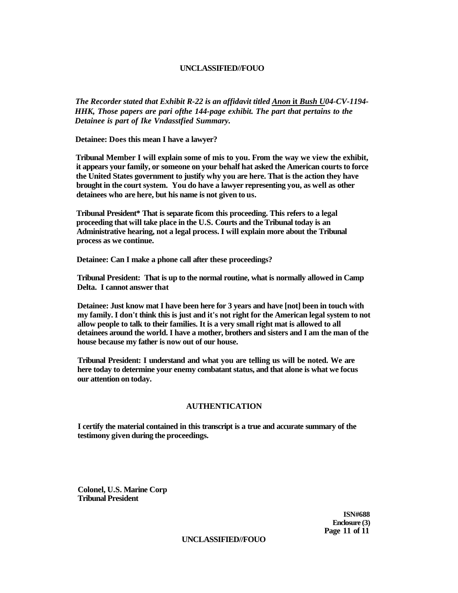*The Recorder stated that Exhibit R-22 is an affidavit titled Anon* **it** *Bush U04-CV-1194- HHK, Those papers are pari ofthe 144-page exhibit. The part that pertains to the Detainee is part of Ike Vndasstfied Summary.* 

**Detainee: Does this mean I have a lawyer?** 

**Tribunal Member I will explain some of mis to you. From the way we view the exhibit, it appears your family, or someone on your behalf hat asked the American courts to force the United States government to justify why you are here. That is the action they have brought in the court system. You do have a lawyer representing you, as well as other detainees who are here, but his name is not given to us.** 

**Tribunal President\* That is separate ficom this proceeding. This refers to a legal proceeding that will take place in the U.S. Courts and the Tribunal today is an Administrative hearing, not a legal process. I will explain more about the Tribunal process as we continue.** 

**Detainee: Can I make a phone call after these proceedings?** 

**Tribunal President: That is up to the normal routine, what is normally allowed in Camp Delta. I cannot answer that** 

**Detainee: Just know mat I have been here for 3 years and have [not] been in touch with my family. I don't think this is just and it's not right for the American legal system to not allow people to talk to their families. It is a very small right mat is allowed to all detainees around the world. I have a mother, brothers and sisters and I am the man of the house because my father is now out of our house.** 

**Tribunal President: I understand and what you are telling us will be noted. We are here today to determine your enemy combatant status, and that alone is what we focus our attention on today.** 

# **AUTHENTICATION**

**I certify the material contained in this transcript is a true and accurate summary of the testimony given during the proceedings.** 

**Colonel, U.S. Marine Corp Tribunal President** 

> **ISN#688 Enclosure (3) Page 11 of 11**

**UNCLASSIFIED//FOUO**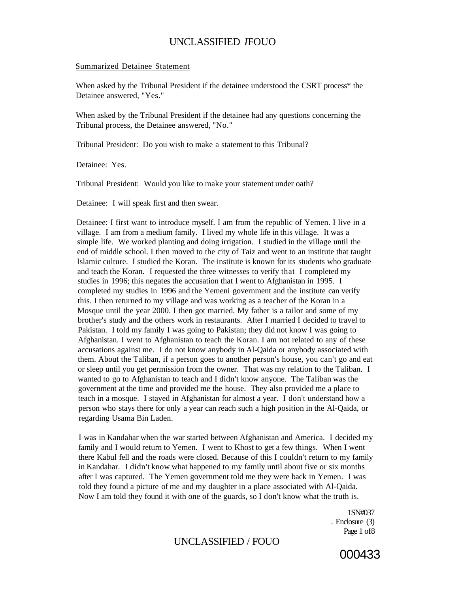#### Summarized Detainee Statement

When asked by the Tribunal President if the detainee understood the CSRT process\* the Detainee answered, "Yes."

When asked by the Tribunal President if the detainee had any questions concerning the Tribunal process, the Detainee answered, "No."

Tribunal President: Do you wish to make a statement to this Tribunal?

Detainee: Yes.

Tribunal President: Would you like to make your statement under oath?

Detainee: I will speak first and then swear.

Detainee: I first want to introduce myself. I am from the republic of Yemen. I live in a village. I am from a medium family. I lived my whole life in this village. It was a simple life. We worked planting and doing irrigation. I studied in the village until the end of middle school. I then moved to the city of Taiz and went to an institute that taught Islamic culture. I studied the Koran. The institute is known for its students who graduate and teach the Koran. I requested the three witnesses to verify that I completed my studies in 1996; this negates the accusation that I went to Afghanistan in 1995. I completed my studies in 1996 and the Yemeni government and the institute can verify this. I then returned to my village and was working as a teacher of the Koran in a Mosque until the year 2000. I then got married. My father is a tailor and some of my brother's study and the others work in restaurants. After I married I decided to travel to Pakistan. I told my family I was going to Pakistan; they did not know I was going to Afghanistan. I went to Afghanistan to teach the Koran. I am not related to any of these accusations against me. I do not know anybody in Al-Qaida or anybody associated with them. About the Taliban, if a person goes to another person's house, you can't go and eat or sleep until you get permission from the owner. That was my relation to the Taliban. I wanted to go to Afghanistan to teach and I didn't know anyone. The Taliban was the government at the time and provided me the house. They also provided me a place to teach in a mosque. I stayed in Afghanistan for almost a year. I don't understand how a person who stays there for only a year can reach such a high position in the Al-Qaida, or regarding Usama Bin Laden.

I was in Kandahar when the war started between Afghanistan and America. I decided my family and I would return to Yemen. I went to Khost to get a few things. When I went there Kabul fell and the roads were closed. Because of this I couldn't return to my family in Kandahar. I didn't know what happened to my family until about five or six months after I was captured. The Yemen government told me they were back in Yemen. I was told they found a picture of me and my daughter in a place associated with Al-Qaida. Now I am told they found it with one of the guards, so I don't know what the truth is.

> 1SN#037 . Enclosure (3) Page 1 of8

UNCLASSIFIED / FOUO

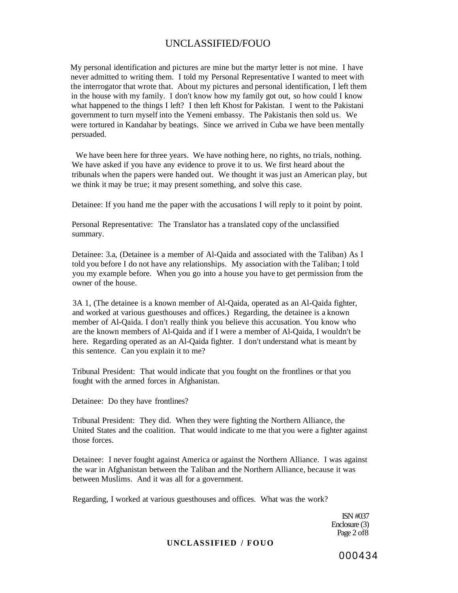My personal identification and pictures are mine but the martyr letter is not mine. I have never admitted to writing them. I told my Personal Representative I wanted to meet with the interrogator that wrote that. About my pictures and personal identification, I left them in the house with my family. I don't know how my family got out, so how could I know what happened to the things I left? I then left Khost for Pakistan. I went to the Pakistani government to turn myself into the Yemeni embassy. The Pakistanis then sold us. We were tortured in Kandahar by beatings. Since we arrived in Cuba we have been mentally persuaded.

We have been here for three years. We have nothing here, no rights, no trials, nothing. We have asked if you have any evidence to prove it to us. We first heard about the tribunals when the papers were handed out. We thought it was just an American play, but we think it may be true; it may present something, and solve this case.

Detainee: If you hand me the paper with the accusations I will reply to it point by point.

Personal Representative: The Translator has a translated copy of the unclassified summary.

Detainee: 3.a, (Detainee is a member of Al-Qaida and associated with the Taliban) As I told you before I do not have any relationships. My association with the Taliban; I told you my example before. When you go into a house you have to get permission from the owner of the house.

3A 1, (The detainee is a known member of Al-Qaida, operated as an Al-Qaida fighter, and worked at various guesthouses and offices.) Regarding, the detainee is a known member of Al-Qaida. I don't really think you believe this accusation. You know who are the known members of Al-Qaida and if I were a member of Al-Qaida, I wouldn't be here. Regarding operated as an Al-Qaida fighter. I don't understand what is meant by this sentence. Can you explain it to me?

Tribunal President: That would indicate that you fought on the frontlines or that you fought with the armed forces in Afghanistan.

Detainee: Do they have frontlines?

Tribunal President: They did. When they were fighting the Northern Alliance, the United States and the coalition. That would indicate to me that you were a fighter against those forces.

Detainee: I never fought against America or against the Northern Alliance. I was against the war in Afghanistan between the Taliban and the Northern Alliance, because it was between Muslims. And it was all for a government.

Regarding, I worked at various guesthouses and offices. What was the work?

ISN #037 Enclosure (3) Page 2 of8

#### **UNCLASSIFIED / FOUO**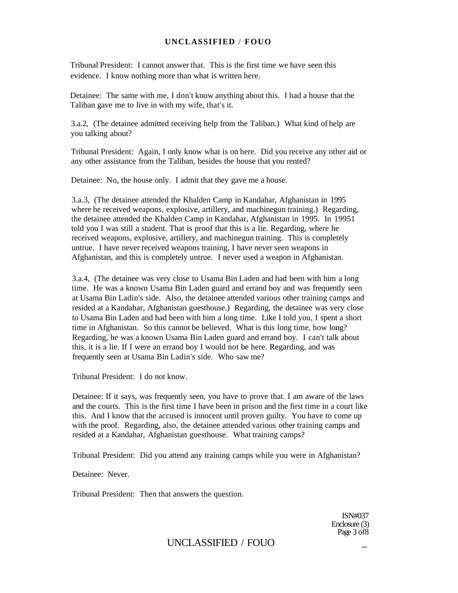Tribunal President: I cannot answer that. This is the first time we have seen this evidence. I know nothing more than what is written here.

Detainee: The same with me, I don't know anything about this. I had a house that the Taliban gave me to live in with my wife, that's it.

3.a.2, (The detainee admitted receiving help from the Taliban.) What kind of help are you talking about?

Tribunal President: Again, I only know what is on here. Did you receive any other aid or any other assistance from the Taliban, besides the house that you rented?

Detainee: No, the house only. I admit that they gave me a house.

3.a.3, (The detainee attended the Khalden Camp in Kandahar, Afghanistan in 1995 where he received weapons, explosive, artillery, and machinegun training.) Regarding, the detainee attended the Khalden Camp in Kandahar, Afghanistan in 1995. In 19951 told you I was still a student. That is proof that this is a lie. Regarding, where he received weapons, explosive, artillery, and machinegun training. This is completely untrue. I have never received weapons training, I have never seen weapons in Afghanistan, and this is completely untrue. I never used a weapon in Afghanistan.

3.a.4, (The detainee was very close to Usama Bin Laden and had been with him a long time. He was a known Usama Bin Laden guard and errand boy and was frequently seen at Usama Bin Ladin's side. Also, the detainee attended various other training camps and resided at a Kandahar, Afghanistan guesthouse.) Regarding, the detainee was very close to Usama Bin Laden and had been with him a long time. Like I told you, I spent a short time in Afghanistan. So this cannot be believed. What is this long time, how long? Regarding, he was a known Usama Bin Laden guard and errand boy. I can't talk about this, it is a lie. If I were an errand boy I would not be here. Regarding, and was frequently seen at Usama Bin Ladin's side. Who saw me?

Tribunal President: I do not know.

Detainee: If it says, was frequently seen, you have to prove that. I am aware of the laws and the courts. This is the first time I have been in prison and the first time in a court like this. And I know that the accused is innocent until proven guilty. You have to come up with the proof. Regarding, also, the detainee attended various other training camps and resided at a Kandahar, Afghanistan guesthouse. What training camps?

Tribunal President: Did you attend any training camps while you were in Afghanistan?

Detainee: Never.

Tribunal President: Then that answers the question.

ISN#037 Enclosure (3) Page 3 of 8

# UNCLASSIFIED / FOUO \_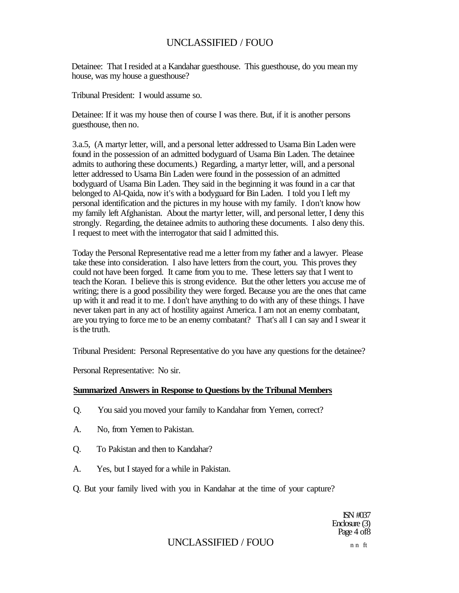Detainee: That I resided at a Kandahar guesthouse. This guesthouse, do you mean my house, was my house a guesthouse?

Tribunal President: I would assume so.

Detainee: If it was my house then of course I was there. But, if it is another persons guesthouse, then no.

3.a.5, (A martyr letter, will, and a personal letter addressed to Usama Bin Laden were found in the possession of an admitted bodyguard of Usama Bin Laden. The detainee admits to authoring these documents.) Regarding, a martyr letter, will, and a personal letter addressed to Usama Bin Laden were found in the possession of an admitted bodyguard of Usama Bin Laden. They said in the beginning it was found in a car that belonged to Al-Qaida, now it's with a bodyguard for Bin Laden. I told you I left my personal identification and the pictures in my house with my family. I don't know how my family left Afghanistan. About the martyr letter, will, and personal letter, I deny this strongly. Regarding, the detainee admits to authoring these documents. I also deny this. I request to meet with the interrogator that said I admitted this.

Today the Personal Representative read me a letter from my father and a lawyer. Please take these into consideration. I also have letters from the court, you. This proves they could not have been forged. It came from you to me. These letters say that I went to teach the Koran. I believe this is strong evidence. But the other letters you accuse me of writing; there is a good possibility they were forged. Because you are the ones that came up with it and read it to me. I don't have anything to do with any of these things. I have never taken part in any act of hostility against America. I am not an enemy combatant, are you trying to force me to be an enemy combatant? That's all I can say and I swear it is the truth.

Tribunal President: Personal Representative do you have any questions for the detainee?

Personal Representative: No sir.

#### **Summarized Answers in Response to Questions by the Tribunal Members**

- Q. You said you moved your family to Kandahar from Yemen, correct?
- A. No, from Yemen to Pakistan.
- Q. To Pakistan and then to Kandahar?
- A. Yes, but I stayed for a while in Pakistan.
- Q. But your family lived with you in Kandahar at the time of your capture?

ISN #037 Enclosure (3) Page 4 of 8

# $UNCLASSIFIED / FOUO$  n n ft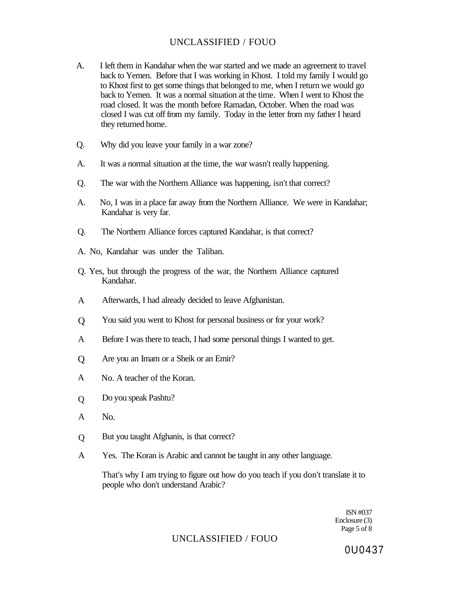- A. I left them in Kandahar when the war started and we made an agreement to travel back to Yemen. Before that I was working in Khost. I told my family I would go to Khost first to get some things that belonged to me, when I return we would go back to Yemen. It was a normal situation at the time. When I went to Khost the road closed. It was the month before Ramadan, October. When the road was closed I was cut off from my family. Today in the letter from my father I heard they returned home.
- Q. Why did you leave your family in a war zone?
- A. It was a normal situation at the time, the war wasn't really happening.
- Q. The war with the Northern Alliance was happening, isn't that correct?
- A. No, I was in a place far away from the Northern Alliance. We were in Kandahar; Kandahar is very far.
- Q. The Northern Alliance forces captured Kandahar, is that correct?
- A. No, Kandahar was under the Taliban.
- Q. Yes, but through the progress of the war, the Northern Alliance captured Kandahar.
- A Afterwards, I had already decided to leave Afghanistan.
- $\overline{O}$ You said you went to Khost for personal business or for your work?
- A Before I was there to teach, I had some personal things I wanted to get.
- Q Are you an Imam or a Sheik or an Emir?
- A No. A teacher of the Koran.
- $\overline{O}$ Do you speak Pashtu?
- A No.
- $\overline{O}$ But you taught Afghanis, is that correct?
- A Yes. The Koran is Arabic and cannot be taught in any other language.

That's why I am trying to figure out how do you teach if you don't translate it to people who don't understand Arabic?

> ISN #037 Enclosure (3) Page 5 of 8

# UNCLASSIFIED / FOUO

0U0437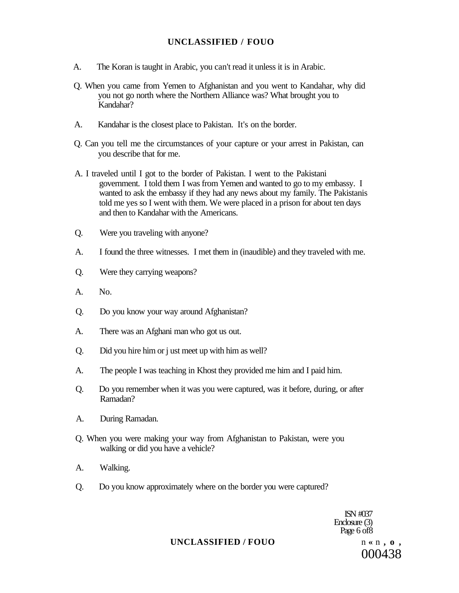- A. The Koran is taught in Arabic, you can't read it unless it is in Arabic.
- Q. When you came from Yemen to Afghanistan and you went to Kandahar, why did you not go north where the Northern Alliance was? What brought you to Kandahar?
- A. Kandahar is the closest place to Pakistan. It's on the border.
- Q. Can you tell me the circumstances of your capture or your arrest in Pakistan, can you describe that for me.
- A. I traveled until I got to the border of Pakistan. I went to the Pakistani government. I told them I was from Yemen and wanted to go to my embassy. I wanted to ask the embassy if they had any news about my family. The Pakistanis told me yes so I went with them. We were placed in a prison for about ten days and then to Kandahar with the Americans.
- Q. Were you traveling with anyone?
- A. I found the three witnesses. I met them in (inaudible) and they traveled with me.
- Q. Were they carrying weapons?
- A. No.
- Q. Do you know your way around Afghanistan?
- A. There was an Afghani man who got us out.
- Q. Did you hire him or j ust meet up with him as well?
- A. The people I was teaching in Khost they provided me him and I paid him.
- Q. Do you remember when it was you were captured, was it before, during, or after Ramadan?
- A. During Ramadan.
- Q. When you were making your way from Afghanistan to Pakistan, were you walking or did you have a vehicle?
- A. Walking.
- Q. Do you know approximately where on the border you were captured?

ISN #037 Enclosure (3) Page 6 of 8

#### UNCLASSIFIED / FOUO  $n \times n$ , 0,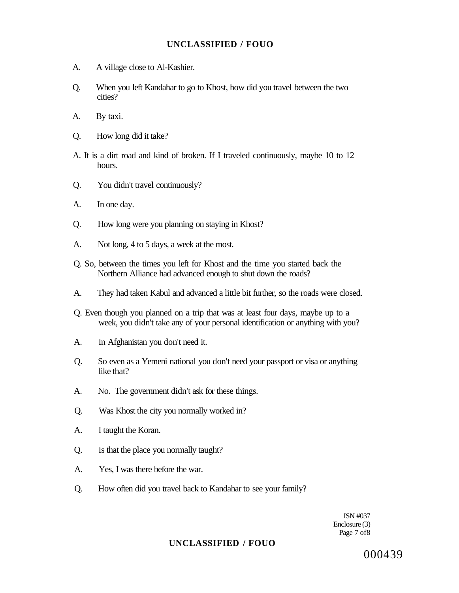- A. A village close to Al-Kashier.
- Q. When you left Kandahar to go to Khost, how did you travel between the two cities?
- A. By taxi.
- Q. How long did it take?
- A. It is a dirt road and kind of broken. If I traveled continuously, maybe 10 to 12 hours.
- Q. You didn't travel continuously?
- A. In one day.
- Q. How long were you planning on staying in Khost?
- A. Not long, 4 to 5 days, a week at the most.
- Q. So, between the times you left for Khost and the time you started back the Northern Alliance had advanced enough to shut down the roads?
- A. They had taken Kabul and advanced a little bit further, so the roads were closed.
- Q. Even though you planned on a trip that was at least four days, maybe up to a week, you didn't take any of your personal identification or anything with you?
- A. In Afghanistan you don't need it.
- Q. So even as a Yemeni national you don't need your passport or visa or anything like that?
- A. No. The government didn't ask for these things.
- Q. Was Khost the city you normally worked in?
- A. I taught the Koran.
- Q. Is that the place you normally taught?
- A. Yes, I was there before the war.
- Q. How often did you travel back to Kandahar to see your family?

ISN #037 Enclosure (3) Page 7 of8

# **UNCLASSIFIED / FOUO**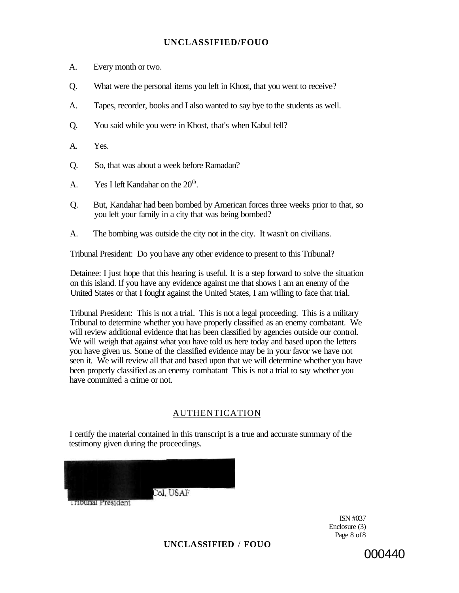- A. Every month or two.
- Q. What were the personal items you left in Khost, that you went to receive?
- A. Tapes, recorder, books and I also wanted to say bye to the students as well.
- Q. You said while you were in Khost, that's when Kabul fell?
- A. Yes.
- Q. So, that was about a week before Ramadan?
- A. Yes I left Kandahar on the  $20<sup>th</sup>$ .
- Q. But, Kandahar had been bombed by American forces three weeks prior to that, so you left your family in a city that was being bombed?
- A. The bombing was outside the city not in the city. It wasn't on civilians.

Tribunal President: Do you have any other evidence to present to this Tribunal?

Detainee: I just hope that this hearing is useful. It is a step forward to solve the situation on this island. If you have any evidence against me that shows I am an enemy of the United States or that I fought against the United States, I am willing to face that trial.

Tribunal President: This is not a trial. This is not a legal proceeding. This is a military Tribunal to determine whether you have properly classified as an enemy combatant. We will review additional evidence that has been classified by agencies outside our control. We will weigh that against what you have told us here today and based upon the letters you have given us. Some of the classified evidence may be in your favor we have not seen it. We will review all that and based upon that we will determine whether you have been properly classified as an enemy combatant This is not a trial to say whether you have committed a crime or not.

# AUTHENTICATION

I certify the material contained in this transcript is a true and accurate summary of the testimony given during the proceedings.

|                           | Col, USAF |
|---------------------------|-----------|
| <b>Tribunal President</b> |           |

ISN #037 Enclosure (3) Page 8 of8

# **UNCLASSIFIED** / **FOUO**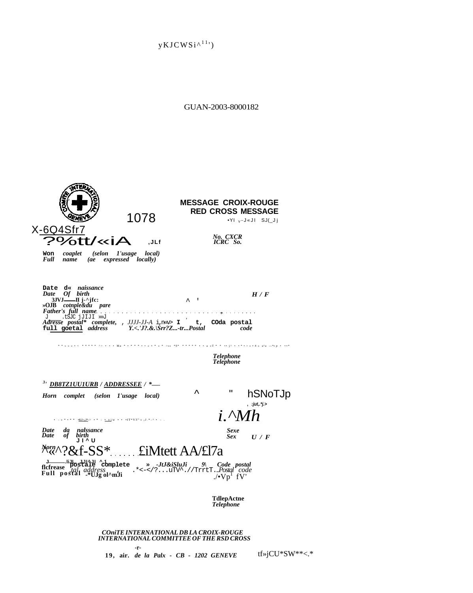$y KJ C W S i^{\lambda^{11}}$ 

GUAN-2003-8000182

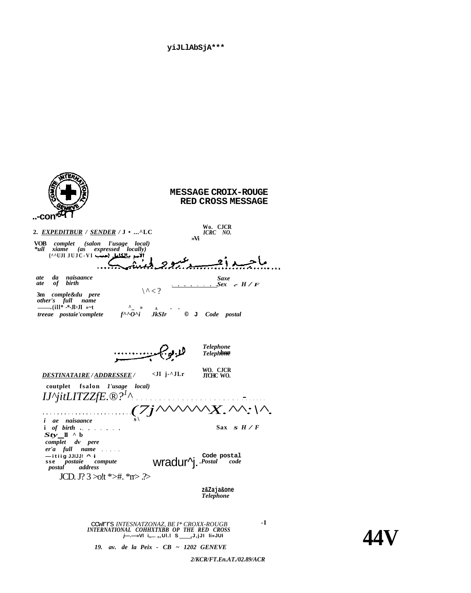yiJLlAbSjA\*\*\*

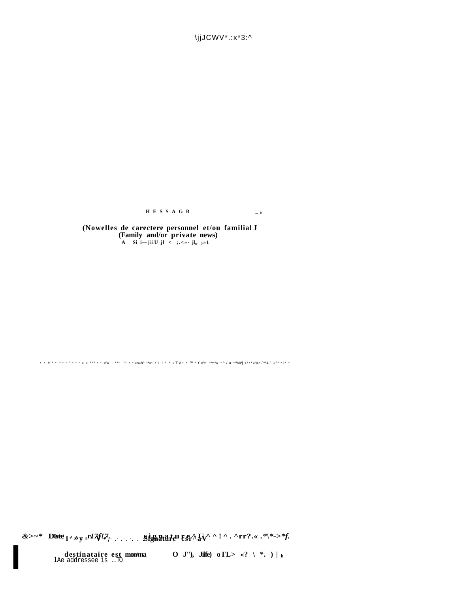\jjJCWV\*.:x\*3:^

HESSAGB

 $= 0$ 

(Nowelles de carectere personnel et/ou familial J<br>(Family and/or private news)<br>A\_Si i-jiiU jl < ;.< >> : jl,,  $_{2}$  >>1

••#\*\*\*-\*••^•••««\*\*\*••«^«.\*\*\*-\*••«a»b^•\*»••||\*\*«TV••™\*fa^a•\*\*\*»\*^/a \*\*\*Va\*j<\*•\*»%•J^\*4"«^\*\*|\*•

&>~\* Date  $_1 \cdot A_y$   $J$   $\mathcal{H}^{1,2}, \ldots$  Signifiate u Egr  $\lambda$  IV ^ ' ^ . ^rr?. . .\*|\*->\*f.

**destinataire est mon/ma**<br>lAe addressee is ..TO O J''), Jiife) oTL>  $\ll$ ? \\*. ) | h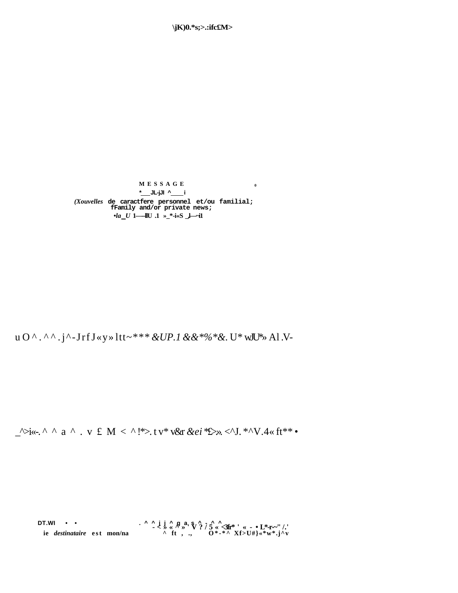\jK)0.\*s;>.:ifc£M>

MESSAGE  $\mathbf{0}$ \* JL-jJI ^\_\_\_i  $(Xouvelles$  de caractfere personnel et/ou familial;<br>fFamily and/or private news;  $\cdot la$  U 1--IU .1 »  $\cdot$ i«S  $\rightarrow$ -i1

u O ^. ^ ^.j^-JrfJ«y»ltt~\*\*\* & UP.1 & & \*%\* &. U\* wJU\*» Al. V-

 $\Delta$  = ^ >j«-. ^ ^ a ^ . v £ M < ^ !\*>. t v\* v&r & ei \*£>>. <^ J. \*^V.4< ft\*\*

**DT.WI** • • ie destinataire est mon/na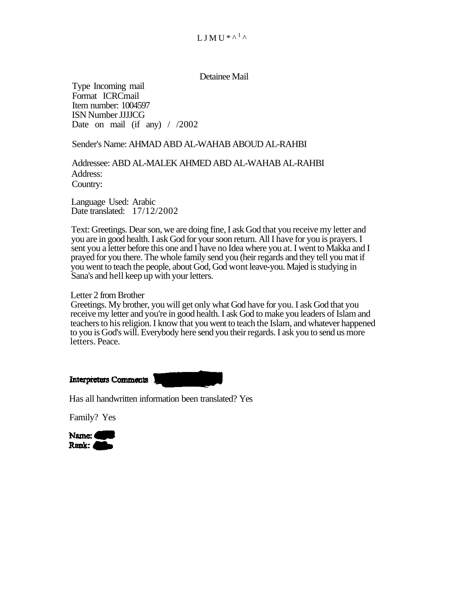# $LJMU^{* \wedge ^1 \wedge }$

Detainee Mail

Type Incoming mail Format ICRCmail Item number: 1004597 ISN Number JJJJCG Date on mail (if any)  $/$  /2002

#### Sender's Name: AHMAD ABD AL-WAHAB ABOUD AL-RAHBI

Addressee: ABD AL-MALEK AHMED ABD AL-WAHAB AL-RAHBI Address: Country:

Language Used: Arabic Date translated: 17/12/2002

Text: Greetings. Dear son, we are doing fine, I ask God that you receive my letter and you are in good health. I ask God for your soon return. All I have for you is prayers. I sent you a letter before this one and I have no Idea where you at. I went to Makka and I prayed for you there. The whole family send you (heir regards and they tell you mat if you went to teach the people, about God, God wont leave-you. Majed is studying in Sana's and hell keep up with your letters.

Letter 2 from Brother

Greetings. My brother, you will get only what God have for you. I ask God that you receive my letter and you're in good health. I ask God to make you leaders of Islam and teachers to his religion. I know that you went to teach the Islam, and whatever happened to you is God's will. Everybody here send you their regards. I ask you to send us more letters. Peace.

Interpreters Comments 1

Has all handwritten information been translated? Yes

Family? Yes

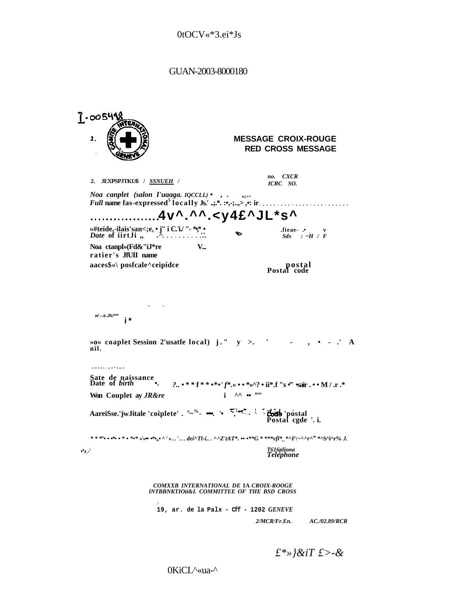# GUAN-2003-8000180

| <u>[</u> -0054V                                                                                                         |                                                        |                                                                        |  |  |  |  |
|-------------------------------------------------------------------------------------------------------------------------|--------------------------------------------------------|------------------------------------------------------------------------|--|--|--|--|
| 1,                                                                                                                      | <b>MESSAGE CROIX-ROUGE</b><br><b>RED CROSS MESSAGE</b> |                                                                        |  |  |  |  |
| 2. JEXPSPJTKUfi / SSNUEH /                                                                                              |                                                        | no. CXCR<br>ICRC SO.                                                   |  |  |  |  |
| Noa canplet (salon I'uaaga. IQCCLL) • , . ,<br><i>Full</i> name fas-expressed <sup>5</sup> locally Js.' ,*. :•,-;,>  ir |                                                        |                                                                        |  |  |  |  |
| 4v^.^^. <y4£^jl*s^< th=""></y4£^jl*s^<>                                                                                 |                                                        |                                                                        |  |  |  |  |
| »#teide,-ilais'san<;e, • j'' i C.'i/ ''- **,*,*<br><i>Date</i> of iirtJi, $\cdot$                                       |                                                        | fieae- . v<br>$Sdx$ : $\sim H / F$                                     |  |  |  |  |
| Noa ctanpl»(Fd&"iJ*re<br>$V_{\bullet}$<br>ratier's JfUII name                                                           |                                                        |                                                                        |  |  |  |  |
| aaces\$«\ posfcale^ceipidce                                                                                             | postal<br>Postal code                                  |                                                                        |  |  |  |  |
|                                                                                                                         |                                                        |                                                                        |  |  |  |  |
|                                                                                                                         |                                                        |                                                                        |  |  |  |  |
| $w^{\prime}$ -.e. Jfc*** $i *$                                                                                          |                                                        |                                                                        |  |  |  |  |
| » o« coaplet Session 2'usatfe local) j." y >. '<br>nil.                                                                 |                                                        |                                                                        |  |  |  |  |
| $> \bullet \bullet \bullet \bullet$ , $\alpha \bullet^* \bullet \alpha \bullet$                                         |                                                        |                                                                        |  |  |  |  |
| Sate de naissance<br>Date of <i>birth</i><br>$\bullet$ .                                                                |                                                        | ? • * * f * * •*•′ f*. » • • *»^? • ii*.f ''s •" •sair . • • M / .r .* |  |  |  |  |
| Won Couplet ay JR&re                                                                                                    | $i$ $\wedge \wedge$ oo ""'                             |                                                                        |  |  |  |  |
|                                                                                                                         |                                                        |                                                                        |  |  |  |  |
| * * *'* • •*• • * • *•* »'«* •**,,• ^ ' » ' … dei^Tl-i… ^^Z'tAT*. •• •**G * ***vfl*_*^F ~^^r^" *^S^i^r% J.              |                                                        |                                                                        |  |  |  |  |
| $\bullet^*$ » $\bullet^*$                                                                                               |                                                        | T616pliona<br><i>Teléphone</i>                                         |  |  |  |  |
| COMXXB INTERNATIONAL DE IA CROIX-ROOGE<br>INTBBNKTIOti&L COMMITTEE OF THE BSD CROSS                                     |                                                        |                                                                        |  |  |  |  |
| 19, ar. de la Palx - Cff - 1202 GENEVE                                                                                  |                                                        |                                                                        |  |  |  |  |

 $2/MCR/Fr. En.$   $AC./02.89/RCR$ 

 $\pounds^*$ »}&iT £>-&

0KiCL^«ua-^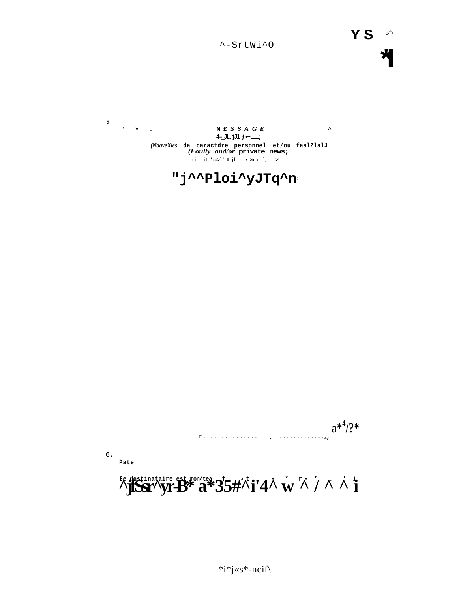# Experimataire est mon/test 35# \* i'4^ w \* / ^ ^ i

Pate

6.

 $a^{*4}$ /?\*

 $\boldsymbol{\wedge}$ 

"j^^Ploi^yJTq^n;

 $\textbf{N} \textbf{ E } S S A G E$ 

 $4 - J L$ . jJ $1$   $j \rightarrow -$ ; (NoaveXles da caractdre personnel et/ou fas<br/>lZlalJ $(Foully$  and/or private news; ti .it \*-->1'.U jl i \*.>>,< jl,. ..>!

 $\mathcal{N}$   $\sim$   $\mathcal{N}$ 

 $5.$ 

 $^{\wedge}$ -SrtWi $^{\wedge}$ O

**YS**  $\alpha$ 

为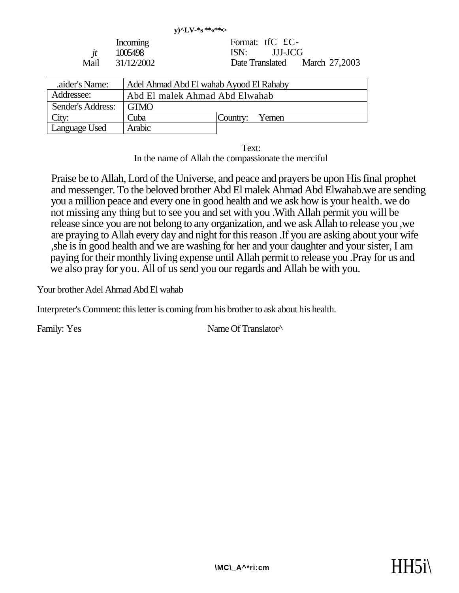Incoming

|                   | <b>THOMATHE</b>                         | $\sim$   |                 |                               |
|-------------------|-----------------------------------------|----------|-----------------|-------------------------------|
| jt                | 1005498                                 |          | JJJ-JCG<br>ISN: |                               |
| Mail              | 31/12/2002                              |          |                 | Date Translated March 27,2003 |
|                   |                                         |          |                 |                               |
| .aider's Name:    | Adel Ahmad Abd El wahab Ayood El Rahaby |          |                 |                               |
| Addressee:        | Abd El malek Ahmad Abd Elwahab          |          |                 |                               |
| Sender's Address: | <b>GTMO</b>                             |          |                 |                               |
| City:             | Cuba                                    | Country: | Yemen           |                               |
| Language Used     | Arabic                                  |          |                 |                               |

Text: In the name of Allah the compassionate the merciful

Format:  $\mathsf{tfC}$   $\mathsf{f}$  $\mathsf{C}$ 

Praise be to Allah, Lord of the Universe, and peace and prayers be upon His final prophet and messenger. To the beloved brother Abd El malek Ahmad Abd Elwahab.we are sending you a million peace and every one in good health and we ask how is your health. we do not missing any thing but to see you and set with you .With Allah permit you will be release since you are not belong to any organization, and we ask Allah to release you ,we are praying to Allah every day and night for this reason .If you are asking about your wife ,she is in good health and we are washing for her and your daughter and your sister, I am paying for their monthly living expense until Allah permit to release you .Pray for us and we also pray for you. All of us send you our regards and Allah be with you.

Your brother Adel Ahmad Abd El wahab

Interpreter's Comment: this letter is coming from his brother to ask about his health.

Family: Yes Name Of Translator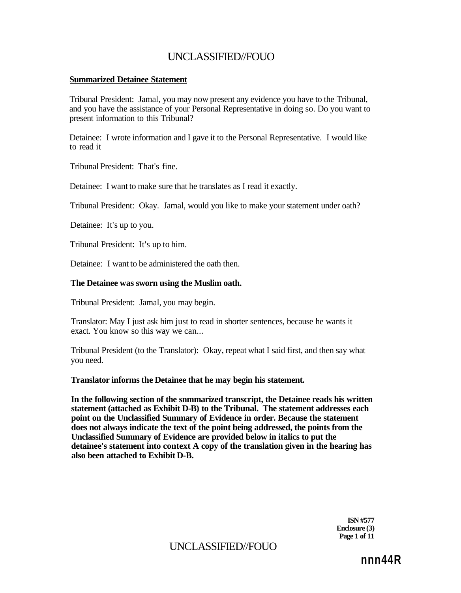# **Summarized Detainee Statement**

Tribunal President: Jamal, you may now present any evidence you have to the Tribunal, and you have the assistance of your Personal Representative in doing so. Do you want to present information to this Tribunal?

Detainee: I wrote information and I gave it to the Personal Representative. I would like to read it

Tribunal President: That's fine.

Detainee: I want to make sure that he translates as I read it exactly.

Tribunal President: Okay. Jamal, would you like to make your statement under oath?

Detainee: It's up to you.

Tribunal President: It's up to him.

Detainee: I want to be administered the oath then.

#### **The Detainee was sworn using the Muslim oath.**

Tribunal President: Jamal, you may begin.

Translator: May I just ask him just to read in shorter sentences, because he wants it exact. You know so this way we can...

Tribunal President (to the Translator): Okay, repeat what I said first, and then say what you need.

#### **Translator informs the Detainee that he may begin his statement.**

**In the following section of the snmmarized transcript, the Detainee reads his written statement (attached as Exhibit D-B) to the Tribunal. The statement addresses each point on the Unclassified Summary of Evidence in order. Because the statement does not always indicate the text of the point being addressed, the points from the Unclassified Summary of Evidence are provided below in italics to put the detainee's statement into context A copy of the translation given in the hearing has also been attached to Exhibit D-B.** 

> **ISN #577 Enclosure (3) Page 1 of 11**

# UNCLASSIFIED//FOUO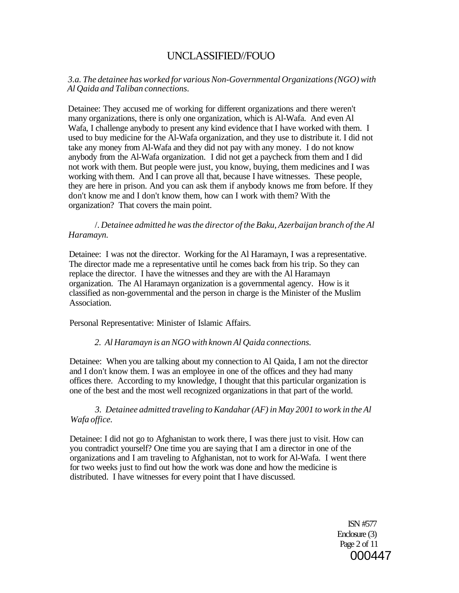## *3.a. The detainee has worked for various Non-Governmental Organizations (NGO) with Al Qaida and Taliban connections.*

Detainee: They accused me of working for different organizations and there weren't many organizations, there is only one organization, which is Al-Wafa. And even Al Wafa, I challenge anybody to present any kind evidence that I have worked with them. I used to buy medicine for the Al-Wafa organization, and they use to distribute it. I did not take any money from Al-Wafa and they did not pay with any money. I do not know anybody from the Al-Wafa organization. I did not get a paycheck from them and I did not work with them. But people were just, you know, buying, them medicines and I was working with them. And I can prove all that, because I have witnesses. These people, they are here in prison. And you can ask them if anybody knows me from before. If they don't know me and I don't know them, how can I work with them? With the organization? That covers the main point.

/. *Detainee admitted he was the director of the Baku, Azerbaijan branch of the Al Haramayn.* 

Detainee: I was not the director. Working for the Al Haramayn, I was a representative. The director made me a representative until he comes back from his trip. So they can replace the director. I have the witnesses and they are with the Al Haramayn organization. The Al Haramayn organization is a governmental agency. How is it classified as non-governmental and the person in charge is the Minister of the Muslim Association.

Personal Representative: Minister of Islamic Affairs.

#### *2. Al Haramayn is an NGO with known Al Qaida connections.*

Detainee: When you are talking about my connection to Al Qaida, I am not the director and I don't know them. I was an employee in one of the offices and they had many offices there. According to my knowledge, I thought that this particular organization is one of the best and the most well recognized organizations in that part of the world.

# *3. Detainee admitted traveling to Kandahar (AF) in May 2001 to work in the Al Wafa office.*

Detainee: I did not go to Afghanistan to work there, I was there just to visit. How can you contradict yourself? One time you are saying that I am a director in one of the organizations and I am traveling to Afghanistan, not to work for Al-Wafa. I went there for two weeks just to find out how the work was done and how the medicine is distributed. I have witnesses for every point that I have discussed.

> ISN #577 Enclosure (3) Page 2 of 11 000447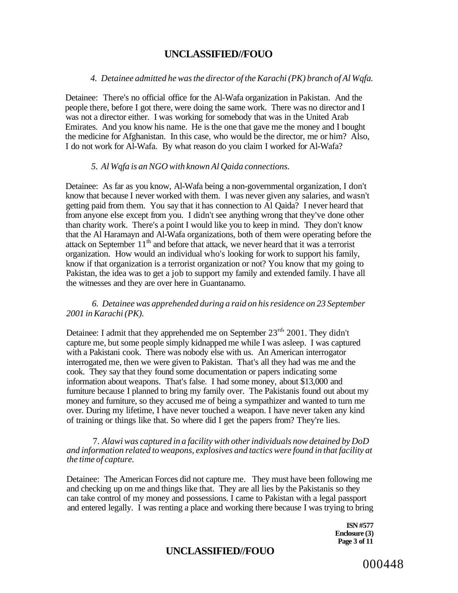#### *4. Detainee admitted he was the director of the Karachi (PK) branch of Al Wqfa.*

Detainee: There's no official office for the Al-Wafa organization in Pakistan. And the people there, before I got there, were doing the same work. There was no director and I was not a director either. I was working for somebody that was in the United Arab Emirates. And you know his name. He is the one that gave me the money and I bought the medicine for Afghanistan. In this case, who would be the director, me or him? Also, I do not work for Al-Wafa. By what reason do you claim I worked for Al-Wafa?

#### *5. Al Wqfa is an NGO with known Al Qaida connections.*

Detainee: As far as you know, Al-Wafa being a non-governmental organization, I don't know that because I never worked with them. I was never given any salaries, and wasn't getting paid from them. You say that it has connection to Al Qaida? I never heard that from anyone else except from you. I didn't see anything wrong that they've done other than charity work. There's a point I would like you to keep in mind. They don't know that the Al Haramayn and Al-Wafa organizations, both of them were operating before the attack on September  $11<sup>th</sup>$  and before that attack, we never heard that it was a terrorist organization. How would an individual who's looking for work to support his family, know if that organization is a terrorist organization or not? You know that my going to Pakistan, the idea was to get a job to support my family and extended family. I have all the witnesses and they are over here in Guantanamo.

*6. Detainee was apprehended during a raid on his residence on 23 September 2001 in Karachi (PK).* 

Detainee: I admit that they apprehended me on September  $23<sup>rd</sup>$  2001. They didn't capture me, but some people simply kidnapped me while I was asleep. I was captured with a Pakistani cook. There was nobody else with us. An American interrogator interrogated me, then we were given to Pakistan. That's all they had was me and the cook. They say that they found some documentation or papers indicating some information about weapons. That's false. I had some money, about \$13,000 and furniture because I planned to bring my family over. The Pakistanis found out about my money and furniture, so they accused me of being a sympathizer and wanted to turn me over. During my lifetime, I have never touched a weapon. I have never taken any kind of training or things like that. So where did I get the papers from? They're lies.

7. *Alawi was captured in a facility with other individuals now detained by DoD and information related to weapons, explosives and tactics were found in that facility at the time of capture.* 

Detainee: The American Forces did not capture me. They must have been following me and checking up on me and things like that. They are all lies by the Pakistanis so they can take control of my money and possessions. I came to Pakistan with a legal passport and entered legally. I was renting a place and working there because I was trying to bring

> **ISN #577 Enclosure (3) Page 3 of 11**

# **UNCLASSIFIED//FOUO**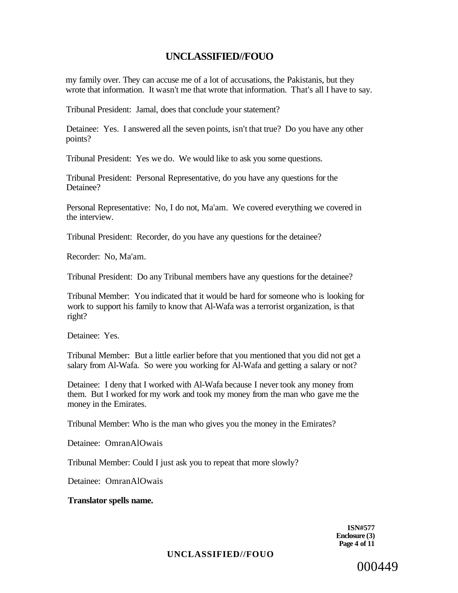my family over. They can accuse me of a lot of accusations, the Pakistanis, but they wrote that information. It wasn't me that wrote that information. That's all I have to say.

Tribunal President: Jamal, does that conclude your statement?

Detainee: Yes. I answered all the seven points, isn't that true? Do you have any other points?

Tribunal President: Yes we do. We would like to ask you some questions.

Tribunal President: Personal Representative, do you have any questions for the Detainee?

Personal Representative: No, I do not, Ma'am. We covered everything we covered in the interview.

Tribunal President: Recorder, do you have any questions for the detainee?

Recorder: No, Ma'am.

Tribunal President: Do any Tribunal members have any questions for the detainee?

Tribunal Member: You indicated that it would be hard for someone who is looking for work to support his family to know that Al-Wafa was a terrorist organization, is that right?

Detainee: Yes.

Tribunal Member: But a little earlier before that you mentioned that you did not get a salary from Al-Wafa. So were you working for Al-Wafa and getting a salary or not?

Detainee: I deny that I worked with Al-Wafa because I never took any money from them. But I worked for my work and took my money from the man who gave me the money in the Emirates.

Tribunal Member: Who is the man who gives you the money in the Emirates?

Detainee: OmranAlOwais

Tribunal Member: Could I just ask you to repeat that more slowly?

Detainee: OmranAlOwais

**Translator spells name.** 

**ISN#577 Enclosure (3) Page 4 of 11** 

### **UNCLASSIFIED//FOUO**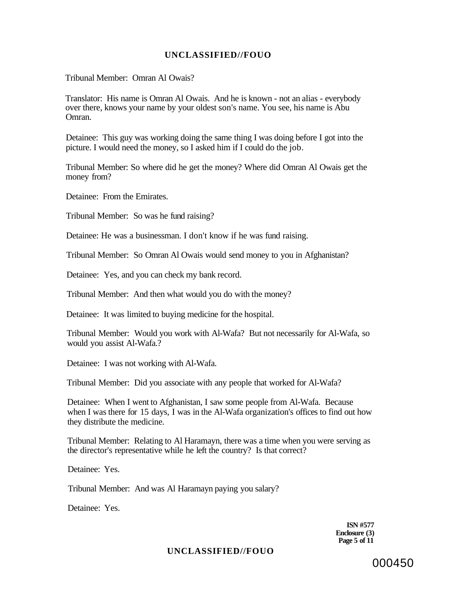Tribunal Member: Omran Al Owais?

Translator: His name is Omran Al Owais. And he is known - not an alias - everybody over there, knows your name by your oldest son's name. You see, his name is Abu Omran.

Detainee: This guy was working doing the same thing I was doing before I got into the picture. I would need the money, so I asked him if I could do the job.

Tribunal Member: So where did he get the money? Where did Omran Al Owais get the money from?

Detainee: From the Emirates.

Tribunal Member: So was he fund raising?

Detainee: He was a businessman. I don't know if he was fund raising.

Tribunal Member: So Omran Al Owais would send money to you in Afghanistan?

Detainee: Yes, and you can check my bank record.

Tribunal Member: And then what would you do with the money?

Detainee: It was limited to buying medicine for the hospital.

Tribunal Member: Would you work with Al-Wafa? But not necessarily for Al-Wafa, so would you assist Al-Wafa.?

Detainee: I was not working with Al-Wafa.

Tribunal Member: Did you associate with any people that worked for Al-Wafa?

Detainee: When I went to Afghanistan, I saw some people from Al-Wafa. Because when I was there for 15 days, I was in the Al-Wafa organization's offices to find out how they distribute the medicine.

Tribunal Member: Relating to Al Haramayn, there was a time when you were serving as the director's representative while he left the country? Is that correct?

Detainee: Yes.

Tribunal Member: And was Al Haramayn paying you salary?

Detainee: Yes.

**ISN #577 Enclosure (3) Page 5 of 11** 

# **UNCLASSIFIED//FOUO**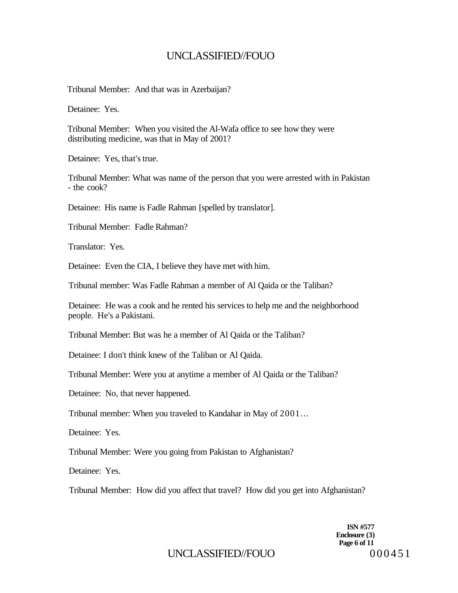Tribunal Member: And that was in Azerbaijan?

Detainee: Yes.

Tribunal Member: When you visited the Al-Wafa office to see how they were distributing medicine, was that in May of 2001?

Detainee: Yes, that's true.

Tribunal Member: What was name of the person that you were arrested with in Pakistan - the cook?

Detainee: His name is Fadle Rahman [spelled by translator].

Tribunal Member: Fadle Rahman?

Translator: Yes.

Detainee: Even the CIA, I believe they have met with him.

Tribunal member: Was Fadle Rahman a member of Al Qaida or the Taliban?

Detainee: He was a cook and he rented his services to help me and the neighborhood people. He's a Pakistani.

Tribunal Member: But was he a member of Al Qaida or the Taliban?

Detainee: I don't think knew of the Taliban or Al Qaida.

Tribunal Member: Were you at anytime a member of Al Qaida or the Taliban?

Detainee: No, that never happened.

Tribunal member: When you traveled to Kandahar in May of 2001...

Detainee: Yes.

Tribunal Member: Were you going from Pakistan to Afghanistan?

Detainee: Yes.

Tribunal Member: How did you affect that travel? How did you get into Afghanistan?

**ISN #577 Enclosure (3) Page 6 of 11** 

# UNCLASSIFIED//FOUO 000451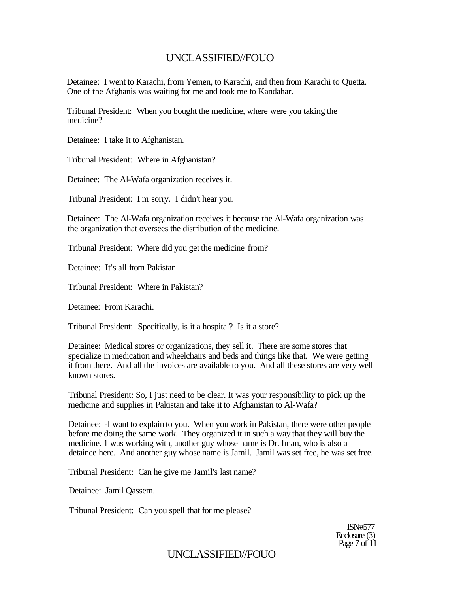Detainee: I went to Karachi, from Yemen, to Karachi, and then from Karachi to Quetta. One of the Afghanis was waiting for me and took me to Kandahar.

Tribunal President: When you bought the medicine, where were you taking the medicine?

Detainee: I take it to Afghanistan.

Tribunal President: Where in Afghanistan?

Detainee: The Al-Wafa organization receives it.

Tribunal President: I'm sorry. I didn't hear you.

Detainee: The Al-Wafa organization receives it because the Al-Wafa organization was the organization that oversees the distribution of the medicine.

Tribunal President: Where did you get the medicine from?

Detainee: It's all from Pakistan.

Tribunal President: Where in Pakistan?

Detainee: From Karachi.

Tribunal President: Specifically, is it a hospital? Is it a store?

Detainee: Medical stores or organizations, they sell it. There are some stores that specialize in medication and wheelchairs and beds and things like that. We were getting it from there. And all the invoices are available to you. And all these stores are very well known stores.

Tribunal President: So, I just need to be clear. It was your responsibility to pick up the medicine and supplies in Pakistan and take it to Afghanistan to Al-Wafa?

Detainee: -I want to explain to you. When you work in Pakistan, there were other people before me doing the same work. They organized it in such a way that they will buy the medicine. 1 was working with, another guy whose name is Dr. Iman, who is also a detainee here. And another guy whose name is Jamil. Jamil was set free, he was set free.

Tribunal President: Can he give me Jamil's last name?

Detainee: Jamil Qassem.

Tribunal President: Can you spell that for me please?



# UNCLASSIFIED//FOUO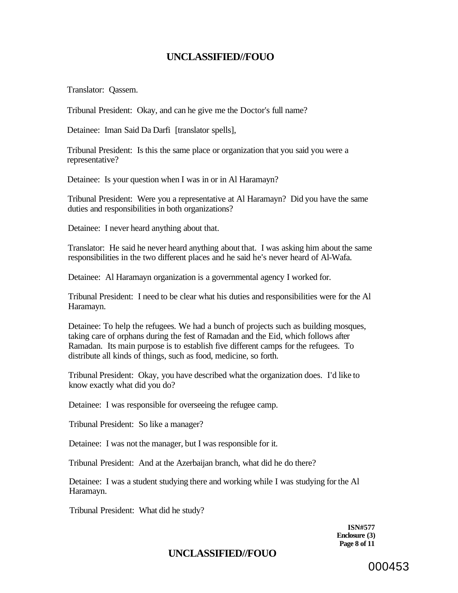Translator: Qassem.

Tribunal President: Okay, and can he give me the Doctor's full name?

Detainee: Iman Said Da Darfi [translator spells],

Tribunal President: Is this the same place or organization that you said you were a representative?

Detainee: Is your question when I was in or in Al Haramayn?

Tribunal President: Were you a representative at Al Haramayn? Did you have the same duties and responsibilities in both organizations?

Detainee: I never heard anything about that.

Translator: He said he never heard anything about that. I was asking him about the same responsibilities in the two different places and he said he's never heard of Al-Wafa.

Detainee: Al Haramayn organization is a governmental agency I worked for.

Tribunal President: I need to be clear what his duties and responsibilities were for the Al Haramayn.

Detainee: To help the refugees. We had a bunch of projects such as building mosques, taking care of orphans during the fest of Ramadan and the Eid, which follows after Ramadan. Its main purpose is to establish five different camps for the refugees. To distribute all kinds of things, such as food, medicine, so forth.

Tribunal President: Okay, you have described what the organization does. I'd like to know exactly what did you do?

Detainee: I was responsible for overseeing the refugee camp.

Tribunal President: So like a manager?

Detainee: I was not the manager, but I was responsible for it.

Tribunal President: And at the Azerbaijan branch, what did he do there?

Detainee: I was a student studying there and working while I was studying for the Al Haramayn.

Tribunal President: What did he study?

**ISN#577 Enclosure (3) Page 8 of 11** 

# **UNCLASSIFIED//FOUO**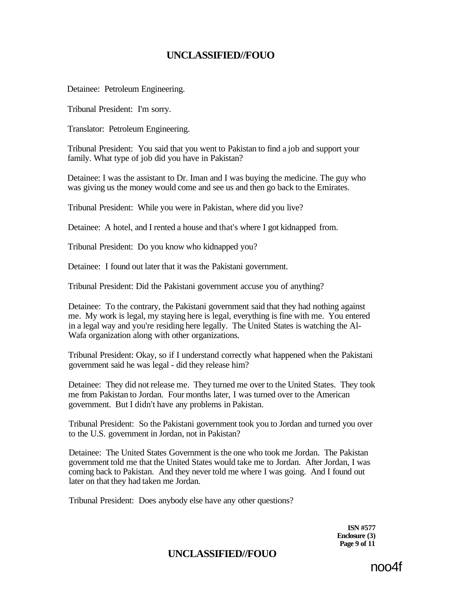Detainee: Petroleum Engineering.

Tribunal President: I'm sorry.

Translator: Petroleum Engineering.

Tribunal President: You said that you went to Pakistan to find a job and support your family. What type of job did you have in Pakistan?

Detainee: I was the assistant to Dr. Iman and I was buying the medicine. The guy who was giving us the money would come and see us and then go back to the Emirates.

Tribunal President: While you were in Pakistan, where did you live?

Detainee: A hotel, and I rented a house and that's where I got kidnapped from.

Tribunal President: Do you know who kidnapped you?

Detainee: I found out later that it was the Pakistani government.

Tribunal President: Did the Pakistani government accuse you of anything?

Detainee: To the contrary, the Pakistani government said that they had nothing against me. My work is legal, my staying here is legal, everything is fine with me. You entered in a legal way and you're residing here legally. The United States is watching the Al-Wafa organization along with other organizations.

Tribunal President: Okay, so if I understand correctly what happened when the Pakistani government said he was legal - did they release him?

Detainee: They did not release me. They turned me over to the United States. They took me from Pakistan to Jordan. Four months later, I was turned over to the American government. But I didn't have any problems in Pakistan.

Tribunal President: So the Pakistani government took you to Jordan and turned you over to the U.S. government in Jordan, not in Pakistan?

Detainee: The United States Government is the one who took me Jordan. The Pakistan government told me that the United States would take me to Jordan. After Jordan, I was coming back to Pakistan. And they never told me where I was going. And I found out later on that they had taken me Jordan.

Tribunal President: Does anybody else have any other questions?

**ISN #577 Enclosure (3) Page 9 of 11** 

# **UNCLASSIFIED//FOUO**

noo4f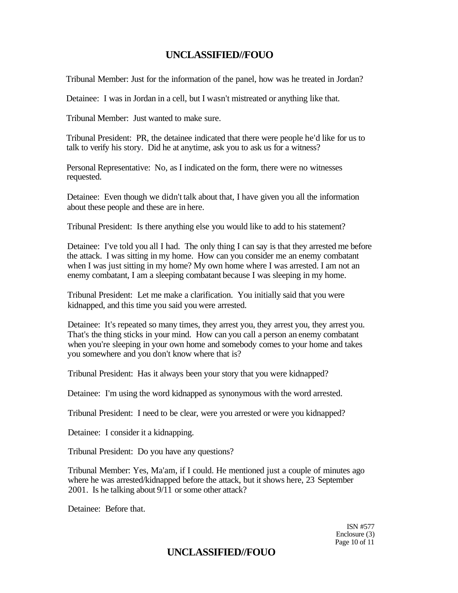Tribunal Member: Just for the information of the panel, how was he treated in Jordan?

Detainee: I was in Jordan in a cell, but I wasn't mistreated or anything like that.

Tribunal Member: Just wanted to make sure.

Tribunal President: PR, the detainee indicated that there were people he'd like for us to talk to verify his story. Did he at anytime, ask you to ask us for a witness?

Personal Representative: No, as I indicated on the form, there were no witnesses requested.

Detainee: Even though we didn't talk about that, I have given you all the information about these people and these are in here.

Tribunal President: Is there anything else you would like to add to his statement?

Detainee: I've told you all I had. The only thing I can say is that they arrested me before the attack. I was sitting in my home. How can you consider me an enemy combatant when I was just sitting in my home? My own home where I was arrested. I am not an enemy combatant, I am a sleeping combatant because I was sleeping in my home.

Tribunal President: Let me make a clarification. You initially said that you were kidnapped, and this time you said you were arrested.

Detainee: It's repeated so many times, they arrest you, they arrest you, they arrest you. That's the thing sticks in your mind. How can you call a person an enemy combatant when you're sleeping in your own home and somebody comes to your home and takes you somewhere and you don't know where that is?

Tribunal President: Has it always been your story that you were kidnapped?

Detainee: I'm using the word kidnapped as synonymous with the word arrested.

Tribunal President: I need to be clear, were you arrested or were you kidnapped?

Detainee: I consider it a kidnapping.

Tribunal President: Do you have any questions?

Tribunal Member: Yes, Ma'am, if I could. He mentioned just a couple of minutes ago where he was arrested/kidnapped before the attack, but it shows here, 23 September 2001. Is he talking about 9/11 or some other attack?

Detainee: Before that.

ISN #577 Enclosure (3) Page 10 of 11

# **UNCLASSIFIED//FOUO**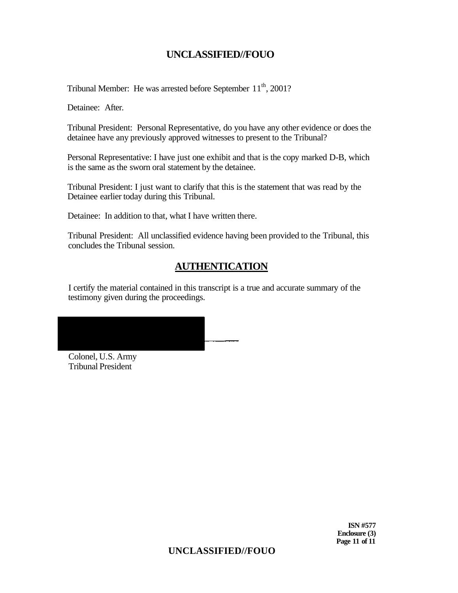Tribunal Member: He was arrested before September 11<sup>th</sup>, 2001?

Detainee: After.

Tribunal President: Personal Representative, do you have any other evidence or does the detainee have any previously approved witnesses to present to the Tribunal?

Personal Representative: I have just one exhibit and that is the copy marked D-B, which is the same as the sworn oral statement by the detainee.

Tribunal President: I just want to clarify that this is the statement that was read by the Detainee earlier today during this Tribunal.

Detainee: In addition to that, what I have written there.

Tribunal President: All unclassified evidence having been provided to the Tribunal, this concludes the Tribunal session.

# **AUTHENTICATION**

I certify the material contained in this transcript is a true and accurate summary of the testimony given during the proceedings.

Colonel, U.S. Army Tribunal President

> **ISN #577 Enclosure (3) Page 11 of 11**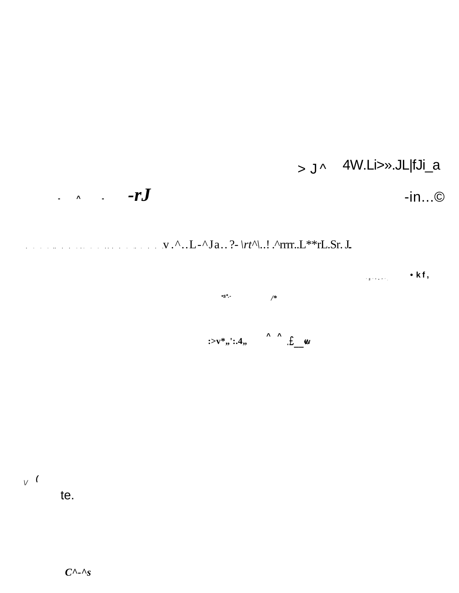

 $V$  ( te.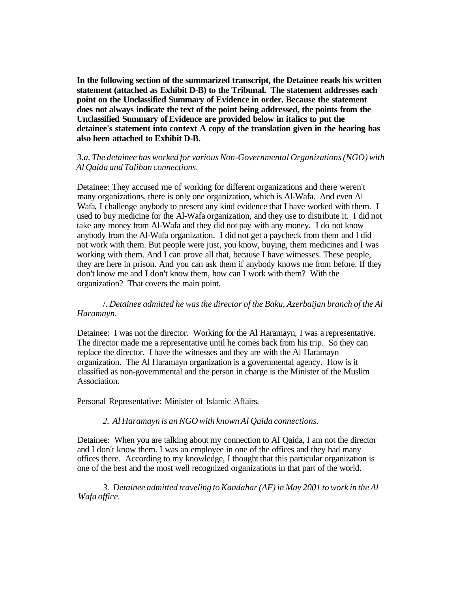**In the following section of the summarized transcript, the Detainee reads his written statement (attached as Exhibit D-B) to the Tribunal. The statement addresses each point on the Unclassified Summary of Evidence in order. Because the statement does not always indicate the text of the point being addressed, the points from the Unclassified Summary of Evidence are provided below in italics to put the detainee's statement into context A copy of the translation given in the hearing has also been attached to Exhibit D-B.** 

#### *3.a. The detainee has worked for various Non-Governmental Organizations (NGO) with Al Qaida and Taliban connections.*

Detainee: They accused me of working for different organizations and there weren't many organizations, there is only one organization, which is Al-Wafa. And even Al Wafa, I challenge anybody to present any kind evidence that I have worked with them. I used to buy medicine for the Al-Wafa organization, and they use to distribute it. I did not take any money from Al-Wafa and they did not pay with any money. I do not know anybody from the Al-Wafa organization. I did not get a paycheck from them and I did not work with them. But people were just, you know, buying, them medicines and I was working with them. And I can prove all that, because I have witnesses. These people, they are here in prison. And you can ask them if anybody knows me from before. If they don't know me and I don't know them, how can I work with them? With the organization? That covers the main point.

# /. *Detainee admitted he was the director of the Baku, Azerbaijan branch of the Al Haramayn.*

Detainee: I was not the director. Working for the Al Haramayn, I was a representative. The director made me a representative until he comes back from his trip. So they can replace the director. I have the witnesses and they are with the Al Haramayn organization. The Al Haramayn organization is a governmental agency. How is it classified as non-governmental and the person in charge is the Minister of the Muslim Association.

Personal Representative: Minister of Islamic Affairs.

#### *2. Al Haramayn is an NGO with known Al Qaida connections.*

Detainee: When you are talking about my connection to Al Qaida, I am not the director and I don't know them. I was an employee in one of the offices and they had many offices there. According to my knowledge, I thought that this particular organization is one of the best and the most well recognized organizations in that part of the world.

*3. Detainee admitted traveling to Kandahar (AF) in May 2001 to work in the Al Wafa office.*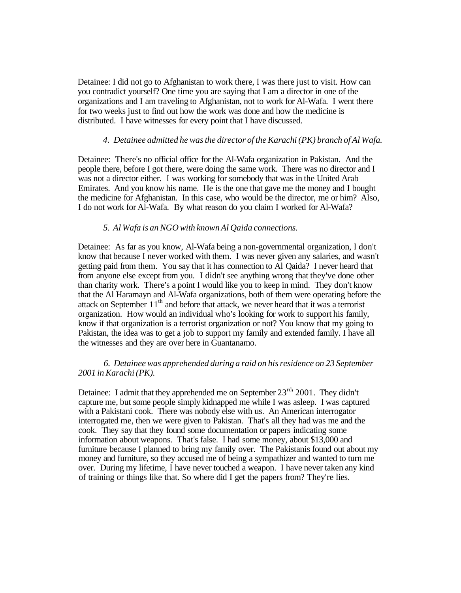Detainee: I did not go to Afghanistan to work there, I was there just to visit. How can you contradict yourself? One time you are saying that I am a director in one of the organizations and I am traveling to Afghanistan, not to work for Al-Wafa. I went there for two weeks just to find out how the work was done and how the medicine is distributed. I have witnesses for every point that I have discussed.

### *4. Detainee admitted he was the director of the Karachi (PK) branch of Al Wafa.*

Detainee: There's no official office for the Al-Wafa organization in Pakistan. And the people there, before I got there, were doing the same work. There was no director and I was not a director either. I was working for somebody that was in the United Arab Emirates. And you know his name. He is the one that gave me the money and I bought the medicine for Afghanistan. In this case, who would be the director, me or him? Also, I do not work for Al-Wafa. By what reason do you claim I worked for Al-Wafa?

#### *5. Al Wafa is an NGO with known Al Qaida connections.*

Detainee: As far as you know, Al-Wafa being a non-governmental organization, I don't know that because I never worked with them. I was never given any salaries, and wasn't getting paid from them. You say that it has connection to Al Qaida? I never heard that from anyone else except from you. I didn't see anything wrong that they've done other than charity work. There's a point I would like you to keep in mind. They don't know that the Al Haramayn and Al-Wafa organizations, both of them were operating before the attack on September  $11<sup>th</sup>$  and before that attack, we never heard that it was a terrorist organization. How would an individual who's looking for work to support his family, know if that organization is a terrorist organization or not? You know that my going to Pakistan, the idea was to get a job to support my family and extended family. I have all the witnesses and they are over here in Guantanamo.

# *6. Detainee was apprehended during a raid on his residence on 23 September 2001 in Karachi (PK).*

Detainee: I admit that they apprehended me on September 23<sup>rd</sup> 2001. They didn't capture me, but some people simply kidnapped me while I was asleep. I was captured with a Pakistani cook. There was nobody else with us. An American interrogator interrogated me, then we were given to Pakistan. That's all they had was me and the cook. They say that they found some documentation or papers indicating some information about weapons. That's false. I had some money, about \$13,000 and furniture because I planned to bring my family over. The Pakistanis found out about my money and furniture, so they accused me of being a sympathizer and wanted to turn me over. During my lifetime, I have never touched a weapon. I have never taken any kind of training or things like that. So where did I get the papers from? They're lies.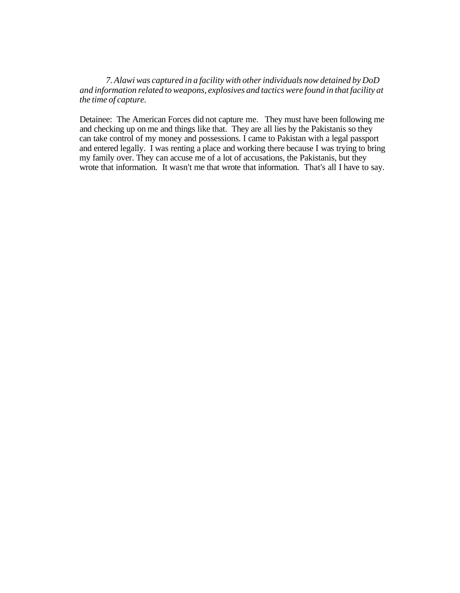*7. Alawi was captured in a facility with other individuals now detained by DoD and information related to weapons, explosives and tactics were found in that facility at the time of capture.* 

Detainee: The American Forces did not capture me. They must have been following me and checking up on me and things like that. They are all lies by the Pakistanis so they can take control of my money and possessions. I came to Pakistan with a legal passport and entered legally. I was renting a place and working there because I was trying to bring my family over. They can accuse me of a lot of accusations, the Pakistanis, but they wrote that information. It wasn't me that wrote that information. That's all I have to say.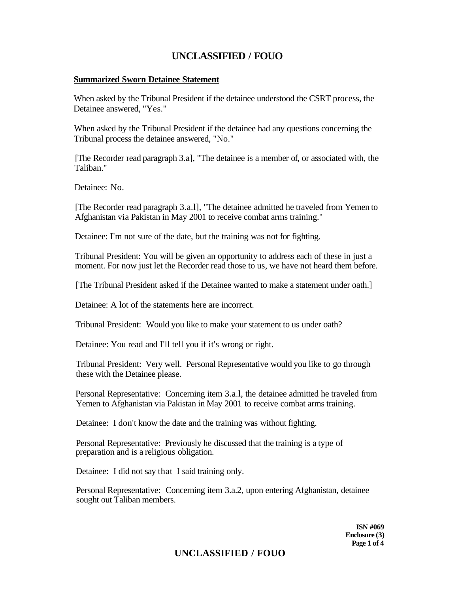#### **Summarized Sworn Detainee Statement**

When asked by the Tribunal President if the detainee understood the CSRT process, the Detainee answered, "Yes."

When asked by the Tribunal President if the detainee had any questions concerning the Tribunal process the detainee answered, "No."

[The Recorder read paragraph 3.a], "The detainee is a member of, or associated with, the Taliban."

Detainee: No.

[The Recorder read paragraph 3.a.l], "The detainee admitted he traveled from Yemen to Afghanistan via Pakistan in May 2001 to receive combat arms training."

Detainee: I'm not sure of the date, but the training was not for fighting.

Tribunal President: You will be given an opportunity to address each of these in just a moment. For now just let the Recorder read those to us, we have not heard them before.

[The Tribunal President asked if the Detainee wanted to make a statement under oath.]

Detainee: A lot of the statements here are incorrect.

Tribunal President: Would you like to make your statement to us under oath?

Detainee: You read and I'll tell you if it's wrong or right.

Tribunal President: Very well. Personal Representative would you like to go through these with the Detainee please.

Personal Representative: Concerning item 3.a.l, the detainee admitted he traveled from Yemen to Afghanistan via Pakistan in May 2001 to receive combat arms training.

Detainee: I don't know the date and the training was without fighting.

Personal Representative: Previously he discussed that the training is a type of preparation and is a religious obligation.

Detainee: I did not say that I said training only.

Personal Representative: Concerning item 3.a.2, upon entering Afghanistan, detainee sought out Taliban members.

> **ISN #069 Enclosure (3) Page 1 of 4**

### **UNCLASSIFIED / FOUO**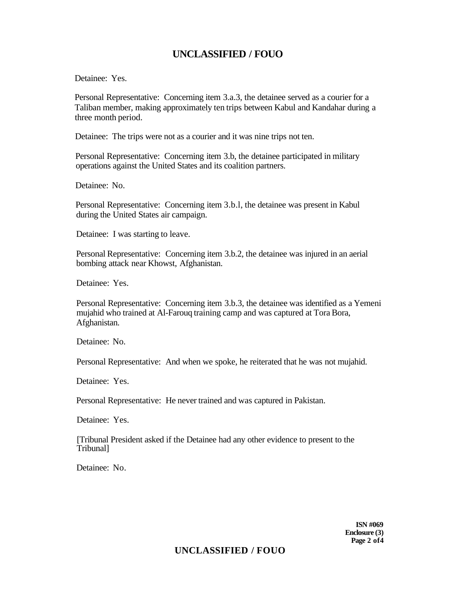Detainee: Yes.

Personal Representative: Concerning item 3.a.3, the detainee served as a courier for a Taliban member, making approximately ten trips between Kabul and Kandahar during a three month period.

Detainee: The trips were not as a courier and it was nine trips not ten.

Personal Representative: Concerning item 3.b, the detainee participated in military operations against the United States and its coalition partners.

Detainee: No.

Personal Representative: Concerning item 3.b.l, the detainee was present in Kabul during the United States air campaign.

Detainee: I was starting to leave.

Personal Representative: Concerning item 3.b.2, the detainee was injured in an aerial bombing attack near Khowst, Afghanistan.

Detainee: Yes.

Personal Representative: Concerning item 3.b.3, the detainee was identified as a Yemeni mujahid who trained at Al-Farouq training camp and was captured at Tora Bora, Afghanistan.

Detainee: No.

Personal Representative: And when we spoke, he reiterated that he was not mujahid.

Detainee: Yes.

Personal Representative: He never trained and was captured in Pakistan.

Detainee: Yes.

[Tribunal President asked if the Detainee had any other evidence to present to the Tribunal]

Detainee: No.

**ISN #069 Enclosure (3) Page 2 of4** 

### **UNCLASSIFIED / FOUO**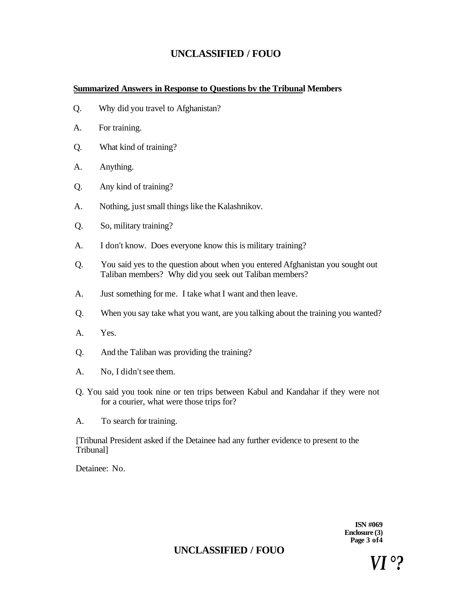### **Summarized Answers in Response to Questions bv the Tribunal Members**

- Q. Why did you travel to Afghanistan?
- A. For training.
- Q. What kind of training?
- A. Anything.
- Q. Any kind of training?
- A. Nothing, just small things like the Kalashnikov.
- Q. So, military training?
- A. I don't know. Does everyone know this is military training?
- Q. You said yes to the question about when you entered Afghanistan you sought out Taliban members? Why did you seek out Taliban members?
- A. Just something for me. I take what I want and then leave.
- Q. When you say take what you want, are you talking about the training you wanted?
- A. Yes.
- Q. And the Taliban was providing the training?
- A. No, I didn't see them.
- Q. You said you took nine or ten trips between Kabul and Kandahar if they were not for a courier, what were those trips for?
- A. To search for training.

[Tribunal President asked if the Detainee had any further evidence to present to the Tribunal]

Detainee: No.

**ISN #069 Enclosure (3) Page 3 of4** 

# **UNCLASSIFIED / FOUO**

*VI °?*